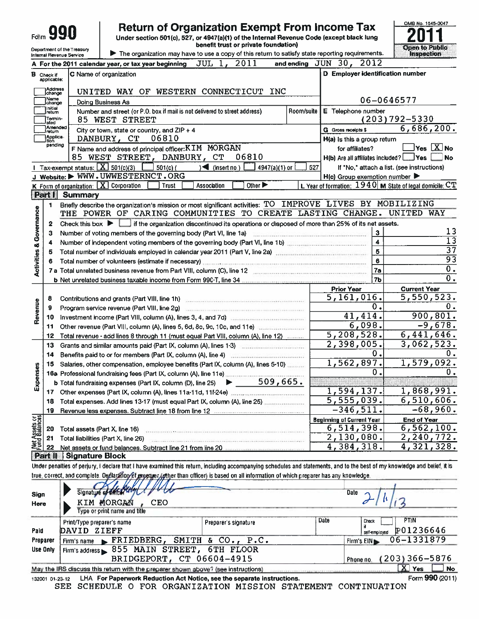| Folm                                                   |                                  |                                                                                                                    | <b>Return of Organization Exempt From Income Tax</b><br>Under section 501(c), 527, or 4947(a)(1) of the Internal Revenue Code (except black lung                                   | benefit trust or private foundation)                                                            |            |                                                     |                | OMB No. 1545-0047<br><b>Open to Public</b>                  |
|--------------------------------------------------------|----------------------------------|--------------------------------------------------------------------------------------------------------------------|------------------------------------------------------------------------------------------------------------------------------------------------------------------------------------|-------------------------------------------------------------------------------------------------|------------|-----------------------------------------------------|----------------|-------------------------------------------------------------|
| Department of the Treasury<br>Internal Revenue Service |                                  |                                                                                                                    | The organization may have to use a copy of this return to satisfy state reporting requirements.                                                                                    |                                                                                                 |            |                                                     |                | Inspection                                                  |
|                                                        |                                  |                                                                                                                    | A For the 2011 calendar year, or tax year beginning                                                                                                                                | 2011<br>$JUL$ $1$ ,                                                                             |            | and ending JUN 30, 2012                             |                |                                                             |
|                                                        | <b>B</b> Check if<br>applicable: |                                                                                                                    | C Name of organization                                                                                                                                                             |                                                                                                 |            | D Employer identification number                    |                |                                                             |
|                                                        | Address<br>change                |                                                                                                                    | UNITED WAY OF WESTERN CONNECTICUT INC                                                                                                                                              |                                                                                                 |            |                                                     |                |                                                             |
|                                                        | Name<br>change                   |                                                                                                                    | Doing Business As                                                                                                                                                                  |                                                                                                 |            |                                                     |                | 06-0646577                                                  |
|                                                        | Initial<br>return                |                                                                                                                    | Number and street (or P.O. box if mail is not delivered to street address)                                                                                                         |                                                                                                 | Room/suite | E Telephone number                                  |                |                                                             |
|                                                        | Termin-<br>ated                  |                                                                                                                    | 85 WEST STREET                                                                                                                                                                     |                                                                                                 |            |                                                     |                | $(203)792 - 5330$                                           |
|                                                        | Amended<br>retum                 |                                                                                                                    | City or town, state or country, and $ZIP + 4$                                                                                                                                      |                                                                                                 |            | <b>G</b> Gross receipts \$                          |                | 6,686,200.                                                  |
|                                                        | Applica-<br>tion                 |                                                                                                                    | DANBURY, CT<br>06810                                                                                                                                                               |                                                                                                 |            | $H(a)$ is this a group return                       |                |                                                             |
|                                                        | pending                          |                                                                                                                    | F Name and address of principal officer: KIM MORGAN                                                                                                                                |                                                                                                 |            | for affiliates?                                     |                | $Yes$ $X$ No                                                |
|                                                        |                                  |                                                                                                                    | 85 WEST STREET, DANBURY, CT                                                                                                                                                        | 06810                                                                                           |            |                                                     |                | <b>No</b>                                                   |
|                                                        |                                  | 1 Tax-exempt status: $\boxed{\textbf{X}}$ 501(c)(3)                                                                | $501(c)$ (                                                                                                                                                                         | ◀<br>(insert no.)<br>4947(a)(1) or $\vert$                                                      | 527        |                                                     |                | If "No," attach a list. (see instructions)                  |
|                                                        |                                  |                                                                                                                    | J Website: $\blacktriangleright$ WWW. UWWESTERNCT. ORG                                                                                                                             |                                                                                                 |            | $H(c)$ Group exemption number $\blacktriangleright$ |                |                                                             |
|                                                        |                                  |                                                                                                                    | K Form of organization: X Corporation<br><b>Trust</b>                                                                                                                              | Other $\blacktriangleright$<br>Association                                                      |            |                                                     |                | L Year of formation: $1940$ M State of legal domicile: $CT$ |
|                                                        | <b>Part I</b>                    | <b>Summary</b>                                                                                                     |                                                                                                                                                                                    |                                                                                                 |            |                                                     |                |                                                             |
|                                                        | 1                                |                                                                                                                    | Briefly describe the organization's mission or most significant activities: TO IMPROVE LIVES BY MOBILIZING<br>THE POWER OF CARING COMMUNITIES TO CREATE LASTING CHANGE. UNITED WAY |                                                                                                 |            |                                                     |                |                                                             |
| <b>Activities &amp; Governance</b>                     |                                  | Check this box $\blacktriangleright$                                                                               |                                                                                                                                                                                    |                                                                                                 |            |                                                     |                |                                                             |
|                                                        | 2<br>3                           |                                                                                                                    |                                                                                                                                                                                    | If the organization discontinued its operations or disposed of more than 25% of its net assets. |            |                                                     | $\mathbf{3}$   | 13                                                          |
|                                                        | 4                                |                                                                                                                    |                                                                                                                                                                                    |                                                                                                 |            |                                                     | $\ddot{\bf 4}$ | $\overline{13}$                                             |
|                                                        | 5                                | Total number of individuals employed in calendar year 2011 (Part V, line 2a) [10] The manuscription of individuals | 5                                                                                                                                                                                  | $\overline{37}$                                                                                 |            |                                                     |                |                                                             |
|                                                        |                                  |                                                                                                                    | 6                                                                                                                                                                                  | $\overline{93}$                                                                                 |            |                                                     |                |                                                             |
|                                                        |                                  |                                                                                                                    |                                                                                                                                                                                    |                                                                                                 |            |                                                     | 7a             | 0.                                                          |
|                                                        |                                  |                                                                                                                    | b Net unrelated business taxable income from Form 990 T, line 34 [10] Net unrelated business taxable income from Form 990 T, line 34                                               |                                                                                                 |            |                                                     | 7b             | 0.                                                          |
|                                                        |                                  |                                                                                                                    |                                                                                                                                                                                    |                                                                                                 |            | <b>Prior Year</b>                                   |                | <b>Current Year</b>                                         |
|                                                        | 8                                |                                                                                                                    | Contributions and grants (Part VIII, line 1h)                                                                                                                                      |                                                                                                 |            | 5,161,016.                                          |                | 5,550,523.                                                  |
|                                                        | 9                                |                                                                                                                    | Program service revenue (Part VIII, line 2g)                                                                                                                                       |                                                                                                 |            |                                                     | О.             |                                                             |
| Revenue                                                | 10                               |                                                                                                                    |                                                                                                                                                                                    |                                                                                                 |            | 41,414.                                             |                | 900, 801.                                                   |
|                                                        | 11                               |                                                                                                                    | Other revenue (Part VIII, column (A), lines 5, 6d, 8c, 9c, 10c, and 11e)                                                                                                           |                                                                                                 |            |                                                     | 6,098.         | $-9,678.$                                                   |
|                                                        | 12                               |                                                                                                                    | Total revenue - add lines 8 through 11 (must equal Part VIII, column (A), line 12)                                                                                                 |                                                                                                 |            | 5,208,528.                                          |                | 6,441,646.                                                  |
|                                                        | 13                               |                                                                                                                    | Grants and similar amounts paid (Part IX, column (A), lines 1-3)                                                                                                                   |                                                                                                 |            | 2,398,005.                                          |                | 3,062,523.                                                  |
|                                                        | 14                               |                                                                                                                    |                                                                                                                                                                                    |                                                                                                 |            |                                                     | 0.             |                                                             |
|                                                        | 15                               |                                                                                                                    | Salaries, other compensation, employee benefits (Part IX, column (A), lines 5-10)                                                                                                  |                                                                                                 |            | 1,562,897.                                          |                | 1,579,092.                                                  |
|                                                        |                                  |                                                                                                                    |                                                                                                                                                                                    |                                                                                                 |            |                                                     | 0              | 0.                                                          |
| Expenses                                               |                                  |                                                                                                                    | <b>b</b> Total fundraising expenses (Part IX, column (D), line 25)                                                                                                                 | 509,665.                                                                                        |            |                                                     |                |                                                             |
|                                                        | 17                               |                                                                                                                    |                                                                                                                                                                                    |                                                                                                 |            | 1,594,137.                                          |                | 1,868,991.                                                  |
|                                                        | 18                               |                                                                                                                    | Total expenses. Add lines 13-17 (must equal Part IX, column (A), line 25)                                                                                                          |                                                                                                 |            | $\overline{5,555,039}$ .<br>$-346, 511.$            |                | 6,510,606.<br>$-68,960.$                                    |
|                                                        | 19                               |                                                                                                                    | Revenue less expenses. Subtract line 18 from line 12                                                                                                                               |                                                                                                 |            | <b>Beginning of Current Year</b>                    |                | <b>End of Year</b>                                          |
| Net Assets or                                          | 20                               | Total assets (Part X, line 16)                                                                                     |                                                                                                                                                                                    |                                                                                                 |            | 6,514,398.                                          |                | 6, 562, 100.                                                |
|                                                        | 21                               |                                                                                                                    | Total liabilities (Part X, line 26)                                                                                                                                                |                                                                                                 |            | 2,130,080.                                          |                | 2,240,772.                                                  |
|                                                        | 22                               |                                                                                                                    | Net assets or fund balances. Subtract line 21 from line 20 manuscriptions                                                                                                          |                                                                                                 |            | 4,384,318.                                          |                | 4,321,328.                                                  |
|                                                        | <b>IPart II</b>                  | <b>Signature Block</b>                                                                                             |                                                                                                                                                                                    |                                                                                                 |            |                                                     |                |                                                             |
|                                                        |                                  |                                                                                                                    | Under penalties of perjury, I declare that I have examined this return, including accompanying schedules and statements, and to the best of my knowledge and belief, it is         |                                                                                                 |            |                                                     |                |                                                             |
|                                                        |                                  |                                                                                                                    | true, correct, and complete. Declar hoy of grenger (other than officer) is based on all information of which preparer has any knowledge.                                           |                                                                                                 |            |                                                     |                |                                                             |
| Sign                                                   |                                  |                                                                                                                    | Signature of Chicago                                                                                                                                                               |                                                                                                 |            | Date                                                |                |                                                             |
| Here                                                   |                                  |                                                                                                                    | KIM MORGAN<br><b>CEO</b>                                                                                                                                                           |                                                                                                 |            |                                                     |                |                                                             |
|                                                        |                                  |                                                                                                                    | Type or print name and title                                                                                                                                                       |                                                                                                 |            |                                                     |                |                                                             |
|                                                        |                                  | Print/Type preparer's name                                                                                         |                                                                                                                                                                                    | Preparer's signature                                                                            |            | Date                                                | Check          | PTIN                                                        |
| Paid                                                   |                                  | DAVID ZIEFF                                                                                                        |                                                                                                                                                                                    |                                                                                                 |            |                                                     | self-employed  | P01236646                                                   |

| Preparer | Firm's name FRIEDBERG, SMITH & CO., P.C.                                          | Firm's $EIN \triangleright 06 - 1331879$ |
|----------|-----------------------------------------------------------------------------------|------------------------------------------|
| Use Only | $\vert$ Firm's address $\vert$ 855 MAIN STREET, 6TH FLOOR                         |                                          |
|          | BRIDGEPORT, CT 06604-4915                                                         | Phone no. (203) 366-5876                 |
|          | May the IRS discuss this return with the preparer shown above? (see instructions) | <b>Yes</b>                               |
|          |                                                                                   |                                          |

132001 01-23-12 LHA For Paperwork Reduction Act Notice, see the separate instructions.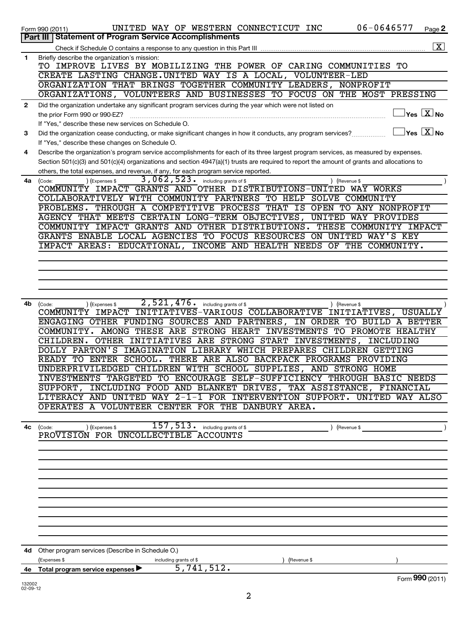|              | 06-0646577<br>UNITED WAY OF WESTERN CONNECTICUT INC<br>Page 2<br>Form 990 (2011)                                                                                                                             |                 |
|--------------|--------------------------------------------------------------------------------------------------------------------------------------------------------------------------------------------------------------|-----------------|
|              | Part III<br><b>Statement of Program Service Accomplishments</b>                                                                                                                                              |                 |
|              |                                                                                                                                                                                                              | $\vert X \vert$ |
| 1            | Briefly describe the organization's mission:<br>TO IMPROVE LIVES BY MOBILIZING THE POWER OF CARING COMMUNITIES TO                                                                                            |                 |
|              | CREATE LASTING CHANGE.UNITED WAY IS A LOCAL, VOLUNTEER-LED                                                                                                                                                   |                 |
|              | ORGANIZATION THAT BRINGS TOGETHER COMMUNITY LEADERS, NONPROFIT                                                                                                                                               |                 |
|              | ORGANIZATIONS, VOLUNTEERS AND BUSINESSES TO FOCUS ON THE MOST PRESSING                                                                                                                                       |                 |
| $\mathbf{2}$ | Did the organization undertake any significant program services during the year which were not listed on                                                                                                     |                 |
|              | $\vert$ Yes $\vert$ $\rm X$ $\vert$ No $\vert$<br>the prior Form 990 or 990-EZ?                                                                                                                              |                 |
|              | If "Yes," describe these new services on Schedule O.                                                                                                                                                         |                 |
| 3            | $ {\mathsf Y}\mathsf{es}\mathrel{\mathop{\sqcup}\limits_{}\underline{\mathsf X}}\mathsf{No}$<br>Did the organization cease conducting, or make significant changes in how it conducts, any program services? |                 |
|              | If "Yes," describe these changes on Schedule O.                                                                                                                                                              |                 |
| 4            | Describe the organization's program service accomplishments for each of its three largest program services, as measured by expenses.                                                                         |                 |
|              | Section 501(c)(3) and 501(c)(4) organizations and section 4947(a)(1) trusts are required to report the amount of grants and allocations to                                                                   |                 |
| 4a           | others, the total expenses, and revenue, if any, for each program service reported.<br>$3,062,523$ $\cdot$ including grants of \$<br>) (Expenses \$                                                          |                 |
|              | ) (Revenue \$<br>(Code:<br>COMMUNITY IMPACT GRANTS AND OTHER DISTRIBUTIONS-UNITED WAY WORKS                                                                                                                  |                 |
|              | COLLABORATIVELY WITH COMMUNITY PARTNERS TO HELP SOLVE COMMUNITY                                                                                                                                              |                 |
|              | PROBLEMS. THROUGH A COMPETITIVE PROCESS THAT IS OPEN TO ANY NONPROFIT                                                                                                                                        |                 |
|              | AGENCY THAT MEETS CERTAIN LONG-TERM OBJECTIVES,<br>UNITED WAY PROVIDES                                                                                                                                       |                 |
|              | COMMUNITY IMPACT GRANTS AND OTHER DISTRIBUTIONS.<br>THESE COMMUNITY IMPACT                                                                                                                                   |                 |
|              | GRANTS ENABLE LOCAL AGENCIES TO FOCUS RESOURCES ON UNITED WAY'S KEY                                                                                                                                          |                 |
|              | IMPACT AREAS: EDUCATIONAL, INCOME AND HEALTH NEEDS OF THE COMMUNITY.                                                                                                                                         |                 |
|              |                                                                                                                                                                                                              |                 |
|              |                                                                                                                                                                                                              |                 |
|              |                                                                                                                                                                                                              |                 |
|              |                                                                                                                                                                                                              |                 |
|              |                                                                                                                                                                                                              |                 |
| 4b           | 2,521,476.<br>including grants of \$<br>) (Revenue \$<br>(Code:<br>) (Expenses \$                                                                                                                            |                 |
|              | INITIATIVES-VARIOUS COLLABORATIVE INITIATIVES, USUALLY<br>COMMUNITY IMPACT                                                                                                                                   |                 |
|              | ENGAGING OTHER FUNDING SOURCES AND PARTNERS, IN ORDER TO BUILD A BETTER<br>COMMUNITY. AMONG THESE ARE STRONG HEART INVESTMENTS TO PROMOTE HEALTHY                                                            |                 |
|              | OTHER INITIATIVES ARE STRONG START INVESTMENTS,<br>CHILDREN.<br>INCLUDING                                                                                                                                    |                 |
|              | DOLLY PARTON'S IMAGINATION LIBRARY WHICH PREPARES CHILDREN GETTING                                                                                                                                           |                 |
|              | READY TO ENTER SCHOOL.<br>THERE ARE ALSO BACKPACK PROGRAMS PROVIDING                                                                                                                                         |                 |
|              | UNDERPRIVILEDGED CHILDREN WITH SCHOOL SUPPLIES, AND STRONG HOME                                                                                                                                              |                 |
|              | INVESTMENTS TARGETED TO ENCOURAGE SELF-SUFFICIENCY THROUGH BASIC NEEDS                                                                                                                                       |                 |
|              | SUPPORT, INCLUDING FOOD AND BLANKET DRIVES, TAX ASSISTANCE, FINANCIAL                                                                                                                                        |                 |
|              | LITERACY AND UNITED WAY 2-1-1 FOR INTERVENTION SUPPORT. UNITED WAY ALSO                                                                                                                                      |                 |
|              | OPERATES A VOLUNTEER CENTER FOR THE DANBURY AREA.                                                                                                                                                            |                 |
|              |                                                                                                                                                                                                              |                 |
|              | 157, 513. including grants of \$<br>$($ Revenue \$<br>4c (Code:<br>(Expenses \$                                                                                                                              |                 |
|              | PROVISION FOR UNCOLLECTIBLE ACCOUNTS                                                                                                                                                                         |                 |
|              |                                                                                                                                                                                                              |                 |
|              |                                                                                                                                                                                                              |                 |
|              |                                                                                                                                                                                                              |                 |
|              |                                                                                                                                                                                                              |                 |
|              |                                                                                                                                                                                                              |                 |
|              |                                                                                                                                                                                                              |                 |
|              |                                                                                                                                                                                                              |                 |
|              |                                                                                                                                                                                                              |                 |
|              |                                                                                                                                                                                                              |                 |
|              |                                                                                                                                                                                                              |                 |
|              | 4d Other program services (Describe in Schedule O.)                                                                                                                                                          |                 |
|              | (Expenses \$<br>including grants of \$<br>(Revenue \$                                                                                                                                                        |                 |
|              | 5,741,512.<br>4e Total program service expenses                                                                                                                                                              |                 |
|              | Form 990 (2011)                                                                                                                                                                                              |                 |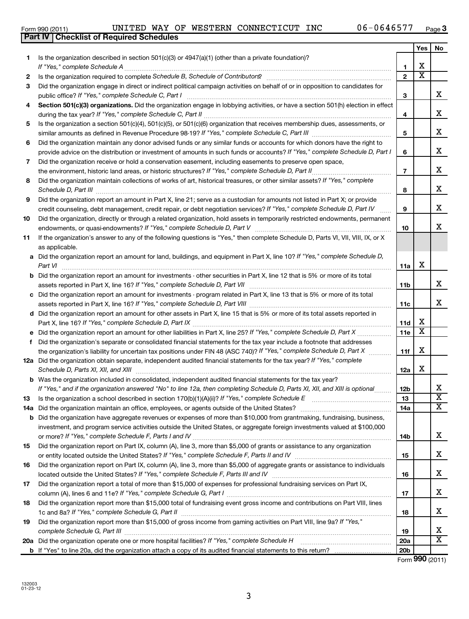|              | UNITED WAY OF WESTERN CONNECTICUT INC<br>06-0646577<br>Form 990 (2011)                                                                                                                                                         |                 |                         | Page      |
|--------------|--------------------------------------------------------------------------------------------------------------------------------------------------------------------------------------------------------------------------------|-----------------|-------------------------|-----------|
|              | Part IV   Checklist of Required Schedules                                                                                                                                                                                      |                 |                         |           |
|              |                                                                                                                                                                                                                                |                 | Yes                     | <b>No</b> |
| 1.           | Is the organization described in section 501(c)(3) or 4947(a)(1) (other than a private foundation)?                                                                                                                            |                 |                         |           |
|              |                                                                                                                                                                                                                                | 1               | х                       |           |
| $\mathbf{2}$ |                                                                                                                                                                                                                                | $\overline{2}$  | $\overline{\textbf{x}}$ |           |
| 3            | Did the organization engage in direct or indirect political campaign activities on behalf of or in opposition to candidates for                                                                                                | 3               |                         | х         |
| 4            | Section 501(c)(3) organizations. Did the organization engage in lobbying activities, or have a section 501(h) election in effect                                                                                               | 4               |                         | X         |
| 5.           | Is the organization a section 501(c)(4), 501(c)(5), or 501(c)(6) organization that receives membership dues, assessments, or                                                                                                   |                 |                         |           |
|              |                                                                                                                                                                                                                                | 5               |                         | X         |
| 6            | Did the organization maintain any donor advised funds or any similar funds or accounts for which donors have the right to                                                                                                      |                 |                         |           |
|              | provide advice on the distribution or investment of amounts in such funds or accounts? If "Yes," complete Schedule D, Part I                                                                                                   | 6               |                         | X         |
| 7            | Did the organization receive or hold a conservation easement, including easements to preserve open space,                                                                                                                      |                 |                         |           |
|              |                                                                                                                                                                                                                                | $\overline{7}$  |                         | X         |
| 8            | Did the organization maintain collections of works of art, historical treasures, or other similar assets? If "Yes," complete                                                                                                   |                 |                         | X         |
|              | Schedule D, Part III <b>www.community.community.community.community.community.community.com</b><br>Did the organization report an amount in Part X, line 21; serve as a custodian for amounts not listed in Part X; or provide | 8               |                         |           |
| 9            | credit counseling, debt management, credit repair, or debt negotiation services? If "Yes," complete Schedule D, Part IV                                                                                                        | 9               |                         | X         |
|              | Did the organization, directly or through a related organization, hold assets in temporarily restricted endowments, permanent                                                                                                  |                 |                         |           |
| 10           |                                                                                                                                                                                                                                | 10              |                         | X         |
| 11           | If the organization's answer to any of the following questions is "Yes," then complete Schedule D, Parts VI, VII, VIII, IX, or X                                                                                               |                 |                         |           |
|              | as applicable.                                                                                                                                                                                                                 |                 |                         |           |
|              | a Did the organization report an amount for land, buildings, and equipment in Part X, line 10? If "Yes," complete Schedule D,                                                                                                  |                 |                         |           |
|              | Part VI                                                                                                                                                                                                                        | 11a             | х                       |           |
|              | <b>b</b> Did the organization report an amount for investments - other securities in Part X, line 12 that is 5% or more of its total                                                                                           |                 |                         |           |
|              |                                                                                                                                                                                                                                | 11 <sub>b</sub> |                         | X         |
|              | c Did the organization report an amount for investments - program related in Part X, line 13 that is 5% or more of its total                                                                                                   |                 |                         |           |
|              |                                                                                                                                                                                                                                | 11c             |                         | X         |
|              | d Did the organization report an amount for other assets in Part X, line 15 that is 5% or more of its total assets reported in                                                                                                 |                 |                         |           |
|              | Part X, line 16? If "Yes," complete Schedule D, Part IX                                                                                                                                                                        | 11d             | х                       |           |
|              |                                                                                                                                                                                                                                | 11e             | х                       |           |
|              | f Did the organization's separate or consolidated financial statements for the tax year include a footnote that addresses                                                                                                      |                 |                         |           |
|              | the organization's liability for uncertain tax positions under FIN 48 (ASC 740)? If "Yes," complete Schedule D, Part X                                                                                                         | 11f             | х                       |           |
|              | 12a Did the organization obtain separate, independent audited financial statements for the tax year? If "Yes," complete                                                                                                        |                 |                         |           |
|              | Schedule D, Parts XI, XII, and XIII                                                                                                                                                                                            | 12a             | х                       |           |
|              | <b>b</b> Was the organization included in consolidated, independent audited financial statements for the tax year?                                                                                                             |                 |                         |           |
|              | If "Yes," and if the organization answered "No" to line 12a, then completing Schedule D, Parts XI, XII, and XIII is optional                                                                                                   | 12 <sub>b</sub> |                         | х         |
| 13           |                                                                                                                                                                                                                                | 13              |                         | х         |
| 14a          | Did the organization maintain an office, employees, or agents outside of the United States?                                                                                                                                    | 14a             |                         | х         |
| b            | Did the organization have aggregate revenues or expenses of more than \$10,000 from grantmaking, fundraising, business,                                                                                                        |                 |                         |           |
|              | investment, and program service activities outside the United States, or aggregate foreign investments valued at \$100,000                                                                                                     |                 |                         |           |
|              |                                                                                                                                                                                                                                | 14b             |                         | х         |
| 15           | Did the organization report on Part IX, column (A), line 3, more than \$5,000 of grants or assistance to any organization                                                                                                      |                 |                         |           |
|              |                                                                                                                                                                                                                                | 15              |                         | Χ         |
| 16           | Did the organization report on Part IX, column (A), line 3, more than \$5,000 of aggregate grants or assistance to individuals                                                                                                 |                 |                         |           |
|              |                                                                                                                                                                                                                                | 16              |                         | Χ         |
| 17           | Did the organization report a total of more than \$15,000 of expenses for professional fundraising services on Part IX,                                                                                                        |                 |                         |           |
|              |                                                                                                                                                                                                                                | 17              |                         | Χ         |
| 18           | Did the organization report more than \$15,000 total of fundraising event gross income and contributions on Part VIII, lines                                                                                                   |                 |                         |           |
|              | 1c and 8a? If "Yes," complete Schedule G, Part II                                                                                                                                                                              | 18              |                         | Χ         |

**19 20 a 19 20a** Did the organization report more than \$15,000 of gross income from gaming activities on Part VIII, line 9a? If "Yes," *complete Schedule G, Part III* Did the organization operate one or more hospital facilities? If "Yes," complete Schedule H ~~~~~~~~~~~~~~~~~~~~~~~~~~~~~~~~~~~~~~~~~~~~~~~ ~~~~~~~~~~~~~~~~

3

**b** If "Yes" to line 20a, did the organization attach a copy of its audited financial statements to this return?

Form (2011) **990**

**20b**

**Yes No**

**3**

X

X

X

X

X

X

X

X

X

X

X  $\overline{\mathtt{x}}$  $\overline{\text{x}}$ 

X

X

X

X

X

X  $\overline{\mathtt{x}}$ 

|  | Form 990 (2011) |
|--|-----------------|
|  |                 |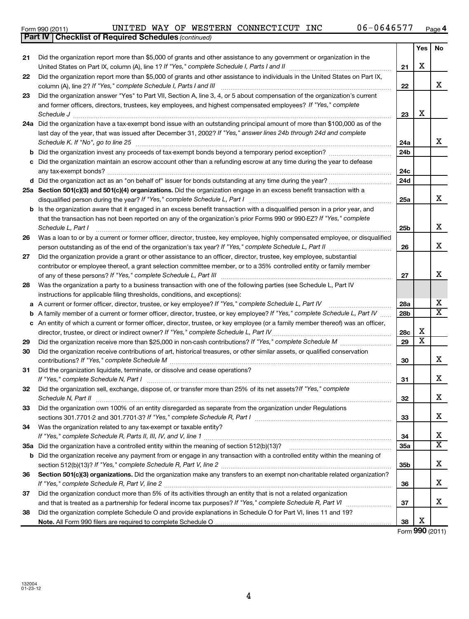|        | 06-0646577<br>UNITED WAY OF WESTERN CONNECTICUT INC<br>Form 990 (2011)                                                                                                                                                                                                                  |                 |          | Page                    |
|--------|-----------------------------------------------------------------------------------------------------------------------------------------------------------------------------------------------------------------------------------------------------------------------------------------|-----------------|----------|-------------------------|
|        | <b>Checklist of Required Schedules (continued)</b><br><b>Part IV</b>                                                                                                                                                                                                                    |                 |          |                         |
| 21     | Did the organization report more than \$5,000 of grants and other assistance to any government or organization in the                                                                                                                                                                   |                 | Yes<br>х | No                      |
| 22     | Did the organization report more than \$5,000 of grants and other assistance to individuals in the United States on Part IX,                                                                                                                                                            | 21<br>22        |          | X                       |
| 23     | Did the organization answer "Yes" to Part VII, Section A, line 3, 4, or 5 about compensation of the organization's current<br>and former officers, directors, trustees, key employees, and highest compensated employees? If "Yes," complete                                            | 23              | x        |                         |
|        | 24a Did the organization have a tax-exempt bond issue with an outstanding principal amount of more than \$100,000 as of the<br>last day of the year, that was issued after December 31, 2002? If "Yes," answer lines 24b through 24d and complete<br>Schedule K. If "No", go to line 25 | 24a             |          | X                       |
| b<br>c | Did the organization invest any proceeds of tax-exempt bonds beyond a temporary period exception?<br>Did the organization maintain an escrow account other than a refunding escrow at any time during the year to defease                                                               | 24b<br>24c      |          |                         |
|        |                                                                                                                                                                                                                                                                                         | 24d             |          |                         |
|        | 25a Section 501(c)(3) and 501(c)(4) organizations. Did the organization engage in an excess benefit transaction with a<br>disqualified person during the year? If "Yes," complete Schedule L, Part I                                                                                    | 25a             |          | х                       |
|        | <b>b</b> Is the organization aware that it engaged in an excess benefit transaction with a disqualified person in a prior year, and<br>that the transaction has not been reported on any of the organization's prior Forms 990 or 990-EZ? If "Yes," complete<br>Schedule L, Part I      | 25 <sub>b</sub> |          | X                       |
| 26     | Was a loan to or by a current or former officer, director, trustee, key employee, highly compensated employee, or disqualified                                                                                                                                                          | 26              |          | X                       |
| 27     | Did the organization provide a grant or other assistance to an officer, director, trustee, key employee, substantial<br>contributor or employee thereof, a grant selection committee member, or to a 35% controlled entity or family member                                             | 27              |          | X                       |
| 28     | Was the organization a party to a business transaction with one of the following parties (see Schedule L, Part IV<br>instructions for applicable filing thresholds, conditions, and exceptions):                                                                                        |                 |          | х                       |
| a      | A current or former officer, director, trustee, or key employee? If "Yes," complete Schedule L, Part IV                                                                                                                                                                                 | 28a             |          | $\overline{\texttt{x}}$ |
| b<br>c | A family member of a current or former officer, director, trustee, or key employee? If "Yes," complete Schedule L, Part IV<br>An entity of which a current or former officer, director, trustee, or key employee (or a family member thereof) was an officer,                           | 28 <sub>b</sub> | х        |                         |
|        |                                                                                                                                                                                                                                                                                         | 28c             | x        |                         |
| 29     |                                                                                                                                                                                                                                                                                         | 29              |          |                         |
| 30     | Did the organization receive contributions of art, historical treasures, or other similar assets, or qualified conservation                                                                                                                                                             | 30              |          | X                       |
| 31     | Did the organization liquidate, terminate, or dissolve and cease operations?                                                                                                                                                                                                            | 31              |          | X                       |
| 32     | Did the organization sell, exchange, dispose of, or transfer more than 25% of its net assets? If "Yes," complete<br>Schedule N, Part II                                                                                                                                                 | 32              |          | X                       |

**35 a** Did the organization have a controlled entity within the meaning of section 512(b)(13)? ~~~~~~~~~~~~~~~~~~

Did the organization own 100% of an entity disregarded as separate from the organization under Regulations

Was the organization related to any tax-exempt or taxable entity?

*If "Yes," complete Schedule R, Part I* sections 301.7701-2 and 301.7701-3? ~~~~~~~~~~~~~~~~~~~~~~~~

*If "Yes," complete Schedule R, Parts II, III, IV, and V, line 1* ………………………………………………………………………………………

*If "Yes," complete Schedule R, Part V, line 2* section 512(b)(13)? ~~~~~~~~~~~~~~~~~~~~~~~~~~~~~~

*If "Yes," complete Schedule R, Part V, line 2* ~~~~~~~~~~~~~~~~~~~~~~~~~~~~~~~~~~~~~~~~

**b** Did the organization receive any payment from or engage in any transaction with a controlled entity within the meaning of

36 Section 501(c)(3) organizations. Did the organization make any transfers to an exempt non-charitable related organization?

Did the organization conduct more than 5% of its activities through an entity that is not a related organization

Did the organization complete Schedule O and provide explanations in Schedule O for Part VI, lines 11 and 19?

**Note.**  All Form 990 filers are required to complete Schedule O

and that is treated as a partnership for federal income tax purposes? If "Yes," complete Schedule R, Part VI medi

**Yes No**

X

X

X

X

X  $\overline{\text{x}}$ 

X

X

X

X

X  $\overline{\text{x}}$ 

X

X

X

Form (2011) **990** X

**33**

**34 35a**

**35b**

**36**

**37**

**38**

4

|  | m 990 (2011) |  |
|--|--------------|--|

**33**

**34**

**37**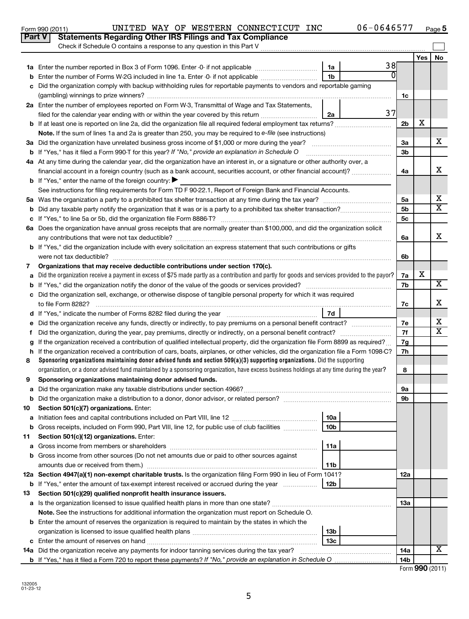|    | Check if Schedule O contains a response to any question in this Part V                                                                          |                 |    |                      |     |                         |
|----|-------------------------------------------------------------------------------------------------------------------------------------------------|-----------------|----|----------------------|-----|-------------------------|
|    |                                                                                                                                                 |                 |    |                      | Yes | No                      |
|    | 1a Enter the number reported in Box 3 of Form 1096. Enter -0- if not applicable                                                                 | 1a              | 38 |                      |     |                         |
|    | <b>b</b> Enter the number of Forms W-2G included in line 1a. Enter -0- if not applicable                                                        | 1b              | 0  |                      |     |                         |
| c  | Did the organization comply with backup withholding rules for reportable payments to vendors and reportable gaming                              |                 |    |                      |     |                         |
|    |                                                                                                                                                 |                 |    | 1c                   |     |                         |
|    | 2a Enter the number of employees reported on Form W-3, Transmittal of Wage and Tax Statements,                                                  |                 |    |                      |     |                         |
|    | filed for the calendar year ending with or within the year covered by this return <i>[[[[[[[[[[[[[[]]]]</i> ]]                                  | 2a              | 37 |                      |     |                         |
|    |                                                                                                                                                 |                 |    | 2 <sub>b</sub>       | х   |                         |
|    | Note. If the sum of lines 1a and 2a is greater than 250, you may be required to e-file (see instructions)                                       |                 |    |                      |     |                         |
|    | 3a Did the organization have unrelated business gross income of \$1,000 or more during the year?                                                |                 |    | За                   |     | x.                      |
|    | <b>b</b> If "Yes," has it filed a Form 990-T for this year? If "No," provide an explanation in Schedule O                                       |                 |    | 3b                   |     |                         |
|    | 4a At any time during the calendar year, did the organization have an interest in, or a signature or other authority over, a                    |                 |    |                      |     | x                       |
|    | financial account in a foreign country (such as a bank account, securities account, or other financial account)?                                |                 |    | 4a                   |     |                         |
|    | <b>b</b> If "Yes," enter the name of the foreign country: $\blacktriangleright$                                                                 |                 |    |                      |     |                         |
|    | See instructions for filing requirements for Form TD F 90-22.1, Report of Foreign Bank and Financial Accounts.                                  |                 |    |                      |     | х                       |
|    |                                                                                                                                                 |                 |    | 5a<br>5 <sub>b</sub> |     | x                       |
|    |                                                                                                                                                 |                 |    | 5c                   |     |                         |
|    | 6a Does the organization have annual gross receipts that are normally greater than \$100,000, and did the organization solicit                  |                 |    |                      |     |                         |
|    |                                                                                                                                                 |                 |    | 6a                   |     | x                       |
|    | b If "Yes," did the organization include with every solicitation an express statement that such contributions or gifts                          |                 |    |                      |     |                         |
|    | were not tax deductible?                                                                                                                        |                 |    | 6b                   |     |                         |
| 7  | Organizations that may receive deductible contributions under section 170(c).                                                                   |                 |    |                      |     |                         |
| a  | Did the organization receive a payment in excess of \$75 made partly as a contribution and partly for goods and services provided to the payor? |                 |    | 7a                   | x   |                         |
|    |                                                                                                                                                 |                 |    | 7b                   |     | x                       |
|    | c Did the organization sell, exchange, or otherwise dispose of tangible personal property for which it was required                             |                 |    |                      |     |                         |
|    | to file Form 8282?                                                                                                                              |                 |    | 7c                   |     | x                       |
|    |                                                                                                                                                 | 7d              |    |                      |     |                         |
|    | e Did the organization receive any funds, directly or indirectly, to pay premiums on a personal benefit contract?                               |                 |    | 7e                   |     | x                       |
| f. |                                                                                                                                                 |                 |    | 7f                   |     | $\overline{\mathtt{x}}$ |
|    | g If the organization received a contribution of qualified intellectual property, did the organization file Form 8899 as required?              |                 |    | 7g                   |     |                         |
|    | h If the organization received a contribution of cars, boats, airplanes, or other vehicles, did the organization file a Form 1098-C?            |                 |    | 7h                   |     |                         |
| 8  | Sponsoring organizations maintaining donor advised funds and section $509(a)(3)$ supporting organizations. Did the supporting                   |                 |    |                      |     |                         |
|    | organization, or a donor advised fund maintained by a sponsoring organization, have excess business holdings at any time during the year?       |                 |    | 8                    |     |                         |
| 9  | Sponsoring organizations maintaining donor advised funds.                                                                                       |                 |    | 9а                   |     |                         |
|    |                                                                                                                                                 |                 |    | 9b                   |     |                         |
| 10 | Section 501(c)(7) organizations. Enter:                                                                                                         |                 |    |                      |     |                         |
|    |                                                                                                                                                 | 10a             |    |                      |     |                         |
|    | <b>b</b> Gross receipts, included on Form 990, Part VIII, line 12, for public use of club facilities                                            | 10 <sub>b</sub> |    |                      |     |                         |
| 11 | Section 501(c)(12) organizations. Enter:                                                                                                        |                 |    |                      |     |                         |
|    |                                                                                                                                                 | 11a             |    |                      |     |                         |
|    | b Gross income from other sources (Do not net amounts due or paid to other sources against                                                      |                 |    |                      |     |                         |
|    | amounts due or received from them.)                                                                                                             | 11b             |    |                      |     |                         |
|    | 12a Section 4947(a)(1) non-exempt charitable trusts. Is the organization filing Form 990 in lieu of Form 1041?                                  |                 |    | 12a                  |     |                         |
|    | <b>b</b> If "Yes," enter the amount of tax-exempt interest received or accrued during the year                                                  | 12b             |    |                      |     |                         |
| 13 | Section 501(c)(29) qualified nonprofit health insurance issuers.                                                                                |                 |    |                      |     |                         |
|    |                                                                                                                                                 |                 |    | 13a                  |     |                         |
|    | Note. See the instructions for additional information the organization must report on Schedule O.                                               |                 |    |                      |     |                         |
|    | <b>b</b> Enter the amount of reserves the organization is required to maintain by the states in which the                                       |                 |    |                      |     |                         |
|    |                                                                                                                                                 | 13 <sub>b</sub> |    |                      |     |                         |
|    |                                                                                                                                                 | 13 <sub>c</sub> |    |                      |     |                         |
|    | 14a Did the organization receive any payments for indoor tanning services during the tax year?                                                  |                 |    | 14a                  |     | x                       |

5

**b** If "Yes," has it filed a Form 720 to report these payments? If "No," provide an explanation in Schedule O

## UNITED WAY OF WESTERN CONNECTICUT INC 06-0646577

**5**

Form (2011) **990**

**14b**

| Form 990 (2011) |  |  | UNITED WAY OF WESTERN CONNECTIC                                         |  |
|-----------------|--|--|-------------------------------------------------------------------------|--|
|                 |  |  | <b>Part V</b> Statements Regarding Other IRS Filings and Tax Compliance |  |

**11**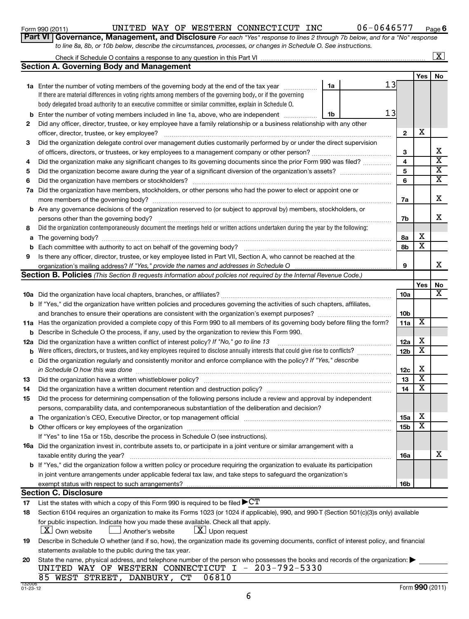## Form 990 (2011) UNITED WAY OF WESTERN CONNECTICUT INC 06-0646577 <sub>Page</sub>

**6**

|  | Part VI   Governance, Management, and Disclosure For each "Yes" response to lines 2 through 7b below, and for a "No" response |  |  |  |
|--|-------------------------------------------------------------------------------------------------------------------------------|--|--|--|
|  | to line 8a, 8b, or 10b below, describe the circumstances, processes, or changes in Schedule O. See instructions.              |  |  |  |

| Check if Schedule O contains a response to any question in this Part VI |     | $\overline{\mathbf{x}}$ |
|-------------------------------------------------------------------------|-----|-------------------------|
| <b>Section A. Governing Body and Management</b>                         |     |                         |
|                                                                         | Yes | No                      |

|     |                                                                                                                                                                                                                                |    |    |                         | Yes                     | No                      |
|-----|--------------------------------------------------------------------------------------------------------------------------------------------------------------------------------------------------------------------------------|----|----|-------------------------|-------------------------|-------------------------|
|     | 1a Enter the number of voting members of the governing body at the end of the tax year                                                                                                                                         | 1a | 13 |                         |                         |                         |
|     | If there are material differences in voting rights among members of the governing body, or if the governing                                                                                                                    |    |    |                         |                         |                         |
|     | body delegated broad authority to an executive committee or similar committee, explain in Schedule O.                                                                                                                          |    |    |                         |                         |                         |
| b   | Enter the number of voting members included in line 1a, above, who are independent                                                                                                                                             | 1b | 13 |                         |                         |                         |
| 2   | Did any officer, director, trustee, or key employee have a family relationship or a business relationship with any other                                                                                                       |    |    |                         |                         |                         |
|     | officer, director, trustee, or key employee?                                                                                                                                                                                   |    |    | $\mathbf{2}$            | х                       |                         |
| З   | Did the organization delegate control over management duties customarily performed by or under the direct supervision                                                                                                          |    |    |                         |                         |                         |
|     |                                                                                                                                                                                                                                |    |    | 3                       |                         | x                       |
| 4   | Did the organization make any significant changes to its governing documents since the prior Form 990 was filed?                                                                                                               |    |    | $\overline{\mathbf{4}}$ |                         | $\overline{\textbf{x}}$ |
| 5   |                                                                                                                                                                                                                                |    |    | 5                       |                         | $\overline{\mathbf{X}}$ |
| 6   |                                                                                                                                                                                                                                |    |    | 6                       |                         | X                       |
| 7а  | Did the organization have members, stockholders, or other persons who had the power to elect or appoint one or                                                                                                                 |    |    |                         |                         |                         |
|     |                                                                                                                                                                                                                                |    |    | 7a                      |                         | х                       |
|     | <b>b</b> Are any governance decisions of the organization reserved to (or subject to approval by) members, stockholders, or                                                                                                    |    |    |                         |                         |                         |
|     | persons other than the governing body?                                                                                                                                                                                         |    |    | 7b                      |                         | x                       |
| 8   | Did the organization contemporaneously document the meetings held or written actions undertaken during the year by the following:                                                                                              |    |    |                         |                         |                         |
|     |                                                                                                                                                                                                                                |    |    | 8а                      | х                       |                         |
| b   |                                                                                                                                                                                                                                |    |    | 8b                      | x                       |                         |
| 9   | Is there any officer, director, trustee, or key employee listed in Part VII, Section A, who cannot be reached at the                                                                                                           |    |    |                         |                         |                         |
|     | organization's mailing address? If "Yes," provide the names and addresses in Schedule O                                                                                                                                        |    |    | 9                       |                         | x                       |
|     | Section B. Policies (This Section B requests information about policies not required by the Internal Revenue Code.)                                                                                                            |    |    |                         |                         |                         |
|     |                                                                                                                                                                                                                                |    |    |                         | Yes                     | No<br>х                 |
|     |                                                                                                                                                                                                                                |    |    | 10a                     |                         |                         |
|     | <b>b</b> If "Yes," did the organization have written policies and procedures governing the activities of such chapters, affiliates,                                                                                            |    |    |                         |                         |                         |
|     |                                                                                                                                                                                                                                |    |    | 10 <sub>b</sub>         | х                       |                         |
|     | 11a Has the organization provided a complete copy of this Form 990 to all members of its governing body before filing the form?                                                                                                |    |    | 11a                     |                         |                         |
| b   | Describe in Schedule O the process, if any, used by the organization to review this Form 990.                                                                                                                                  |    |    |                         | х                       |                         |
| 12a | Did the organization have a written conflict of interest policy? If "No," go to line 13<br>Were officers, directors, or trustees, and key employees required to disclose annually interests that could give rise to conflicts? |    |    | 12a<br>12 <sub>b</sub>  | х                       |                         |
| b   | Did the organization regularly and consistently monitor and enforce compliance with the policy? If "Yes," describe                                                                                                             |    |    |                         |                         |                         |
| с   | in Schedule O how this was done                                                                                                                                                                                                |    |    | 12c                     | х                       |                         |
| 13  |                                                                                                                                                                                                                                |    |    | 13                      | $\overline{\text{X}}$   |                         |
| 14  | Did the organization have a written document retention and destruction policy? [11] manufaction manufaction in                                                                                                                 |    |    | 14                      | $\overline{\text{X}}$   |                         |
| 15  | Did the process for determining compensation of the following persons include a review and approval by independent                                                                                                             |    |    |                         |                         |                         |
|     | persons, comparability data, and contemporaneous substantiation of the deliberation and decision?                                                                                                                              |    |    |                         |                         |                         |
| а   | The organization's CEO, Executive Director, or top management official manufactured content content of the organization's CEO, Executive Director, or top management official manufactured content of the original manufacture |    |    | 15a                     | х                       |                         |
|     |                                                                                                                                                                                                                                |    |    | 15 <sub>b</sub>         | $\overline{\texttt{x}}$ |                         |
|     | If "Yes" to line 15a or 15b, describe the process in Schedule O (see instructions).                                                                                                                                            |    |    |                         |                         |                         |
|     | 16a Did the organization invest in, contribute assets to, or participate in a joint venture or similar arrangement with a                                                                                                      |    |    |                         |                         |                         |
|     | taxable entity during the year?                                                                                                                                                                                                |    |    | <b>16a</b>              |                         | X                       |
|     | <b>b</b> If "Yes," did the organization follow a written policy or procedure requiring the organization to evaluate its participation                                                                                          |    |    |                         |                         |                         |
|     | in joint venture arrangements under applicable federal tax law, and take steps to safeguard the organization's                                                                                                                 |    |    |                         |                         |                         |
|     | exempt status with respect to such arrangements?                                                                                                                                                                               |    |    | 16b                     |                         |                         |
|     | <b>Section C. Disclosure</b>                                                                                                                                                                                                   |    |    |                         |                         |                         |
| 17  | List the states with which a copy of this Form 990 is required to be filed $\blacktriangleright$ CT                                                                                                                            |    |    |                         |                         |                         |

| 18 Section 6104 requires an organization to make its Forms 1023 (or 1024 if applicable), 990, and 990 T (Section 501(c)(3)s only) available |
|---------------------------------------------------------------------------------------------------------------------------------------------|
| for public inspection. Indicate how you made these available. Check all that apply.                                                         |

 $\boxed{\textbf{X}}$  Own website  $\boxed{\textbf{X}}$  Another's website  $\boxed{\textbf{X}}$  Upon request

| 19 Describe in Schedule O whether (and if so, how), the organization made its governing documents, conflict of interest policy, and financial |
|-----------------------------------------------------------------------------------------------------------------------------------------------|
| statements available to the public during the tax year.                                                                                       |

| 20 State the name, physical address, and telephone number of the person who possesses the books and records of the organization: |
|----------------------------------------------------------------------------------------------------------------------------------|
| UNITED WAY OF WESTERN CONNECTICUT I - 203-792-5330                                                                               |
| 85 WEST STREET, DANBURY, CT 06810                                                                                                |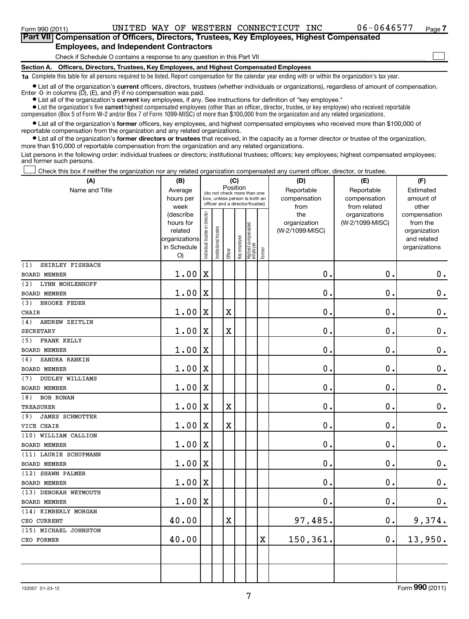### **Section A. Officers, Directors, Trustees, Key Employees, and Highest Compensated Employees** Check if Schedule O contains a response to any question in this Part VII **Part VII Compensation of Officers, Directors, Trustees, Key Employees, Highest Compensated Employees, and Independent Contractors**  $\sim$

**1a**  Complete this table for all persons required to be listed. Report compensation for the calendar year ending with or within the organization's tax year.

**•** List all of the organization's current officers, directors, trustees (whether individuals or organizations), regardless of amount of compensation. Enter -0- in columns (D), (E), and (F) if no compensation was paid.

**•** List all of the organization's **current** key employees, if any. See instructions for definition of "key employee."

 $\bullet$  List the organization's five  $\tt current$  highest compensated employees (other than an officer, director, trustee, or key employee) who received reportable compensation (Box 5 of Form W-2 and/or Box 7 of Form 1099-MISC) of more than \$100,000 from the organization and any related organizations .

 $\bullet$  List all of the organization's former officers, key employees, and highest compensated employees who received more than \$100,000 of reportable compensation from the organization and any related organizations.

**•** List all of the organization's former directors or trustees that received, in the capacity as a former director or trustee of the organization, more than \$10,000 of reportable compensation from the organization and any related organizations.

List persons in the following order: individual trustees or directors; institutional trustees; officers; key employees; highest compensated employees; and former such persons.

Check this box if neither the organization nor any related organization compensated any current officer, director, or trustee.  $\pm$ 

| (A)                           | (B)                          |                                |                                                                  |             | (C)          |                                 |             | (D)             | (E)             | (F)                          |
|-------------------------------|------------------------------|--------------------------------|------------------------------------------------------------------|-------------|--------------|---------------------------------|-------------|-----------------|-----------------|------------------------------|
| Name and Title                | Average                      |                                | (do not check more than one                                      | Position    |              |                                 |             | Reportable      | Reportable      | Estimated                    |
|                               | hours per                    |                                | box, unless person is both an<br>officer and a director/trustee) |             |              |                                 |             | compensation    | compensation    | amount of                    |
|                               | week                         |                                |                                                                  |             |              |                                 |             | from            | from related    | other                        |
|                               | (describe                    |                                |                                                                  |             |              |                                 |             | the             | organizations   | compensation                 |
|                               | hours for                    |                                |                                                                  |             |              |                                 |             | organization    | (W-2/1099-MISC) | from the                     |
|                               | related                      |                                |                                                                  |             |              |                                 |             | (W-2/1099-MISC) |                 | organization                 |
|                               | organizations<br>in Schedule |                                |                                                                  |             |              |                                 |             |                 |                 | and related<br>organizations |
|                               | O)                           | Individual trustee or director | Institutional trustee                                            | Officer     | Key employee | Highest compensated<br>employee | Former      |                 |                 |                              |
| SHIRLEY FISHBACH<br>(1)       |                              |                                |                                                                  |             |              |                                 |             |                 |                 |                              |
| <b>BOARD MEMBER</b>           | 1.00                         | $\mathbf X$                    |                                                                  |             |              |                                 |             | 0.              | 0.              | $\mathbf 0$ .                |
| LYNN MOHLENHOFF<br>(2)        |                              |                                |                                                                  |             |              |                                 |             |                 |                 |                              |
| BOARD MEMBER                  | 1.00                         | $\mathbf X$                    |                                                                  |             |              |                                 |             | 0.              | 0.              | $\mathbf 0$ .                |
| (3)<br><b>BROOKE FEDER</b>    |                              |                                |                                                                  |             |              |                                 |             |                 |                 |                              |
| <b>CHAIR</b>                  | 1.00                         | $\mathbf X$                    |                                                                  | $\mathbf X$ |              |                                 |             | 0.              | 0.              | $\mathbf 0$ .                |
| (4)<br>ANDREW ZEITLIN         |                              |                                |                                                                  |             |              |                                 |             |                 |                 |                              |
| <b>SECRETARY</b>              | 1.00                         | X                              |                                                                  | $\mathbf X$ |              |                                 |             | 0.              | $\mathbf 0$ .   | $\mathbf 0$ .                |
| FRANK KELLY<br>(5)            |                              |                                |                                                                  |             |              |                                 |             |                 |                 |                              |
| <b>BOARD MEMBER</b>           | 1.00                         | $\mathbf X$                    |                                                                  |             |              |                                 |             | 0.              | $\mathbf 0$ .   | $\mathbf 0$ .                |
| (6)<br>SANDRA RANKIN          |                              |                                |                                                                  |             |              |                                 |             |                 |                 |                              |
| <b>BOARD MEMBER</b>           | 1.00                         | X                              |                                                                  |             |              |                                 |             | $\mathbf 0$ .   | $\mathbf 0$ .   | $\mathbf 0$ .                |
| <b>DUDLEY WILLIAMS</b><br>(7) |                              |                                |                                                                  |             |              |                                 |             |                 |                 |                              |
| <b>BOARD MEMBER</b>           | 1.00                         | $\mathbf X$                    |                                                                  |             |              |                                 |             | $\mathbf 0$ .   | 0.              | $\mathbf 0$ .                |
| <b>BOB RONAN</b><br>(8)       |                              |                                |                                                                  |             |              |                                 |             |                 |                 |                              |
| <b>TREASURER</b>              | 1.00                         | X                              |                                                                  | $\rm X$     |              |                                 |             | 0.              | 0.              | $\mathbf 0$ .                |
| <b>JAMES SCHMOTTER</b><br>(9) |                              |                                |                                                                  |             |              |                                 |             |                 |                 |                              |
| VICE CHAIR                    | 1.00                         | $\mathbf X$                    |                                                                  | $\mathbf X$ |              |                                 |             | 0.              | 0.              | $\mathbf 0$ .                |
| (10) WILLIAM CALLION          |                              |                                |                                                                  |             |              |                                 |             |                 |                 |                              |
| <b>BOARD MEMBER</b>           | 1.00                         | X                              |                                                                  |             |              |                                 |             | 0.              | $\mathbf 0$ .   | $\mathbf 0$ .                |
| (11) LAURIE SCHUPMANN         |                              |                                |                                                                  |             |              |                                 |             |                 |                 |                              |
| <b>BOARD MEMBER</b>           | 1.00                         | $\mathbf X$                    |                                                                  |             |              |                                 |             | $\mathbf 0$ .   | 0.              | $\mathbf 0$ .                |
| (12) SHAWN PALMER             |                              |                                |                                                                  |             |              |                                 |             |                 |                 |                              |
| <b>BOARD MEMBER</b>           | 1.00                         | $\mathbf X$                    |                                                                  |             |              |                                 |             | $\mathbf 0$ .   | $\mathbf 0$     | $\mathbf 0$ .                |
| (13) DEBORAH WEYMOUTH         |                              |                                |                                                                  |             |              |                                 |             |                 |                 |                              |
| <b>BOARD MEMBER</b>           | 1.00                         | $\mathbf X$                    |                                                                  |             |              |                                 |             | 0.              | 0.              | $\mathbf 0$ .                |
| (14) KIMBERLY MORGAN          |                              |                                |                                                                  |             |              |                                 |             |                 |                 |                              |
| CEO CURRENT                   | 40.00                        |                                |                                                                  | $\mathbf X$ |              |                                 |             | 97,485.         | $\mathbf 0$ .   | 9,374.                       |
| (15) MICHAEL JOHNSTON         |                              |                                |                                                                  |             |              |                                 |             |                 |                 |                              |
| CEO FORMER                    | 40.00                        |                                |                                                                  |             |              |                                 | $\mathbf X$ | 150,361.        | 0.              | 13,950.                      |
|                               |                              |                                |                                                                  |             |              |                                 |             |                 |                 |                              |
|                               |                              |                                |                                                                  |             |              |                                 |             |                 |                 |                              |
|                               |                              |                                |                                                                  |             |              |                                 |             |                 |                 |                              |
|                               |                              |                                |                                                                  |             |              |                                 |             |                 |                 |                              |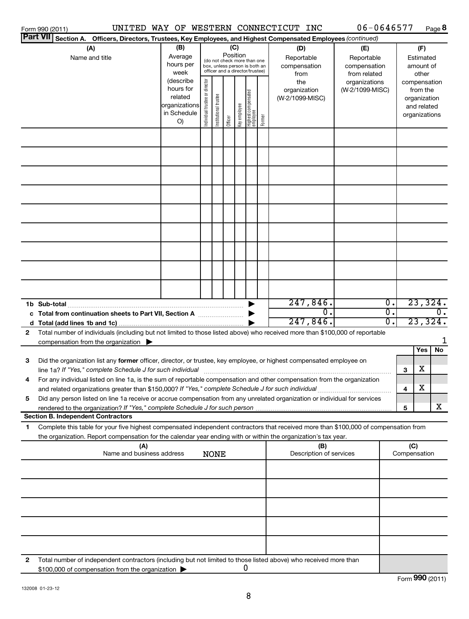|                       | Form 990 (2011)                                                                                                                                                                                                                                        |                                                                         |                                |                       |                 |              |                                                                                                 |        | UNITED WAY OF WESTERN CONNECTICUT INC     | 06-0646577                                        |                                   |                                        | Page 8                                                                   |  |
|-----------------------|--------------------------------------------------------------------------------------------------------------------------------------------------------------------------------------------------------------------------------------------------------|-------------------------------------------------------------------------|--------------------------------|-----------------------|-----------------|--------------|-------------------------------------------------------------------------------------------------|--------|-------------------------------------------|---------------------------------------------------|-----------------------------------|----------------------------------------|--------------------------------------------------------------------------|--|
|                       | <b>Part VII</b><br>Section A. Officers, Directors, Trustees, Key Employees, and Highest Compensated Employees (continued)                                                                                                                              |                                                                         |                                |                       |                 |              |                                                                                                 |        |                                           |                                                   |                                   |                                        |                                                                          |  |
| (A)<br>Name and title |                                                                                                                                                                                                                                                        | (B)<br>Average<br>hours per<br>week                                     |                                |                       | (C)<br>Position |              | (do not check more than one<br>box, unless person is both an<br>officer and a director/trustee) |        | (D)<br>Reportable<br>compensation<br>from | (E)<br>Reportable<br>compensation<br>from related |                                   | (F)<br>Estimated<br>amount of<br>other |                                                                          |  |
|                       |                                                                                                                                                                                                                                                        | (describe<br>hours for<br>related<br>organizations<br>in Schedule<br>O) | Individual trustee or director | Institutional trustee | Officer         | Key employee | Highest compensated<br> employee                                                                | Former | the<br>organization<br>(W-2/1099-MISC)    | organizations<br>(W-2/1099-MISC)                  |                                   |                                        | compensation<br>from the<br>organization<br>and related<br>organizations |  |
|                       |                                                                                                                                                                                                                                                        |                                                                         |                                |                       |                 |              |                                                                                                 |        |                                           |                                                   |                                   |                                        |                                                                          |  |
|                       |                                                                                                                                                                                                                                                        |                                                                         |                                |                       |                 |              |                                                                                                 |        |                                           |                                                   |                                   |                                        |                                                                          |  |
|                       |                                                                                                                                                                                                                                                        |                                                                         |                                |                       |                 |              |                                                                                                 |        |                                           |                                                   |                                   |                                        |                                                                          |  |
|                       |                                                                                                                                                                                                                                                        |                                                                         |                                |                       |                 |              |                                                                                                 |        |                                           |                                                   |                                   |                                        |                                                                          |  |
|                       | c Total from continuation sheets to Part VII, Section A                                                                                                                                                                                                |                                                                         |                                |                       |                 |              |                                                                                                 |        | 247,846.<br>О.                            |                                                   | $\overline{\mathfrak{0}}$ .<br>σ. |                                        | 23,324.<br>$\overline{0}$ .                                              |  |
|                       |                                                                                                                                                                                                                                                        |                                                                         |                                |                       |                 |              |                                                                                                 |        | 247,846.                                  |                                                   | σ.                                |                                        | 23,324.                                                                  |  |
| $\mathbf{2}$          | Total number of individuals (including but not limited to those listed above) who received more than \$100,000 of reportable<br>compensation from the organization $\blacktriangleright$                                                               |                                                                         |                                |                       |                 |              |                                                                                                 |        |                                           |                                                   |                                   |                                        |                                                                          |  |
| 3                     | Did the organization list any former officer, director, or trustee, key employee, or highest compensated employee on                                                                                                                                   |                                                                         |                                |                       |                 |              |                                                                                                 |        |                                           |                                                   |                                   |                                        | No<br>Yes                                                                |  |
| 4                     | line 1a? If "Yes." complete Schedule J for such individual<br>For any individual listed on line 1a, is the sum of reportable compensation and other compensation from the organization                                                                 |                                                                         |                                |                       |                 |              |                                                                                                 |        |                                           |                                                   |                                   | 3                                      | Χ<br>х                                                                   |  |
| 5                     | Did any person listed on line 1a receive or accrue compensation from any unrelated organization or individual for services                                                                                                                             |                                                                         |                                |                       |                 |              |                                                                                                 |        |                                           |                                                   |                                   | 4                                      |                                                                          |  |
|                       | Section B. Independent Contractors                                                                                                                                                                                                                     |                                                                         |                                |                       |                 |              |                                                                                                 |        |                                           |                                                   |                                   | 5                                      | x                                                                        |  |
| 1                     | Complete this table for your five highest compensated independent contractors that received more than \$100,000 of compensation from<br>the organization. Report compensation for the calendar year ending with or within the organization's tax year. |                                                                         |                                |                       |                 |              |                                                                                                 |        |                                           |                                                   |                                   |                                        |                                                                          |  |
|                       | (A)<br>Name and business address                                                                                                                                                                                                                       |                                                                         |                                | <b>NONE</b>           |                 |              |                                                                                                 |        | (B)<br>Description of services            |                                                   |                                   | (C)<br>Compensation                    |                                                                          |  |
|                       |                                                                                                                                                                                                                                                        |                                                                         |                                |                       |                 |              |                                                                                                 |        |                                           |                                                   |                                   |                                        |                                                                          |  |
|                       |                                                                                                                                                                                                                                                        |                                                                         |                                |                       |                 |              |                                                                                                 |        |                                           |                                                   |                                   |                                        |                                                                          |  |
|                       |                                                                                                                                                                                                                                                        |                                                                         |                                |                       |                 |              |                                                                                                 |        |                                           |                                                   |                                   |                                        |                                                                          |  |
|                       |                                                                                                                                                                                                                                                        |                                                                         |                                |                       |                 |              |                                                                                                 |        |                                           |                                                   |                                   |                                        |                                                                          |  |
|                       |                                                                                                                                                                                                                                                        |                                                                         |                                |                       |                 |              |                                                                                                 |        |                                           |                                                   |                                   |                                        |                                                                          |  |
| 2                     | Total number of independent contractors (including but not limited to those listed above) who received more than<br>\$100,000 of compensation from the organization                                                                                    |                                                                         |                                |                       |                 |              | U                                                                                               |        |                                           |                                                   |                                   |                                        |                                                                          |  |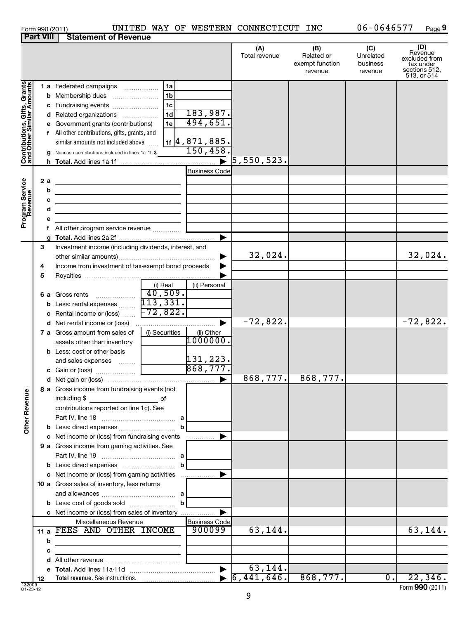| טו זו ש |  |
|---------|--|
|         |  |

|                              |    | 1 a Federated campaigns                                           | 1a                     |                                 |                                  |          |     |                 |
|------------------------------|----|-------------------------------------------------------------------|------------------------|---------------------------------|----------------------------------|----------|-----|-----------------|
| Contributions, Gifts, Grants |    | <b>b</b> Membership dues                                          | 1 <sub>b</sub>         |                                 |                                  |          |     |                 |
|                              |    | c Fundraising events                                              | 1c                     |                                 |                                  |          |     |                 |
|                              |    | d Related organizations                                           | 1 <sub>d</sub>         | 183,987.                        |                                  |          |     |                 |
|                              |    | e Government grants (contributions)                               | 1e                     | 494,651.                        |                                  |          |     |                 |
|                              |    | All other contributions, gifts, grants, and                       |                        |                                 |                                  |          |     |                 |
|                              |    | similar amounts not included above                                |                        | $1$ f $\frac{4}{9}$ , 871, 885. |                                  |          |     |                 |
|                              |    | g Noncash contributions included in lines 1a-1f: \$               |                        | 150,458                         |                                  |          |     |                 |
|                              |    |                                                                   |                        |                                 | $\overline{\bullet}$ 5,550,523.  |          |     |                 |
|                              |    |                                                                   |                        | <b>Business Code</b>            |                                  |          |     |                 |
|                              | 2a | <u> 1989 - Andrea State Barbara, amerikan personal (h. 1989).</u> |                        |                                 |                                  |          |     |                 |
|                              | b  | <u> 1989 - Andrea Andrew Maria (h. 1989).</u>                     |                        |                                 |                                  |          |     |                 |
|                              | с  |                                                                   |                        |                                 |                                  |          |     |                 |
|                              | d  |                                                                   |                        |                                 |                                  |          |     |                 |
| Program Service<br>Revenue   |    |                                                                   |                        |                                 |                                  |          |     |                 |
|                              |    | <b>f</b> All other program service revenue $\ldots$ $\ldots$      |                        |                                 |                                  |          |     |                 |
|                              |    |                                                                   |                        |                                 |                                  |          |     |                 |
|                              | 3  | Investment income (including dividends, interest, and             |                        |                                 |                                  |          |     |                 |
|                              |    |                                                                   |                        |                                 | 32,024.                          |          |     | 32,024.         |
|                              | 4  | Income from investment of tax-exempt bond proceeds                |                        |                                 |                                  |          |     |                 |
|                              | 5  |                                                                   |                        |                                 |                                  |          |     |                 |
|                              |    |                                                                   | (i) Real               | (ii) Personal                   |                                  |          |     |                 |
|                              |    | 6 a Gross rents                                                   | $\overline{40}$ , 509. |                                 |                                  |          |     |                 |
|                              |    |                                                                   |                        |                                 |                                  |          |     |                 |
|                              |    | c Rental income or (loss) $\frac{1}{2}$ $\frac{72}{822}$ .        |                        |                                 |                                  |          |     |                 |
|                              |    |                                                                   |                        |                                 | $-72,822.$                       |          |     | $-72,822.$      |
|                              |    | <b>7 a</b> Gross amount from sales of                             | (i) Securities         | (ii) Other                      |                                  |          |     |                 |
|                              |    | assets other than inventory                                       |                        | 1000000.                        |                                  |          |     |                 |
|                              |    | <b>b</b> Less: cost or other basis                                |                        |                                 |                                  |          |     |                 |
|                              |    | and sales expenses                                                |                        | $\frac{131,223}{868,777}$       |                                  |          |     |                 |
|                              |    |                                                                   |                        |                                 |                                  |          |     |                 |
|                              |    |                                                                   |                        |                                 | 868,777.                         | 868,777. |     |                 |
|                              |    | 8 a Gross income from fundraising events (not                     |                        |                                 |                                  |          |     |                 |
|                              |    | including \$                                                      |                        |                                 |                                  |          |     |                 |
|                              |    | contributions reported on line 1c). See                           |                        |                                 |                                  |          |     |                 |
|                              |    |                                                                   |                        |                                 |                                  |          |     |                 |
| <b>Other Revenue</b>         |    |                                                                   |                        | þ                               |                                  |          |     |                 |
|                              |    | c Net income or (loss) from fundraising events                    |                        | .                               |                                  |          |     |                 |
|                              |    | 9 a Gross income from gaming activities. See                      |                        |                                 |                                  |          |     |                 |
|                              |    |                                                                   |                        |                                 |                                  |          |     |                 |
|                              |    |                                                                   |                        |                                 |                                  |          |     |                 |
|                              |    | c Net income or (loss) from gaming activities                     |                        |                                 |                                  |          |     |                 |
|                              |    | 10 a Gross sales of inventory, less returns                       |                        |                                 |                                  |          |     |                 |
|                              |    |                                                                   |                        |                                 |                                  |          |     |                 |
|                              |    |                                                                   |                        |                                 |                                  |          |     |                 |
|                              |    | c Net income or (loss) from sales of inventory                    |                        |                                 |                                  |          |     |                 |
|                              |    | Miscellaneous Revenue<br>11 a FEES AND OTHER INCOME               |                        | <b>Business Code</b><br>900099  | 63,144.                          |          |     | 63,144.         |
|                              |    |                                                                   |                        |                                 |                                  |          |     |                 |
|                              | b  |                                                                   |                        |                                 |                                  |          |     |                 |
|                              | с  |                                                                   |                        |                                 |                                  |          |     |                 |
|                              |    |                                                                   |                        |                                 | 63,144.                          |          |     |                 |
|                              |    |                                                                   |                        |                                 | $\blacktriangleright$ 6,441,646. | 868,777. | 0.1 | 22,346.         |
| 132009<br>01-23-12           | 12 |                                                                   |                        |                                 |                                  |          |     | Form 990 (2011) |
|                              |    |                                                                   |                        |                                 | 9                                |          |     |                 |
|                              |    |                                                                   |                        |                                 |                                  |          |     |                 |

**Part VIII Statement of Revenue**

Form 990 (2011) Page UNITED WAY OF WESTERN CONNECTICUT INC 06-0646577

**9**

**(A) (B) (C) (D)**<br>
revenue Related or Unrelated excluded from<br>
exempt function business tax under<br>
revenue revenue sections 512,<br>
513, or 514

Unrelated business revenue

Total revenue Related or

exempt function revenue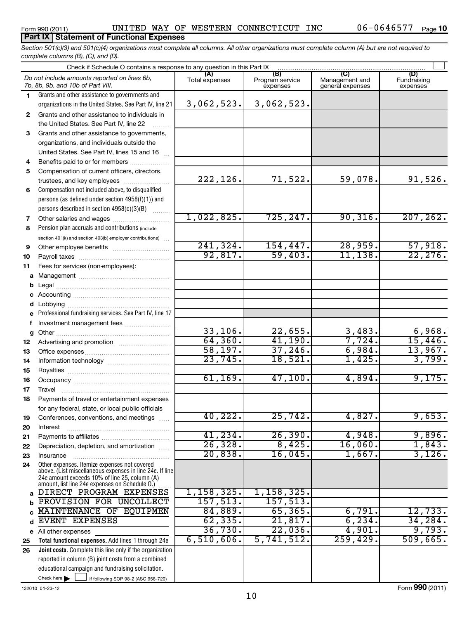## **Part IX Statement of Functional Expenses**

*Section 501(c)(3) and 501(c)(4) organizations must complete all columns. All other organizations must complete column (A) but are not required to complete columns (B), (C), and (D).*

| Check if Schedule O contains a response to any question in this Part IX [11] manufactured in the Schedule O contains a response to any question in this Part IX [11] manufactured in the Schedule O contains and the Schedule |                                                                                                           |                |                                    |                                                      |                                |  |  |  |  |  |
|-------------------------------------------------------------------------------------------------------------------------------------------------------------------------------------------------------------------------------|-----------------------------------------------------------------------------------------------------------|----------------|------------------------------------|------------------------------------------------------|--------------------------------|--|--|--|--|--|
|                                                                                                                                                                                                                               | Do not include amounts reported on lines 6b,<br>7b, 8b, 9b, and 10b of Part VIII.                         | Total expenses | (B)<br>Program service<br>expenses | $\overline{C}$<br>Management and<br>general expenses | (D)<br>Fundraising<br>expenses |  |  |  |  |  |
| 1.                                                                                                                                                                                                                            | Grants and other assistance to governments and                                                            |                |                                    |                                                      |                                |  |  |  |  |  |
|                                                                                                                                                                                                                               | organizations in the United States. See Part IV, line 21                                                  | 3,062,523.     | 3,062,523.                         |                                                      |                                |  |  |  |  |  |
| $\mathbf{2}$                                                                                                                                                                                                                  | Grants and other assistance to individuals in                                                             |                |                                    |                                                      |                                |  |  |  |  |  |
|                                                                                                                                                                                                                               | the United States. See Part IV, line 22                                                                   |                |                                    |                                                      |                                |  |  |  |  |  |
| 3                                                                                                                                                                                                                             | Grants and other assistance to governments,                                                               |                |                                    |                                                      |                                |  |  |  |  |  |
|                                                                                                                                                                                                                               | organizations, and individuals outside the                                                                |                |                                    |                                                      |                                |  |  |  |  |  |
|                                                                                                                                                                                                                               | United States. See Part IV, lines 15 and 16                                                               |                |                                    |                                                      |                                |  |  |  |  |  |
| 4                                                                                                                                                                                                                             | Benefits paid to or for members                                                                           |                |                                    |                                                      |                                |  |  |  |  |  |
| 5                                                                                                                                                                                                                             | Compensation of current officers, directors,                                                              |                |                                    |                                                      |                                |  |  |  |  |  |
|                                                                                                                                                                                                                               | trustees, and key employees                                                                               | 222,126.       | 71,522.                            | 59,078.                                              | 91,526.                        |  |  |  |  |  |
| 6                                                                                                                                                                                                                             | Compensation not included above, to disqualified                                                          |                |                                    |                                                      |                                |  |  |  |  |  |
|                                                                                                                                                                                                                               | persons (as defined under section 4958(f)(1)) and                                                         |                |                                    |                                                      |                                |  |  |  |  |  |
|                                                                                                                                                                                                                               | persons described in section 4958(c)(3)(B)                                                                | 1,022,825.     | 725, 247.                          | 90, 316.                                             | 207, 262.                      |  |  |  |  |  |
| 7<br>8                                                                                                                                                                                                                        | Other salaries and wages<br>Pension plan accruals and contributions (include                              |                |                                    |                                                      |                                |  |  |  |  |  |
|                                                                                                                                                                                                                               | section 401(k) and section 403(b) employer contributions)                                                 |                |                                    |                                                      |                                |  |  |  |  |  |
| 9                                                                                                                                                                                                                             |                                                                                                           | 241, 324.      | 154, 447.                          | 28,959.                                              | 57,918.                        |  |  |  |  |  |
| 10                                                                                                                                                                                                                            |                                                                                                           | 92,817.        | 59,403.                            | 11, 138.                                             | 22, 276.                       |  |  |  |  |  |
| 11                                                                                                                                                                                                                            | Fees for services (non-employees):                                                                        |                |                                    |                                                      |                                |  |  |  |  |  |
| a                                                                                                                                                                                                                             |                                                                                                           |                |                                    |                                                      |                                |  |  |  |  |  |
| b                                                                                                                                                                                                                             |                                                                                                           |                |                                    |                                                      |                                |  |  |  |  |  |
| с                                                                                                                                                                                                                             |                                                                                                           |                |                                    |                                                      |                                |  |  |  |  |  |
| d                                                                                                                                                                                                                             |                                                                                                           |                |                                    |                                                      |                                |  |  |  |  |  |
| e                                                                                                                                                                                                                             | Professional fundraising services. See Part IV, line 17                                                   |                |                                    |                                                      |                                |  |  |  |  |  |
| f                                                                                                                                                                                                                             | Investment management fees                                                                                |                |                                    |                                                      |                                |  |  |  |  |  |
| g                                                                                                                                                                                                                             |                                                                                                           | 33,106.        | 22,655.                            | 3,483.                                               | 6,968.                         |  |  |  |  |  |
| 12                                                                                                                                                                                                                            |                                                                                                           | 64, 360.       | 41,190.                            | 7,724.                                               | 15,446.                        |  |  |  |  |  |
| 13                                                                                                                                                                                                                            |                                                                                                           | 58, 197.       | 37,246.                            | 6,984.                                               | 13,967.                        |  |  |  |  |  |
| 14                                                                                                                                                                                                                            |                                                                                                           | 23,745.        | 18,521.                            | 1,425.                                               | 3,799.                         |  |  |  |  |  |
| 15                                                                                                                                                                                                                            |                                                                                                           |                |                                    |                                                      |                                |  |  |  |  |  |
| 16                                                                                                                                                                                                                            |                                                                                                           | 61, 169.       | 47,100.                            | 4,894.                                               | 9,175.                         |  |  |  |  |  |
| 17                                                                                                                                                                                                                            |                                                                                                           |                |                                    |                                                      |                                |  |  |  |  |  |
| 18                                                                                                                                                                                                                            | Payments of travel or entertainment expenses                                                              |                |                                    |                                                      |                                |  |  |  |  |  |
|                                                                                                                                                                                                                               | for any federal, state, or local public officials                                                         | 40,222.        | 25,742.                            | 4,827.                                               | 9,653.                         |  |  |  |  |  |
| 19                                                                                                                                                                                                                            | Conferences, conventions, and meetings<br>Interest                                                        |                |                                    |                                                      |                                |  |  |  |  |  |
| 20<br>21                                                                                                                                                                                                                      |                                                                                                           | 41,234.        | 26, 390.                           | 4,948.                                               | 9,896.                         |  |  |  |  |  |
| 22                                                                                                                                                                                                                            | Depreciation, depletion, and amortization                                                                 | 26, 328.       | 8,425.                             | 16,060.                                              | 1,843.                         |  |  |  |  |  |
| 23                                                                                                                                                                                                                            | Insurance                                                                                                 | 20,838.        | 16,045.                            | 1,667.                                               | 3,126.                         |  |  |  |  |  |
| 24                                                                                                                                                                                                                            | Other expenses. Itemize expenses not covered                                                              |                |                                    |                                                      |                                |  |  |  |  |  |
|                                                                                                                                                                                                                               | above. (List miscellaneous expenses in line 24e. If line<br>24e amount exceeds 10% of line 25, column (A) |                |                                    |                                                      |                                |  |  |  |  |  |
|                                                                                                                                                                                                                               | amount, list line 24e expenses on Schedule O.)                                                            |                |                                    |                                                      |                                |  |  |  |  |  |
| a                                                                                                                                                                                                                             | DIRECT PROGRAM EXPENSES                                                                                   | 1,158,325.     | 1,158,325.                         |                                                      |                                |  |  |  |  |  |
| b                                                                                                                                                                                                                             | PROVISION FOR UNCOLLECT                                                                                   | 157, 513.      | 157, 513.                          |                                                      |                                |  |  |  |  |  |
|                                                                                                                                                                                                                               | MAINTENANCE OF EQUIPMEN                                                                                   | 84,889.        | 65, 365.                           | 6,791.                                               | 12,733.                        |  |  |  |  |  |
| d                                                                                                                                                                                                                             | <b>EVENT EXPENSES</b>                                                                                     | 62, 335.       | 21,817.                            | 6, 234.                                              | 34, 284.                       |  |  |  |  |  |
|                                                                                                                                                                                                                               | e All other expenses                                                                                      | 36,730.        | 22,036.                            | 4,901.                                               | 9,793.                         |  |  |  |  |  |
| 25                                                                                                                                                                                                                            | Total functional expenses. Add lines 1 through 24e                                                        | 6,510,606.     | 5,741,512.                         | 259, 429.                                            | 509,665.                       |  |  |  |  |  |
| 26                                                                                                                                                                                                                            | Joint costs. Complete this line only if the organization                                                  |                |                                    |                                                      |                                |  |  |  |  |  |
|                                                                                                                                                                                                                               | reported in column (B) joint costs from a combined                                                        |                |                                    |                                                      |                                |  |  |  |  |  |
|                                                                                                                                                                                                                               | educational campaign and fundraising solicitation.                                                        |                |                                    |                                                      |                                |  |  |  |  |  |
|                                                                                                                                                                                                                               | Check here<br>if following SOP 98-2 (ASC 958-720)                                                         |                |                                    |                                                      |                                |  |  |  |  |  |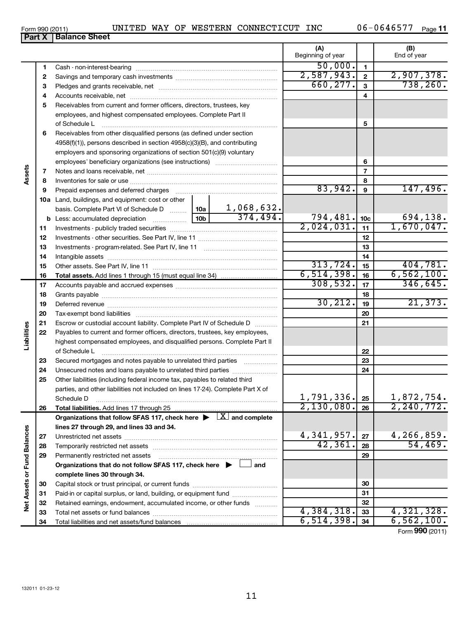Total liabilities and net assets/fund balances

Capital stock or trust principal, or current funds ~~~~~~~~~~~~~~~ Paid-in or capital surplus, or land, building, or equipment fund ...................... Retained earnings, endowment, accumulated income, or other funds ............ Total net assets or fund balances ~~~~~~~~~~~~~~~~~~~~~~

11

|                             | Form 990 (2011) | UNITED WAY OF WESTERN CONNECTICUT INC                                                                                                                         |  |            |                          |                 | 06-0646577<br>Page 11         |
|-----------------------------|-----------------|---------------------------------------------------------------------------------------------------------------------------------------------------------------|--|------------|--------------------------|-----------------|-------------------------------|
|                             | Part X          | <b>Balance Sheet</b>                                                                                                                                          |  |            |                          |                 |                               |
|                             |                 |                                                                                                                                                               |  |            | (A)<br>Beginning of year |                 | (B)<br>End of year            |
|                             |                 |                                                                                                                                                               |  |            |                          |                 |                               |
|                             | 1               |                                                                                                                                                               |  | 50,000.    | $\mathbf{1}$             |                 |                               |
|                             | 2               |                                                                                                                                                               |  |            | 2,587,943.               | $\mathbf{2}$    | 2,907,378.                    |
|                             | З               |                                                                                                                                                               |  | 660, 277.  | 3                        | 738, 260.       |                               |
| Assets                      | 4               |                                                                                                                                                               |  |            |                          | 4               |                               |
|                             | 5               | Receivables from current and former officers, directors, trustees, key                                                                                        |  |            |                          |                 |                               |
|                             |                 | employees, and highest compensated employees. Complete Part II                                                                                                |  |            |                          |                 |                               |
|                             |                 | of Schedule L                                                                                                                                                 |  |            |                          | 5               |                               |
|                             | 6               | Receivables from other disqualified persons (as defined under section                                                                                         |  |            |                          |                 |                               |
|                             |                 | 4958(f)(1)), persons described in section 4958(c)(3)(B), and contributing                                                                                     |  |            |                          |                 |                               |
|                             |                 | employers and sponsoring organizations of section 501(c)(9) voluntary                                                                                         |  |            |                          |                 |                               |
|                             |                 |                                                                                                                                                               |  |            |                          | 6               |                               |
|                             | 7               |                                                                                                                                                               |  |            | $\overline{7}$           |                 |                               |
|                             | 8               |                                                                                                                                                               |  |            |                          | 8               |                               |
|                             | 9               | Prepaid expenses and deferred charges                                                                                                                         |  |            | 83,942.                  | 9               | 147,496.                      |
|                             |                 | 10a Land, buildings, and equipment: cost or other                                                                                                             |  |            |                          |                 |                               |
|                             |                 |                                                                                                                                                               |  |            |                          |                 |                               |
|                             |                 |                                                                                                                                                               |  |            | 794, 481.                | 10 <sub>c</sub> | 694,138.                      |
|                             | 11              |                                                                                                                                                               |  | 2,024,031. | 11                       | 1,670,047.      |                               |
|                             | 12              |                                                                                                                                                               |  |            |                          | 12              |                               |
|                             | 13              |                                                                                                                                                               |  |            |                          | 13              |                               |
|                             | 14              |                                                                                                                                                               |  |            |                          | 14              |                               |
|                             | 15              |                                                                                                                                                               |  |            | 313,724.                 | 15              | 404,781.                      |
|                             | 16              |                                                                                                                                                               |  |            | 6, 514, 398.             | 16              | 6,562,100.                    |
|                             | 17              |                                                                                                                                                               |  |            | 308,532.                 | 17              | 346,645.                      |
|                             | 18              |                                                                                                                                                               |  |            |                          | 18              |                               |
|                             | 19              |                                                                                                                                                               |  |            | 30, 212.                 | 19              | 21,373.                       |
|                             | 20              |                                                                                                                                                               |  |            |                          | 20              |                               |
|                             | 21              | Escrow or custodial account liability. Complete Part IV of Schedule D                                                                                         |  |            |                          | 21              |                               |
| Liabilities                 | 22              | Payables to current and former officers, directors, trustees, key employees,                                                                                  |  |            |                          |                 |                               |
|                             |                 | highest compensated employees, and disqualified persons. Complete Part II                                                                                     |  |            |                          |                 |                               |
|                             |                 | of Schedule L                                                                                                                                                 |  |            |                          | 22              |                               |
|                             | 23              | Secured mortgages and notes payable to unrelated third parties                                                                                                |  |            |                          | 23              |                               |
|                             | 24              | Unsecured notes and loans payable to unrelated third parties                                                                                                  |  |            |                          | 24              |                               |
|                             | 25              | Other liabilities (including federal income tax, payables to related third<br>parties, and other liabilities not included on lines 17-24). Complete Part X of |  |            |                          |                 |                               |
|                             |                 | Schedule D                                                                                                                                                    |  |            | 1,791,336.               | 25              |                               |
|                             | 26              | Total liabilities. Add lines 17 through 25                                                                                                                    |  |            | 2,130,080.               | 26              | $\frac{1,872,754}{2,240,772}$ |
|                             |                 | Organizations that follow SFAS 117, check here $\blacktriangleright \Box X$ and complete                                                                      |  |            |                          |                 |                               |
|                             |                 | lines 27 through 29, and lines 33 and 34.                                                                                                                     |  |            |                          |                 |                               |
|                             | 27              |                                                                                                                                                               |  |            | 4,341,957.               | 27              | 4,266,859.                    |
|                             | 28              |                                                                                                                                                               |  | 42,361.    | 28                       | 54,469.         |                               |
|                             | 29              | Permanently restricted net assets                                                                                                                             |  |            |                          | 29              |                               |
|                             |                 | Organizations that do not follow SFAS 117, check here $\blacktriangleright$                                                                                   |  | and        |                          |                 |                               |
|                             |                 | complete lines 30 through 34.                                                                                                                                 |  |            |                          |                 |                               |
|                             | 30              |                                                                                                                                                               |  |            |                          | 30              |                               |
|                             |                 | Paid-in or capital surplus, or land, building, or equipment fund                                                                                              |  |            |                          | 31              |                               |
|                             |                 |                                                                                                                                                               |  |            |                          |                 |                               |
| Net Assets or Fund Balances | 31<br>32        | Retained earnings, endowment, accumulated income, or other funds                                                                                              |  |            |                          | 32              |                               |

645.

Form (2011) **990**

4,384,318. 4,321,328.  $6,514,398$ .  $34$  6,562,100.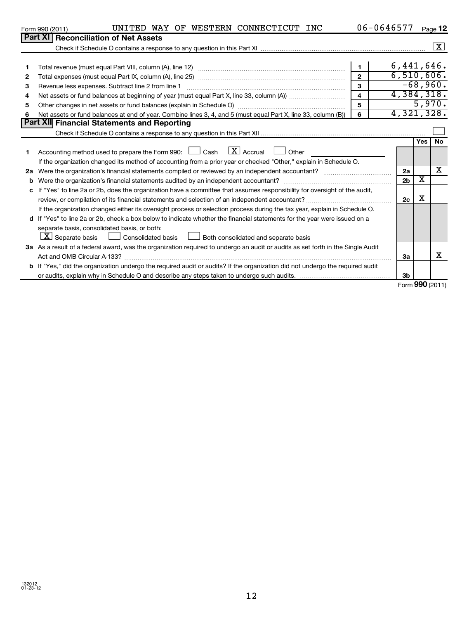|    | UNITED WAY OF WESTERN CONNECTICUT INC<br>Form 990 (2011)                                                                        |                         | 06-0646577 |                |                         | Page 12              |
|----|---------------------------------------------------------------------------------------------------------------------------------|-------------------------|------------|----------------|-------------------------|----------------------|
|    | <b>Part XI Reconciliation of Net Assets</b>                                                                                     |                         |            |                |                         |                      |
|    |                                                                                                                                 |                         |            |                |                         | $\boxed{\textbf{X}}$ |
|    |                                                                                                                                 |                         |            |                |                         |                      |
| 1  |                                                                                                                                 | $\mathbf{1}$            |            | 6,441,646.     |                         |                      |
| 2  |                                                                                                                                 | $\overline{2}$          |            | 6,510,606.     |                         |                      |
| 3  | Revenue less expenses. Subtract line 2 from line 1                                                                              | $\overline{\mathbf{3}}$ |            |                |                         | $-68,960.$           |
| 4  |                                                                                                                                 | $\overline{4}$          |            | 4,384,318.     |                         |                      |
| 5  |                                                                                                                                 | 5                       |            |                |                         | 5,970.               |
| 6  | Net assets or fund balances at end of year. Combine lines 3, 4, and 5 (must equal Part X, line 33, column (B))                  | 6                       |            | 4,321,328.     |                         |                      |
|    | <b>Part XII Financial Statements and Reporting</b>                                                                              |                         |            |                |                         |                      |
|    |                                                                                                                                 |                         |            |                |                         |                      |
|    |                                                                                                                                 |                         |            |                | Yes                     | <b>No</b>            |
|    | Accounting method used to prepare the Form 990: $\Box$ Cash $\Box X$ Accrual $\Box$ Other                                       |                         |            |                |                         |                      |
|    | If the organization changed its method of accounting from a prior year or checked "Other," explain in Schedule O.               |                         |            |                |                         |                      |
| 2a | Were the organization's financial statements compiled or reviewed by an independent accountant?                                 |                         |            | 2a             |                         | x                    |
| b  | Were the organization's financial statements audited by an independent accountant?                                              |                         |            | 2 <sub>b</sub> | $\overline{\textbf{x}}$ |                      |
| c  | If "Yes" to line 2a or 2b, does the organization have a committee that assumes responsibility for oversight of the audit,       |                         |            |                |                         |                      |
|    | review, or compilation of its financial statements and selection of an independent accountant?                                  |                         |            | 2c             | х                       |                      |
|    | If the organization changed either its oversight process or selection process during the tax year, explain in Schedule O.       |                         |            |                |                         |                      |
|    | d If "Yes" to line 2a or 2b, check a box below to indicate whether the financial statements for the year were issued on a       |                         |            |                |                         |                      |
|    | separate basis, consolidated basis, or both:                                                                                    |                         |            |                |                         |                      |
|    | $ \mathbf{X} $ Separate basis $ \Box $ Consolidated basis $ \Box $ Both consolidated and separate basis                         |                         |            |                |                         |                      |
|    | 3a As a result of a federal award, was the organization required to undergo an audit or audits as set forth in the Single Audit |                         |            |                |                         |                      |
|    | Act and OMB Circular A-133?                                                                                                     |                         |            | За             |                         | х                    |
|    | b If "Yes," did the organization undergo the required audit or audits? If the organization did not undergo the required audit   |                         |            |                |                         |                      |
|    |                                                                                                                                 |                         |            | 3b             |                         |                      |

Form (2011) **990**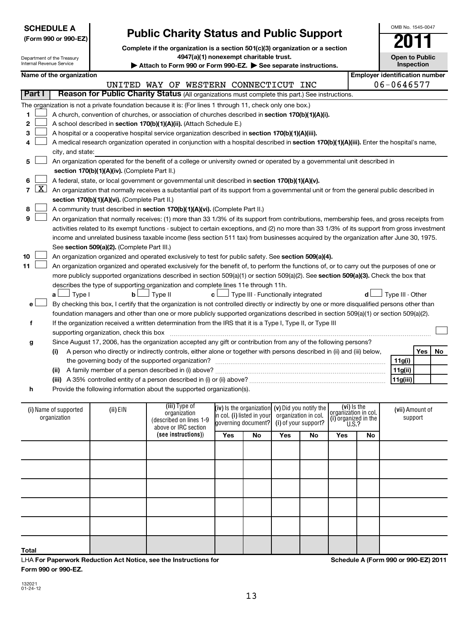|                                           | <b>SCHEDULE A</b>                                                                                                                          |                                               |                                                                                                                                               | OMB No. 1545-0047     |                                                        |     |                      |     |                                                                                   |                                       |
|-------------------------------------------|--------------------------------------------------------------------------------------------------------------------------------------------|-----------------------------------------------|-----------------------------------------------------------------------------------------------------------------------------------------------|-----------------------|--------------------------------------------------------|-----|----------------------|-----|-----------------------------------------------------------------------------------|---------------------------------------|
|                                           | (Form 990 or 990-EZ)                                                                                                                       |                                               | <b>Public Charity Status and Public Support</b>                                                                                               |                       |                                                        |     |                      |     |                                                                                   |                                       |
|                                           |                                                                                                                                            |                                               | Complete if the organization is a section 501(c)(3) organization or a section                                                                 |                       |                                                        |     |                      |     |                                                                                   |                                       |
|                                           | Department of the Treasury                                                                                                                 |                                               | 4947(a)(1) nonexempt charitable trust.                                                                                                        | <b>Open to Public</b> |                                                        |     |                      |     |                                                                                   |                                       |
| Internal Revenue Service                  |                                                                                                                                            |                                               | Attach to Form 990 or Form 990-EZ. See separate instructions.                                                                                 |                       |                                                        |     |                      |     |                                                                                   | Inspection                            |
|                                           | Name of the organization                                                                                                                   |                                               |                                                                                                                                               |                       |                                                        |     |                      |     |                                                                                   | <b>Employer identification number</b> |
|                                           |                                                                                                                                            |                                               | UNITED WAY OF WESTERN CONNECTICUT INC                                                                                                         |                       |                                                        |     |                      |     |                                                                                   | 06-0646577                            |
| Part I                                    |                                                                                                                                            |                                               | Reason for Public Charity Status (All organizations must complete this part.) See instructions.                                               |                       |                                                        |     |                      |     |                                                                                   |                                       |
|                                           |                                                                                                                                            |                                               | The organization is not a private foundation because it is: (For lines 1 through 11, check only one box.)                                     |                       |                                                        |     |                      |     |                                                                                   |                                       |
| 1                                         |                                                                                                                                            |                                               | A church, convention of churches, or association of churches described in section 170(b)(1)(A)(i).                                            |                       |                                                        |     |                      |     |                                                                                   |                                       |
| 2                                         |                                                                                                                                            |                                               | A school described in section 170(b)(1)(A)(ii). (Attach Schedule E.)                                                                          |                       |                                                        |     |                      |     |                                                                                   |                                       |
| 3                                         |                                                                                                                                            |                                               | A hospital or a cooperative hospital service organization described in section 170(b)(1)(A)(iii).                                             |                       |                                                        |     |                      |     |                                                                                   |                                       |
|                                           | A medical research organization operated in conjunction with a hospital described in section 170(b)(1)(A)(iii). Enter the hospital's name, |                                               |                                                                                                                                               |                       |                                                        |     |                      |     |                                                                                   |                                       |
|                                           | city, and state:                                                                                                                           |                                               |                                                                                                                                               |                       |                                                        |     |                      |     |                                                                                   |                                       |
| 5                                         |                                                                                                                                            |                                               | An organization operated for the benefit of a college or university owned or operated by a governmental unit described in                     |                       |                                                        |     |                      |     |                                                                                   |                                       |
|                                           |                                                                                                                                            | section 170(b)(1)(A)(iv). (Complete Part II.) |                                                                                                                                               |                       |                                                        |     |                      |     |                                                                                   |                                       |
| 6                                         |                                                                                                                                            |                                               | A federal, state, or local government or governmental unit described in section 170(b)(1)(A)(v).                                              |                       |                                                        |     |                      |     |                                                                                   |                                       |
| $\overline{\mathbf{X}}$<br>$\overline{7}$ |                                                                                                                                            |                                               | An organization that normally receives a substantial part of its support from a governmental unit or from the general public described in     |                       |                                                        |     |                      |     |                                                                                   |                                       |
|                                           |                                                                                                                                            | section 170(b)(1)(A)(vi). (Complete Part II.) |                                                                                                                                               |                       |                                                        |     |                      |     |                                                                                   |                                       |
| 8                                         |                                                                                                                                            |                                               | A community trust described in section 170(b)(1)(A)(vi). (Complete Part II.)                                                                  |                       |                                                        |     |                      |     |                                                                                   |                                       |
| 9                                         |                                                                                                                                            |                                               | An organization that normally receives: (1) more than 33 1/3% of its support from contributions, membership fees, and gross receipts from     |                       |                                                        |     |                      |     |                                                                                   |                                       |
|                                           |                                                                                                                                            |                                               | activities related to its exempt functions - subject to certain exceptions, and (2) no more than 33 1/3% of its support from gross investment |                       |                                                        |     |                      |     |                                                                                   |                                       |
|                                           |                                                                                                                                            |                                               | income and unrelated business taxable income (less section 511 tax) from businesses acquired by the organization after June 30, 1975.         |                       |                                                        |     |                      |     |                                                                                   |                                       |
|                                           |                                                                                                                                            | See section 509(a)(2). (Complete Part III.)   |                                                                                                                                               |                       |                                                        |     |                      |     |                                                                                   |                                       |
| 10<br>11                                  |                                                                                                                                            |                                               | An organization organized and operated exclusively to test for public safety. See section 509(a)(4).                                          |                       |                                                        |     |                      |     |                                                                                   |                                       |
|                                           |                                                                                                                                            |                                               | An organization organized and operated exclusively for the benefit of, to perform the functions of, or to carry out the purposes of one or    |                       |                                                        |     |                      |     |                                                                                   |                                       |
|                                           |                                                                                                                                            |                                               | more publicly supported organizations described in section 509(a)(1) or section 509(a)(2). See section 509(a)(3). Check the box that          |                       |                                                        |     |                      |     |                                                                                   |                                       |
|                                           | $\Box$ Type I<br>a L                                                                                                                       |                                               | describes the type of supporting organization and complete lines 11e through 11h.<br>$\mathbf{b}$ $\Box$ Type II                              |                       | $\mathbf{c}$ $\Box$ Type III - Functionally integrated |     |                      |     |                                                                                   | Type III - Other                      |
|                                           |                                                                                                                                            |                                               | By checking this box, I certify that the organization is not controlled directly or indirectly by one or more disqualified persons other than |                       |                                                        |     |                      |     |                                                                                   |                                       |
|                                           |                                                                                                                                            |                                               | foundation managers and other than one or more publicly supported organizations described in section 509(a)(1) or section 509(a)(2).          |                       |                                                        |     |                      |     |                                                                                   |                                       |
| f                                         |                                                                                                                                            |                                               | If the organization received a written determination from the IRS that it is a Type I, Type II, or Type III                                   |                       |                                                        |     |                      |     |                                                                                   |                                       |
|                                           |                                                                                                                                            | supporting organization, check this box       |                                                                                                                                               |                       |                                                        |     |                      |     |                                                                                   |                                       |
| g                                         |                                                                                                                                            |                                               | Since August 17, 2006, has the organization accepted any gift or contribution from any of the following persons?                              |                       |                                                        |     |                      |     |                                                                                   |                                       |
|                                           | (i)                                                                                                                                        |                                               | A person who directly or indirectly controls, either alone or together with persons described in (ii) and (iii) below,                        |                       |                                                        |     |                      |     |                                                                                   | Yes<br>No                             |
|                                           |                                                                                                                                            |                                               | the governing body of the supported organization?                                                                                             |                       |                                                        |     |                      |     |                                                                                   | 11g(i)                                |
|                                           |                                                                                                                                            |                                               |                                                                                                                                               |                       |                                                        |     |                      |     |                                                                                   | 11g(ii)                               |
|                                           |                                                                                                                                            |                                               | (iii) A 35% controlled entity of a person described in (i) or (ii) above?                                                                     |                       |                                                        |     |                      |     |                                                                                   | 11g(iii)                              |
| h                                         |                                                                                                                                            |                                               | Provide the following information about the supported organization(s).                                                                        |                       |                                                        |     |                      |     |                                                                                   |                                       |
|                                           |                                                                                                                                            |                                               |                                                                                                                                               |                       |                                                        |     |                      |     |                                                                                   |                                       |
|                                           | (i) Name of supported                                                                                                                      | (ii) EIN                                      | (iii) Type of                                                                                                                                 |                       | (iv) is the organization $(v)$ Did you notify the      |     |                      |     | (vi) Is the<br>organization in col.<br>(i) organized in the<br>$\frac{1}{0.5}$ .? | (vii) Amount of                       |
|                                           | organization                                                                                                                               |                                               | organization<br>(described on lines 1-9                                                                                                       |                       | in col. (i) listed in your                             |     | organization in col. |     |                                                                                   | support                               |
|                                           |                                                                                                                                            |                                               | above or IRC section                                                                                                                          |                       | governing document?                                    |     | (i) of your support? |     |                                                                                   |                                       |
|                                           |                                                                                                                                            |                                               | (see instructions))                                                                                                                           | Yes                   | <b>No</b>                                              | Yes | No                   | Yes | No                                                                                |                                       |
|                                           |                                                                                                                                            |                                               |                                                                                                                                               |                       |                                                        |     |                      |     |                                                                                   |                                       |
|                                           |                                                                                                                                            |                                               |                                                                                                                                               |                       |                                                        |     |                      |     |                                                                                   |                                       |
|                                           |                                                                                                                                            |                                               |                                                                                                                                               |                       |                                                        |     |                      |     |                                                                                   |                                       |
|                                           |                                                                                                                                            |                                               |                                                                                                                                               |                       |                                                        |     |                      |     |                                                                                   |                                       |
|                                           |                                                                                                                                            |                                               |                                                                                                                                               |                       |                                                        |     |                      |     |                                                                                   |                                       |
|                                           |                                                                                                                                            |                                               |                                                                                                                                               |                       |                                                        |     |                      |     |                                                                                   |                                       |
|                                           |                                                                                                                                            |                                               |                                                                                                                                               |                       |                                                        |     |                      |     |                                                                                   |                                       |
|                                           |                                                                                                                                            |                                               |                                                                                                                                               |                       |                                                        |     |                      |     |                                                                                   |                                       |
|                                           |                                                                                                                                            |                                               |                                                                                                                                               |                       |                                                        |     |                      |     |                                                                                   |                                       |

**Total**

LHA **For Paperwork Reduction Act Notice, see the Instructions for Form 990 or 990-EZ.**

**Schedule A (Form 990 or 990-EZ) 2011**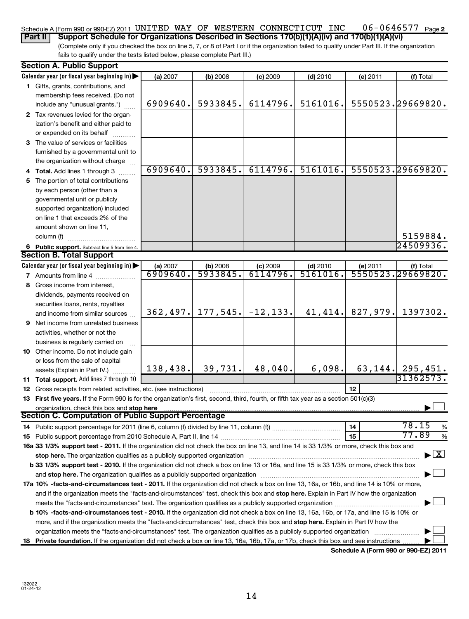### 06-0646577 Page 2 Schedule A (Form 990 or 990-EZ) 2011 <code>UNITED WAY OF WESTERN CONNECTICUT INC 06-0646577  $_{\sf Page}$ </code>

(Complete only if you checked the box on line 5, 7, or 8 of Part I or if the organization failed to qualify under Part III. If the organization fails to qualify under the tests listed below, please complete Part III.) **Part II Support Schedule for Organizations Described in Sections 170(b)(1)(A)(iv) and 170(b)(1)(A)(vi)**

|    | <b>Section A. Public Support</b>                                                                                                           |          |                       |                         |            |                                      |                     |
|----|--------------------------------------------------------------------------------------------------------------------------------------------|----------|-----------------------|-------------------------|------------|--------------------------------------|---------------------|
|    | Calendar year (or fiscal year beginning in)                                                                                                | (a) 2007 | (b) 2008              | $(c)$ 2009              | $(d)$ 2010 | (e) 2011                             | (f) Total           |
|    | 1 Gifts, grants, contributions, and                                                                                                        |          |                       |                         |            |                                      |                     |
|    | membership fees received. (Do not                                                                                                          |          |                       |                         |            |                                      |                     |
|    | include any "unusual grants.")                                                                                                             | 6909640. | 5933845.              | 6114796.                | 5161016.   |                                      | 5550523.29669820.   |
|    | 2 Tax revenues levied for the organ-                                                                                                       |          |                       |                         |            |                                      |                     |
|    | ization's benefit and either paid to                                                                                                       |          |                       |                         |            |                                      |                     |
|    | or expended on its behalf                                                                                                                  |          |                       |                         |            |                                      |                     |
|    | 3 The value of services or facilities                                                                                                      |          |                       |                         |            |                                      |                     |
|    | furnished by a governmental unit to                                                                                                        |          |                       |                         |            |                                      |                     |
|    | the organization without charge                                                                                                            |          |                       |                         |            |                                      |                     |
|    | 4 Total. Add lines 1 through 3                                                                                                             | 6909640. | 5933845.              | 6114796.                | 5161016.   |                                      | 5550523.29669820.   |
| 5. | The portion of total contributions                                                                                                         |          |                       |                         |            |                                      |                     |
|    | by each person (other than a                                                                                                               |          |                       |                         |            |                                      |                     |
|    | governmental unit or publicly                                                                                                              |          |                       |                         |            |                                      |                     |
|    | supported organization) included                                                                                                           |          |                       |                         |            |                                      |                     |
|    | on line 1 that exceeds 2% of the                                                                                                           |          |                       |                         |            |                                      |                     |
|    | amount shown on line 11,                                                                                                                   |          |                       |                         |            |                                      |                     |
|    | column (f)                                                                                                                                 |          |                       |                         |            |                                      | 5159884.            |
|    | 6 Public support. Subtract line 5 from line 4.                                                                                             |          |                       |                         |            |                                      | 24509936.           |
|    | <b>Section B. Total Support</b>                                                                                                            |          |                       |                         |            |                                      |                     |
|    | Calendar year (or fiscal year beginning in)                                                                                                | (a) 2007 |                       | $(c)$ 2009              | $(d)$ 2010 | (e) 2011                             | (f) Total           |
|    | 7 Amounts from line 4                                                                                                                      | 6909640. | $(b) 2008$<br>5933845 | 6114796.                | 5161016.   | 5550523.                             | 29669820.           |
| 8  | Gross income from interest,                                                                                                                |          |                       |                         |            |                                      |                     |
|    | dividends, payments received on                                                                                                            |          |                       |                         |            |                                      |                     |
|    | securities loans, rents, royalties                                                                                                         |          |                       |                         |            |                                      |                     |
|    | and income from similar sources                                                                                                            | 362,497. |                       | $177, 545.$ $-12, 133.$ | 41,414.    | 827,979.                             | 1397302.            |
|    | <b>9</b> Net income from unrelated business                                                                                                |          |                       |                         |            |                                      |                     |
|    | activities, whether or not the                                                                                                             |          |                       |                         |            |                                      |                     |
|    | business is regularly carried on                                                                                                           |          |                       |                         |            |                                      |                     |
|    | 10 Other income. Do not include gain                                                                                                       |          |                       |                         |            |                                      |                     |
|    | or loss from the sale of capital                                                                                                           |          |                       |                         |            |                                      |                     |
|    | assets (Explain in Part IV.)                                                                                                               | 138,438. | 39,731.               | 48,040.                 | 6,098.     | 63, 144.                             | 295,451.            |
|    | 11 Total support. Add lines 7 through 10                                                                                                   |          |                       |                         |            |                                      | 31362573.           |
|    | 12 Gross receipts from related activities, etc. (see instructions)                                                                         |          |                       |                         |            | 12                                   |                     |
|    | 13 First five years. If the Form 990 is for the organization's first, second, third, fourth, or fifth tax year as a section 501(c)(3)      |          |                       |                         |            |                                      |                     |
|    | organization, check this box and stop here                                                                                                 |          |                       |                         |            |                                      |                     |
|    | Section C. Computation of Public Support Percentage                                                                                        |          |                       |                         |            |                                      |                     |
|    |                                                                                                                                            |          |                       |                         |            | 14                                   | 78.15<br>%          |
|    |                                                                                                                                            |          |                       |                         |            | 15                                   | 77.89<br>%          |
|    | 16a 33 1/3% support test - 2011. If the organization did not check the box on line 13, and line 14 is 33 1/3% or more, check this box and  |          |                       |                         |            |                                      |                     |
|    | stop here. The organization qualifies as a publicly supported organization manufaction manufacture or the organization                     |          |                       |                         |            |                                      | $\lfloor x \rfloor$ |
|    | b 33 1/3% support test - 2010. If the organization did not check a box on line 13 or 16a, and line 15 is 33 1/3% or more, check this box   |          |                       |                         |            |                                      |                     |
|    | and stop here. The organization qualifies as a publicly supported organization manufaction manufacture content                             |          |                       |                         |            |                                      |                     |
|    | 17a 10% -facts-and-circumstances test - 2011. If the organization did not check a box on line 13, 16a, or 16b, and line 14 is 10% or more, |          |                       |                         |            |                                      |                     |
|    | and if the organization meets the "facts-and-circumstances" test, check this box and stop here. Explain in Part IV how the organization    |          |                       |                         |            |                                      |                     |
|    | meets the "facts-and-circumstances" test. The organization qualifies as a publicly supported organization <i>manumumumumum</i>             |          |                       |                         |            |                                      |                     |
|    | b 10% -facts-and-circumstances test - 2010. If the organization did not check a box on line 13, 16a, 16b, or 17a, and line 15 is 10% or    |          |                       |                         |            |                                      |                     |
|    | more, and if the organization meets the "facts-and-circumstances" test, check this box and stop here. Explain in Part IV how the           |          |                       |                         |            |                                      |                     |
|    | organization meets the "facts-and-circumstances" test. The organization qualifies as a publicly supported organization                     |          |                       |                         |            |                                      |                     |
| 18 | Private foundation. If the organization did not check a box on line 13, 16a, 16b, 17a, or 17b, check this box and see instructions         |          |                       |                         |            |                                      |                     |
|    |                                                                                                                                            |          |                       |                         |            | Schodule A (Form 000 or 000 F7) 2011 |                     |

**Schedule A (Form 990 or 990-EZ) 2011**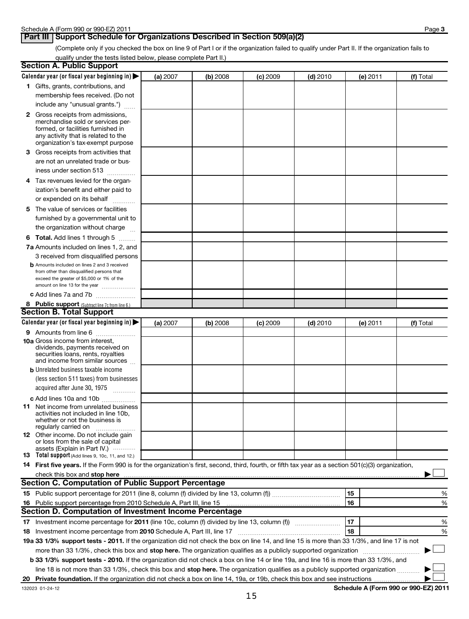## **Part III** Support Schedule for Organizations Described in Section 509(a)(2)

(Complete only if you checked the box on line 9 of Part I or if the organization failed to qualify under Part II. If the organization fails to qualify under the tests listed below, please complete Part II.)

|    | <b>Section A. Public Support</b>                                                                                                                    |          |          |                 |            |          |           |
|----|-----------------------------------------------------------------------------------------------------------------------------------------------------|----------|----------|-----------------|------------|----------|-----------|
|    | Calendar year (or fiscal year beginning in)                                                                                                         | (a) 2007 | (b) 2008 | <b>(c)</b> 2009 | $(d)$ 2010 | (e) 2011 | (f) Total |
|    | 1 Gifts, grants, contributions, and                                                                                                                 |          |          |                 |            |          |           |
|    | membership fees received. (Do not                                                                                                                   |          |          |                 |            |          |           |
|    | include any "unusual grants.")                                                                                                                      |          |          |                 |            |          |           |
|    | <b>2</b> Gross receipts from admissions,                                                                                                            |          |          |                 |            |          |           |
|    | merchandise sold or services per-                                                                                                                   |          |          |                 |            |          |           |
|    | formed, or facilities furnished in                                                                                                                  |          |          |                 |            |          |           |
|    | any activity that is related to the<br>organization's tax-exempt purpose                                                                            |          |          |                 |            |          |           |
|    | 3 Gross receipts from activities that                                                                                                               |          |          |                 |            |          |           |
|    | are not an unrelated trade or bus-                                                                                                                  |          |          |                 |            |          |           |
|    | iness under section 513                                                                                                                             |          |          |                 |            |          |           |
|    |                                                                                                                                                     |          |          |                 |            |          |           |
|    | 4 Tax revenues levied for the organ-                                                                                                                |          |          |                 |            |          |           |
|    | ization's benefit and either paid to                                                                                                                |          |          |                 |            |          |           |
|    | or expended on its behalf                                                                                                                           |          |          |                 |            |          |           |
|    | 5 The value of services or facilities                                                                                                               |          |          |                 |            |          |           |
|    | furnished by a governmental unit to                                                                                                                 |          |          |                 |            |          |           |
|    | the organization without charge                                                                                                                     |          |          |                 |            |          |           |
|    | 6 Total. Add lines 1 through 5                                                                                                                      |          |          |                 |            |          |           |
|    | 7a Amounts included on lines 1, 2, and                                                                                                              |          |          |                 |            |          |           |
|    | 3 received from disqualified persons                                                                                                                |          |          |                 |            |          |           |
|    | <b>b</b> Amounts included on lines 2 and 3 received                                                                                                 |          |          |                 |            |          |           |
|    | from other than disqualified persons that<br>exceed the greater of \$5,000 or 1% of the                                                             |          |          |                 |            |          |           |
|    | amount on line 13 for the year                                                                                                                      |          |          |                 |            |          |           |
|    | c Add lines 7a and 7b                                                                                                                               |          |          |                 |            |          |           |
|    | 8 Public support (Subtract line 7c from line 6.)                                                                                                    |          |          |                 |            |          |           |
|    | <b>Section B. Total Support</b>                                                                                                                     |          |          |                 |            |          |           |
|    | Calendar year (or fiscal year beginning in)                                                                                                         | (a) 2007 | (b) 2008 | <b>(c)</b> 2009 | $(d)$ 2010 | (e) 2011 | (f) Total |
|    | <b>9</b> Amounts from line 6                                                                                                                        |          |          |                 |            |          |           |
|    | <b>10a</b> Gross income from interest,                                                                                                              |          |          |                 |            |          |           |
|    | dividends, payments received on                                                                                                                     |          |          |                 |            |          |           |
|    | securities loans, rents, royalties<br>and income from similar sources                                                                               |          |          |                 |            |          |           |
|    | <b>b</b> Unrelated business taxable income                                                                                                          |          |          |                 |            |          |           |
|    | (less section 511 taxes) from businesses                                                                                                            |          |          |                 |            |          |           |
|    | acquired after June 30, 1975                                                                                                                        |          |          |                 |            |          |           |
|    | c Add lines 10a and 10b                                                                                                                             |          |          |                 |            |          |           |
|    | <b>11</b> Net income from unrelated business                                                                                                        |          |          |                 |            |          |           |
|    | activities not included in line 10b,                                                                                                                |          |          |                 |            |          |           |
|    | whether or not the business is                                                                                                                      |          |          |                 |            |          |           |
|    | regularly carried on<br>12 Other income. Do not include gain                                                                                        |          |          |                 |            |          |           |
|    | or loss from the sale of capital                                                                                                                    |          |          |                 |            |          |           |
|    | assets (Explain in Part IV.) $\cdots$                                                                                                               |          |          |                 |            |          |           |
|    | 13 Total support (Add lines 9, 10c, 11, and 12.)                                                                                                    |          |          |                 |            |          |           |
|    | 14 First five years. If the Form 990 is for the organization's first, second, third, fourth, or fifth tax year as a section 501(c)(3) organization, |          |          |                 |            |          |           |
|    | check this box and stop here measurements and the state of the state of the state of the state of the state of                                      |          |          |                 |            |          |           |
|    | Section C. Computation of Public Support Percentage                                                                                                 |          |          |                 |            |          |           |
|    |                                                                                                                                                     |          |          |                 |            | 15       | %         |
|    | 16 Public support percentage from 2010 Schedule A, Part III, line 15                                                                                |          |          |                 |            | 16       | %         |
|    | Section D. Computation of Investment Income Percentage                                                                                              |          |          |                 |            |          |           |
|    | 17 Investment income percentage for 2011 (line 10c, column (f) divided by line 13, column (f))                                                      |          |          |                 |            | 17       | %         |
|    | 18 Investment income percentage from 2010 Schedule A, Part III, line 17                                                                             |          |          |                 |            | 18       | %         |
|    | 19a 33 1/3% support tests - 2011. If the organization did not check the box on line 14, and line 15 is more than 33 1/3%, and line 17 is not        |          |          |                 |            |          |           |
|    | more than 33 1/3%, check this box and stop here. The organization qualifies as a publicly supported organization                                    |          |          |                 |            |          |           |
|    | b 33 1/3% support tests - 2010. If the organization did not check a box on line 14 or line 19a, and line 16 is more than 33 1/3%, and               |          |          |                 |            |          |           |
|    | line 18 is not more than 33 1/3%, check this box and stop here. The organization qualifies as a publicly supported organization                     |          |          |                 |            |          |           |
| 20 |                                                                                                                                                     |          |          |                 |            |          |           |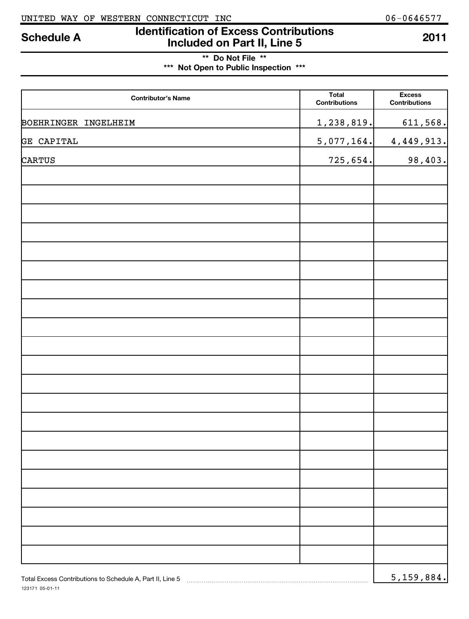## **Identification of Excess Contributions Included on Part II, Line 5 Schedule A <sup>2011</sup>**

## **\*\* Do Not File \*\* \*\*\* Not Open to Public Inspection \*\*\***

| <b>Contributor's Name</b>                                 | <b>Total</b><br><b>Contributions</b> | <b>Excess</b><br><b>Contributions</b> |
|-----------------------------------------------------------|--------------------------------------|---------------------------------------|
| BOEHRINGER INGELHEIM                                      | 1,238,819.                           | 611,568.                              |
| CAPITAL<br>GE                                             | 5,077,164.                           | 4,449,913.                            |
| <b>CARTUS</b>                                             | 725,654.                             | 98,403.                               |
|                                                           |                                      |                                       |
|                                                           |                                      |                                       |
|                                                           |                                      |                                       |
|                                                           |                                      |                                       |
|                                                           |                                      |                                       |
|                                                           |                                      |                                       |
|                                                           |                                      |                                       |
|                                                           |                                      |                                       |
|                                                           |                                      |                                       |
|                                                           |                                      |                                       |
|                                                           |                                      |                                       |
|                                                           |                                      |                                       |
|                                                           |                                      |                                       |
|                                                           |                                      |                                       |
|                                                           |                                      |                                       |
|                                                           |                                      |                                       |
|                                                           |                                      |                                       |
|                                                           |                                      |                                       |
|                                                           |                                      |                                       |
|                                                           |                                      |                                       |
|                                                           |                                      |                                       |
| Total Excess Contributions to Schedule A, Part II, Line 5 |                                      | 5, 159, 884.                          |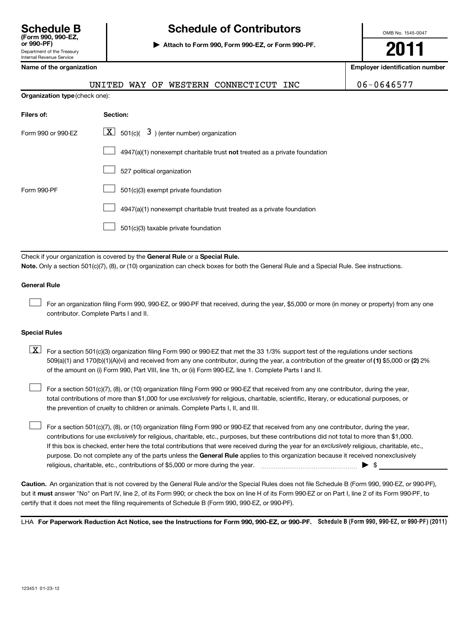Internal Revenue Service

## **Schedule B Schedule of Contributors**

**or 990-PF) | Attach to Form 990, Form 990-EZ, or Form 990-PF.**

OMB No. 1545-0047

**2011**

**Employer identification number** 

|  |  |  |  |  | Name of the organization |
|--|--|--|--|--|--------------------------|
|--|--|--|--|--|--------------------------|

|                    | WESTERN CONNECTICUT INC<br>UNITED<br>WAY OF                               | 06-0646577 |  |  |  |  |  |
|--------------------|---------------------------------------------------------------------------|------------|--|--|--|--|--|
|                    | Organization type (check one):                                            |            |  |  |  |  |  |
| Filers of:         | Section:                                                                  |            |  |  |  |  |  |
| Form 990 or 990-EZ | $\lfloor \underline{X} \rfloor$ 501(c)( 3) (enter number) organization    |            |  |  |  |  |  |
|                    | 4947(a)(1) nonexempt charitable trust not treated as a private foundation |            |  |  |  |  |  |
|                    | 527 political organization                                                |            |  |  |  |  |  |
| Form 990-PF        | 501(c)(3) exempt private foundation                                       |            |  |  |  |  |  |
|                    | 4947(a)(1) nonexempt charitable trust treated as a private foundation     |            |  |  |  |  |  |
|                    | 501(c)(3) taxable private foundation                                      |            |  |  |  |  |  |
|                    |                                                                           |            |  |  |  |  |  |

Check if your organization is covered by the General Rule or a Special Rule. **Note.**  Only a section 501(c)(7), (8), or (10) organization can check boxes for both the General Rule and a Special Rule. See instructions.

### **General Rule**

For an organization filing Form 990, 990-EZ, or 990-PF that received, during the year, \$5,000 or more (in money or property) from any one contributor. Complete Parts I and II.  $\left\vert \cdot\right\vert$ 

## **Special Rules**

509(a)(1) and 170(b)(1)(A)(vi) and received from any one contributor, during the year, a contribution of the greater of (1**)** \$5,000 or (**2**) 2%  $\boxed{\textbf{X}}$  For a section 501(c)(3) organization filing Form 990 or 990-EZ that met the 33 1/3% support test of the regulations under sections of the amount on (i) Form 990, Part VIII, line 1h, or (ii) Form 990-EZ, line 1. Complete Parts I and II.

total contributions of more than \$1,000 for use exclusively for religious, charitable, scientific, literary, or educational purposes, or For a section 501(c)(7), (8), or (10) organization filing Form 990 or 990-EZ that received from any one contributor, during the year, the prevention of cruelty to children or animals. Complete Parts I, II, and III.  $\left\vert \cdot\right\vert$ 

purpose. Do not complete any of the parts unless the General Rule applies to this organization because it received nonexclusively contributions for use exclusively for religious, charitable, etc., purposes, but these contributions did not total to more than \$1,000. If this box is checked, enter here the total contributions that were received during the year for an exclusively religious, charitable, etc., For a section 501(c)(7), (8), or (10) organization filing Form 990 or 990-EZ that received from any one contributor, during the year, religious, charitable, etc., contributions of \$5,000 or more during the year. ~~~~~~~~~~~~~~~~~ | \$  $\left\vert \cdot\right\vert$ 

**Caution.** An organization that is not covered by the General Rule and/or the Special Rules does not file Schedule B (Form 990, 990-EZ, or 990-PF), but it **must** answer "No" on Part IV, line 2, of its Form 990; or check the box on line H of its Form 990-EZ or on Part I, line 2 of its Form 990-PF, to certify that it does not meet the filing requirements of Schedule B (Form 990, 990-EZ, or 990-PF).

LHA For Paperwork Reduction Act Notice, see the Instructions for Form 990, 990-EZ, or 990-PF. Schedule B (Form 990, 990-EZ, or 990-PF) (2011)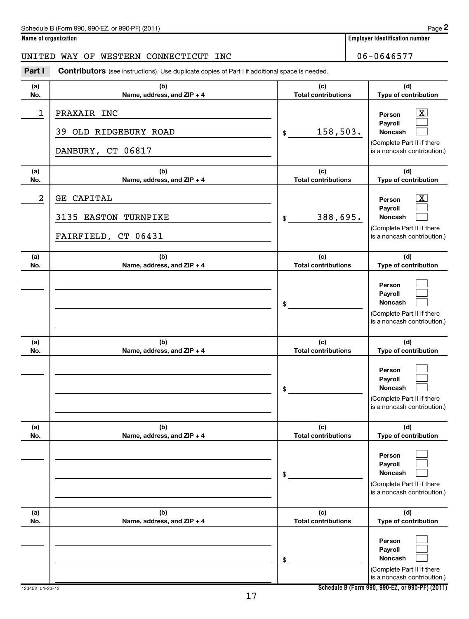**Name of organization Employer identification number**

## UNITED WAY OF WESTERN CONNECTICUT INC 06-0646577

| Part I     | <b>Contributors</b> (see instructions). Use duplicate copies of Part I if additional space is needed. |                                   |                                                                                                                          |
|------------|-------------------------------------------------------------------------------------------------------|-----------------------------------|--------------------------------------------------------------------------------------------------------------------------|
| (a)<br>No. | (b)<br>Name, address, and ZIP + 4                                                                     | (c)<br><b>Total contributions</b> | (d)<br>Type of contribution                                                                                              |
| 1          | PRAXAIR INC<br>OLD RIDGEBURY ROAD<br>39<br>DANBURY, CT 06817                                          | 158,503.<br>\$                    | $\overline{\mathbf{X}}$<br>Person<br>Payroll<br>Noncash<br>(Complete Part II if there<br>is a noncash contribution.)     |
| (a)<br>No. | (b)<br>Name, address, and ZIP + 4                                                                     | (c)<br><b>Total contributions</b> | (d)<br>Type of contribution                                                                                              |
| 2          | GE CAPITAL<br>3135 EASTON TURNPIKE<br>FAIRFIELD, CT 06431                                             | 388,695.<br>\$                    | $\boxed{\text{X}}$<br>Person<br>Payroll<br>Noncash<br>(Complete Part II if there<br>is a noncash contribution.)          |
| (a)<br>No. | (b)<br>Name, address, and ZIP + 4                                                                     | (c)<br><b>Total contributions</b> | (d)<br>Type of contribution                                                                                              |
|            |                                                                                                       | \$                                | Person<br>Payroll<br>Noncash<br>(Complete Part II if there<br>is a noncash contribution.)                                |
| (a)<br>No. | (b)<br>Name, address, and ZIP + 4                                                                     | (c)<br><b>Total contributions</b> | (d)<br>Type of contribution                                                                                              |
|            |                                                                                                       | \$                                | Person<br>Payroll<br><b>Noncash</b><br>(Complete Part II if there<br>is a noncash contribution.)                         |
| (a)<br>No. | (b)<br>Name, address, and ZIP + 4                                                                     | (c)<br><b>Total contributions</b> | (d)<br>Type of contribution                                                                                              |
|            |                                                                                                       | \$                                | Person<br>Payroll<br>Noncash<br>(Complete Part II if there<br>is a noncash contribution.)                                |
| (a)<br>No. | (b)<br>Name, address, and ZIP + 4                                                                     | (c)<br><b>Total contributions</b> | (d)<br>Type of contribution                                                                                              |
|            |                                                                                                       | \$                                | Person<br>Payroll<br>Noncash<br>(Complete Part II if there<br>is a noncash contribution.)<br>$0.00 F7 - 0.00 F1 (0.011)$ |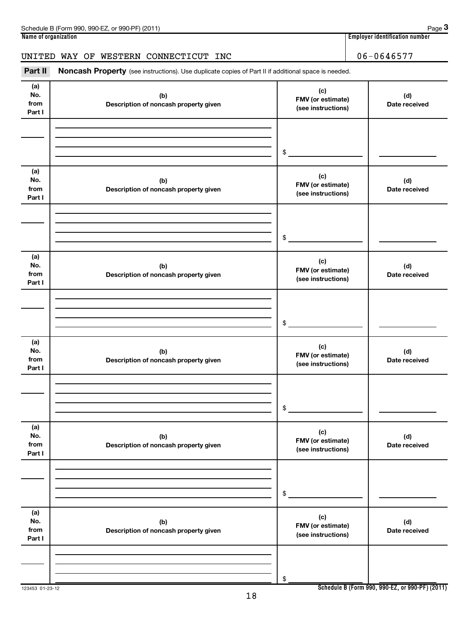| Schedule B (Form 990, 990-EZ, or 990-PF) (2011) | Page 3                         |
|-------------------------------------------------|--------------------------------|
| Name of organization                            | Emplover identification number |
|                                                 |                                |
| WAY OF WESTERN CONNECTICUT INC<br>UNITED        | 06-0646577                     |

Part II Noncash Property (see instructions). Use duplicate copies of Part II if additional space is needed.

| (a)<br>No.<br>from<br>Part I | (b)<br>Description of noncash property given | (c)<br>FMV (or estimate)<br>(see instructions) | (d)<br>Date received |
|------------------------------|----------------------------------------------|------------------------------------------------|----------------------|
|                              |                                              |                                                |                      |
|                              |                                              |                                                |                      |
|                              |                                              | \$                                             |                      |
| (a)<br>No.<br>from           | (b)<br>Description of noncash property given | (c)<br>FMV (or estimate)                       | (d)<br>Date received |
| Part I                       |                                              | (see instructions)                             |                      |
|                              |                                              |                                                |                      |
|                              |                                              |                                                |                      |
|                              |                                              | \$                                             |                      |
|                              |                                              |                                                |                      |
| (a)<br>No.<br>from           | (b)<br>Description of noncash property given | (c)<br>FMV (or estimate)<br>(see instructions) | (d)<br>Date received |
| Part I                       |                                              |                                                |                      |
|                              |                                              |                                                |                      |
|                              |                                              |                                                |                      |
|                              |                                              | \$                                             |                      |
| (a)<br>No.<br>from<br>Part I | (b)<br>Description of noncash property given | (c)<br>FMV (or estimate)<br>(see instructions) | (d)<br>Date received |
|                              |                                              |                                                |                      |
|                              |                                              |                                                |                      |
|                              |                                              | \$                                             |                      |
|                              |                                              |                                                |                      |
| (a)<br>No.<br>from<br>Part I | (b)<br>Description of noncash property given | (c)<br>FMV (or estimate)<br>(see instructions) | (d)<br>Date received |
|                              |                                              |                                                |                      |
|                              |                                              |                                                |                      |
|                              |                                              | \$                                             |                      |
| (a)                          |                                              |                                                |                      |
| No.                          | (b)                                          | (c)<br>FMV (or estimate)                       | (d)                  |
| from<br>Part I               | Description of noncash property given        | (see instructions)                             | Date received        |
|                              |                                              |                                                |                      |
|                              |                                              |                                                |                      |
|                              |                                              | \$                                             |                      |
|                              |                                              |                                                |                      |

**Schedule B (Form 990, 990-EZ, or 990-PF) (2011)**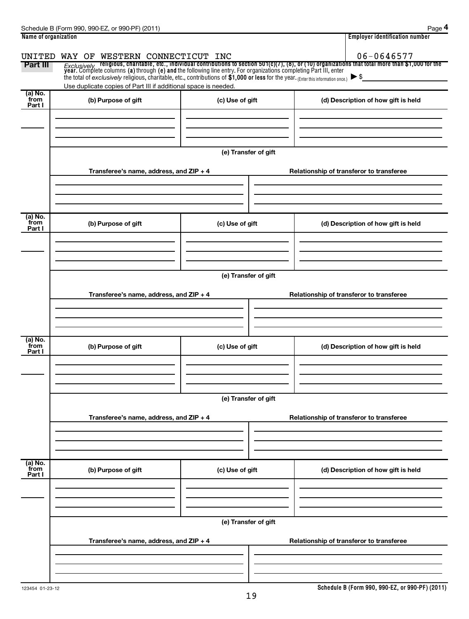| Name of organization        |                                                                                                                                                                                                        |                      | <b>Employer identification number</b>                                                                                                                                                                                                                              |  |  |  |
|-----------------------------|--------------------------------------------------------------------------------------------------------------------------------------------------------------------------------------------------------|----------------------|--------------------------------------------------------------------------------------------------------------------------------------------------------------------------------------------------------------------------------------------------------------------|--|--|--|
| UNITED                      | WAY OF WESTERN CONNECTICUT                                                                                                                                                                             | INC                  | 06-0646577                                                                                                                                                                                                                                                         |  |  |  |
| Part III                    | the total of exclusively religious, charitable, etc., contributions of \$1,000 or less for the year. (Enter this information once.)<br>Use duplicate copies of Part III if additional space is needed. |                      | <i>Exclusively</i> religious, charitable, etc., individual contributions to section 501(c)(7), (8), or (10) organizations that total more than \$1,000 for the<br>year. Complete columns (a) through (e) and the following line entry.<br>$\blacktriangleright$ \$ |  |  |  |
| (a) No.<br>from<br>Part I   | (b) Purpose of gift                                                                                                                                                                                    | (c) Use of gift      | (d) Description of how gift is held                                                                                                                                                                                                                                |  |  |  |
|                             |                                                                                                                                                                                                        |                      |                                                                                                                                                                                                                                                                    |  |  |  |
|                             |                                                                                                                                                                                                        | (e) Transfer of gift |                                                                                                                                                                                                                                                                    |  |  |  |
|                             | Transferee's name, address, and ZIP + 4                                                                                                                                                                |                      | Relationship of transferor to transferee                                                                                                                                                                                                                           |  |  |  |
| $(a)$ No.                   |                                                                                                                                                                                                        |                      |                                                                                                                                                                                                                                                                    |  |  |  |
| from<br>Part I              | (b) Purpose of gift                                                                                                                                                                                    | (c) Use of gift      | (d) Description of how gift is held                                                                                                                                                                                                                                |  |  |  |
|                             |                                                                                                                                                                                                        |                      |                                                                                                                                                                                                                                                                    |  |  |  |
|                             | (e) Transfer of gift<br>Transferee's name, address, and ZIP + 4<br>Relationship of transferor to transferee                                                                                            |                      |                                                                                                                                                                                                                                                                    |  |  |  |
|                             |                                                                                                                                                                                                        |                      |                                                                                                                                                                                                                                                                    |  |  |  |
| $(a)$ No.<br>from<br>Part I | (b) Purpose of gift                                                                                                                                                                                    | (c) Use of gift      | (d) Description of how gift is held                                                                                                                                                                                                                                |  |  |  |
|                             |                                                                                                                                                                                                        |                      |                                                                                                                                                                                                                                                                    |  |  |  |
|                             |                                                                                                                                                                                                        | (e) Transfer of gift |                                                                                                                                                                                                                                                                    |  |  |  |
|                             | Transferee's name, address, and ZIP + 4                                                                                                                                                                |                      | Relationship of transferor to transferee                                                                                                                                                                                                                           |  |  |  |
|                             |                                                                                                                                                                                                        |                      |                                                                                                                                                                                                                                                                    |  |  |  |
| (a) No.<br>from<br>Part I   | (b) Purpose of gift                                                                                                                                                                                    | (c) Use of gift      | (d) Description of how gift is held                                                                                                                                                                                                                                |  |  |  |
|                             |                                                                                                                                                                                                        |                      |                                                                                                                                                                                                                                                                    |  |  |  |
|                             | (e) Transfer of gift                                                                                                                                                                                   |                      |                                                                                                                                                                                                                                                                    |  |  |  |
|                             | Transferee's name, address, and ZIP + 4                                                                                                                                                                |                      | Relationship of transferor to transferee                                                                                                                                                                                                                           |  |  |  |
|                             |                                                                                                                                                                                                        |                      |                                                                                                                                                                                                                                                                    |  |  |  |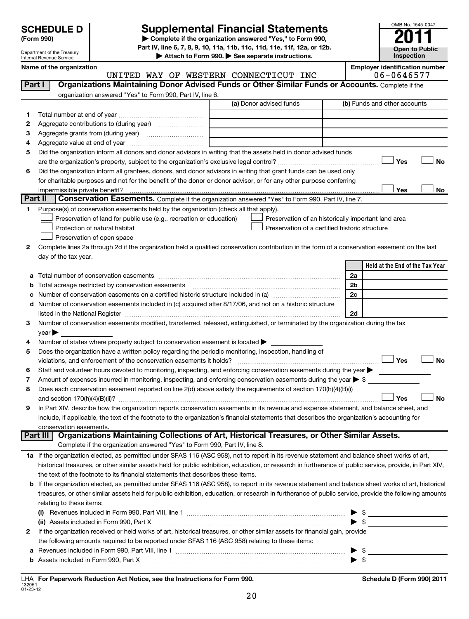| <b>SCHEDULE D</b> |  |
|-------------------|--|
|                   |  |

Department of the Treasury Internal Revenue Service

## **Supplemental Financial Statements**

**(Form 990) | Complete if the organization answered "Yes," to Form 990, Part IV, line 6, 7, 8, 9, 10, 11a, 11b, 11c, 11d, 11e, 11f, 12a, or 12b.**

**| Attach to Form 990. | See separate instructions.**

| OMB No. 1545-0047                   |
|-------------------------------------|
|                                     |
| <b>Open to Public</b><br>Inspection |

|              | Name of the organization                                                                                                                                 | UNITED WAY OF WESTERN CONNECTICUT INC               | <b>Employer identification number</b><br>06-0646577 |
|--------------|----------------------------------------------------------------------------------------------------------------------------------------------------------|-----------------------------------------------------|-----------------------------------------------------|
| Part I       | Organizations Maintaining Donor Advised Funds or Other Similar Funds or Accounts. Complete if the                                                        |                                                     |                                                     |
|              | organization answered "Yes" to Form 990, Part IV, line 6.                                                                                                |                                                     |                                                     |
|              |                                                                                                                                                          | (a) Donor advised funds                             | (b) Funds and other accounts                        |
| 1.           |                                                                                                                                                          |                                                     |                                                     |
| 2            |                                                                                                                                                          |                                                     |                                                     |
| 3            |                                                                                                                                                          |                                                     |                                                     |
| 4            |                                                                                                                                                          |                                                     |                                                     |
| 5            | Did the organization inform all donors and donor advisors in writing that the assets held in donor advised funds                                         |                                                     |                                                     |
|              |                                                                                                                                                          |                                                     | Yes<br><b>No</b>                                    |
| 6            | Did the organization inform all grantees, donors, and donor advisors in writing that grant funds can be used only                                        |                                                     |                                                     |
|              | for charitable purposes and not for the benefit of the donor or donor advisor, or for any other purpose conferring                                       |                                                     |                                                     |
|              |                                                                                                                                                          |                                                     | Yes<br>No                                           |
| Part II      | <b>Conservation Easements.</b> Complete if the organization answered "Yes" to Form 990, Part IV, line 7.                                                 |                                                     |                                                     |
| 1            | Purpose(s) of conservation easements held by the organization (check all that apply).                                                                    |                                                     |                                                     |
|              | Preservation of land for public use (e.g., recreation or education)                                                                                      | Preservation of an historically important land area |                                                     |
|              | Protection of natural habitat                                                                                                                            | Preservation of a certified historic structure      |                                                     |
|              | Preservation of open space                                                                                                                               |                                                     |                                                     |
| 2            | Complete lines 2a through 2d if the organization held a qualified conservation contribution in the form of a conservation easement on the last           |                                                     |                                                     |
|              | day of the tax year.                                                                                                                                     |                                                     |                                                     |
|              |                                                                                                                                                          |                                                     | Held at the End of the Tax Year                     |
| а            |                                                                                                                                                          |                                                     | 2a                                                  |
| b            |                                                                                                                                                          |                                                     | 2b                                                  |
| с            |                                                                                                                                                          |                                                     | 2c                                                  |
| d            | Number of conservation easements included in (c) acquired after 8/17/06, and not on a historic structure                                                 |                                                     |                                                     |
|              |                                                                                                                                                          |                                                     | 2d                                                  |
| 3            | Number of conservation easements modified, transferred, released, extinguished, or terminated by the organization during the tax                         |                                                     |                                                     |
|              | year                                                                                                                                                     |                                                     |                                                     |
| 4            | Number of states where property subject to conservation easement is located $\blacktriangleright$                                                        |                                                     |                                                     |
| 5            | Does the organization have a written policy regarding the periodic monitoring, inspection, handling of                                                   |                                                     |                                                     |
|              | violations, and enforcement of the conservation easements it holds?                                                                                      |                                                     | Yes<br><b>No</b>                                    |
| 6            | Staff and volunteer hours devoted to monitoring, inspecting, and enforcing conservation easements during the year                                        |                                                     |                                                     |
| 7            | Amount of expenses incurred in monitoring, inspecting, and enforcing conservation easements during the year $\triangleright$ \$                          |                                                     |                                                     |
| 8            | Does each conservation easement reported on line 2(d) above satisfy the requirements of section 170(h)(4)(B)(i)                                          |                                                     |                                                     |
|              | and section 170(h)(4)(B)(ii)?                                                                                                                            |                                                     | Yes<br><b>No</b>                                    |
| 9            | In Part XIV, describe how the organization reports conservation easements in its revenue and expense statement, and balance sheet, and                   |                                                     |                                                     |
|              | include, if applicable, the text of the footnote to the organization's financial statements that describes the organization's accounting for             |                                                     |                                                     |
|              | conservation easements.                                                                                                                                  |                                                     |                                                     |
| Part III     | Organizations Maintaining Collections of Art, Historical Treasures, or Other Similar Assets.                                                             |                                                     |                                                     |
|              | Complete if the organization answered "Yes" to Form 990, Part IV, line 8.                                                                                |                                                     |                                                     |
|              | 1a If the organization elected, as permitted under SFAS 116 (ASC 958), not to report in its revenue statement and balance sheet works of art,            |                                                     |                                                     |
|              | historical treasures, or other similar assets held for public exhibition, education, or research in furtherance of public service, provide, in Part XIV, |                                                     |                                                     |
|              | the text of the footnote to its financial statements that describes these items.                                                                         |                                                     |                                                     |
| b            | If the organization elected, as permitted under SFAS 116 (ASC 958), to report in its revenue statement and balance sheet works of art, historical        |                                                     |                                                     |
|              | treasures, or other similar assets held for public exhibition, education, or research in furtherance of public service, provide the following amounts    |                                                     |                                                     |
|              | relating to these items:                                                                                                                                 |                                                     |                                                     |
|              |                                                                                                                                                          |                                                     | - \$                                                |
|              | (ii) Assets included in Form 990, Part X                                                                                                                 |                                                     | $\blacktriangleright$ \$                            |
| $\mathbf{2}$ | If the organization received or held works of art, historical treasures, or other similar assets for financial gain, provide                             |                                                     |                                                     |
|              | the following amounts required to be reported under SFAS 116 (ASC 958) relating to these items:                                                          |                                                     |                                                     |
| а            |                                                                                                                                                          |                                                     | - \$<br>▶                                           |
|              | b Assets included in Form 990, Part X [111] Martin Martin Martin Martin Martin Martin Martin Martin Martin Mar                                           |                                                     | $\blacktriangleright$ \$                            |
|              |                                                                                                                                                          |                                                     |                                                     |

132051 01-23-12 **For Paperwork Reduction Act Notice, see the Instructions for Form 990. Schedule D (Form 990) 2011** LHA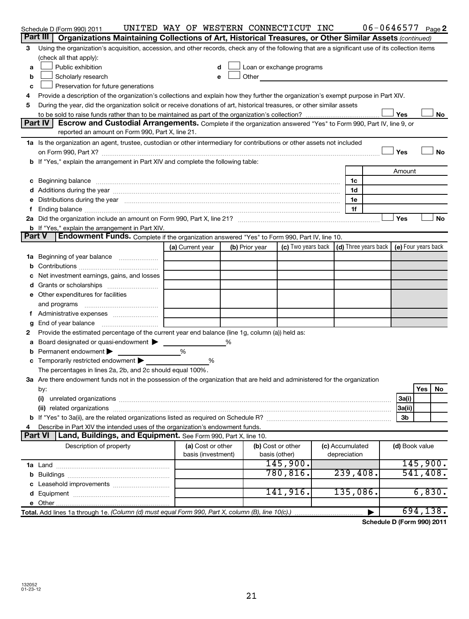|    | Schedule D (Form 990) 2011                                                                                                                                                                                                     | UNITED WAY OF WESTERN CONNECTICUT INC   |                |                                                                                                                                                                                                                               |                                 |                | $06 - 0646577$ Page 2                  |
|----|--------------------------------------------------------------------------------------------------------------------------------------------------------------------------------------------------------------------------------|-----------------------------------------|----------------|-------------------------------------------------------------------------------------------------------------------------------------------------------------------------------------------------------------------------------|---------------------------------|----------------|----------------------------------------|
|    | Part III<br>Organizations Maintaining Collections of Art, Historical Treasures, or Other Similar Assets (continued)                                                                                                            |                                         |                |                                                                                                                                                                                                                               |                                 |                |                                        |
| 3  | Using the organization's acquisition, accession, and other records, check any of the following that are a significant use of its collection items                                                                              |                                         |                |                                                                                                                                                                                                                               |                                 |                |                                        |
|    | (check all that apply):                                                                                                                                                                                                        |                                         |                |                                                                                                                                                                                                                               |                                 |                |                                        |
| a  | Public exhibition                                                                                                                                                                                                              | d                                       |                | Loan or exchange programs                                                                                                                                                                                                     |                                 |                |                                        |
| b  | Scholarly research                                                                                                                                                                                                             | e                                       |                | Other and the contract of the contract of the contract of the contract of the contract of the contract of the contract of the contract of the contract of the contract of the contract of the contract of the contract of the |                                 |                |                                        |
| с  | Preservation for future generations                                                                                                                                                                                            |                                         |                |                                                                                                                                                                                                                               |                                 |                |                                        |
| 4  | Provide a description of the organization's collections and explain how they further the organization's exempt purpose in Part XIV.                                                                                            |                                         |                |                                                                                                                                                                                                                               |                                 |                |                                        |
| 5  | During the year, did the organization solicit or receive donations of art, historical treasures, or other similar assets                                                                                                       |                                         |                |                                                                                                                                                                                                                               |                                 |                |                                        |
|    |                                                                                                                                                                                                                                |                                         |                |                                                                                                                                                                                                                               |                                 | Yes            | No                                     |
|    | Part IV<br>Escrow and Custodial Arrangements. Complete if the organization answered "Yes" to Form 990, Part IV, line 9, or                                                                                                     |                                         |                |                                                                                                                                                                                                                               |                                 |                |                                        |
|    | reported an amount on Form 990, Part X, line 21.                                                                                                                                                                               |                                         |                |                                                                                                                                                                                                                               |                                 |                |                                        |
|    | 1a Is the organization an agent, trustee, custodian or other intermediary for contributions or other assets not included                                                                                                       |                                         |                |                                                                                                                                                                                                                               |                                 |                |                                        |
|    |                                                                                                                                                                                                                                |                                         |                |                                                                                                                                                                                                                               |                                 | Yes            | No                                     |
|    | <b>b</b> If "Yes," explain the arrangement in Part XIV and complete the following table:                                                                                                                                       |                                         |                |                                                                                                                                                                                                                               |                                 |                |                                        |
|    |                                                                                                                                                                                                                                |                                         |                |                                                                                                                                                                                                                               |                                 | Amount         |                                        |
| с  | Beginning balance measurements are all the contract of the contract of the contract of the contract of the contract of the contract of the contract of the contract of the contract of the contract of the contract of the con |                                         |                |                                                                                                                                                                                                                               | 1c                              |                |                                        |
|    |                                                                                                                                                                                                                                |                                         |                |                                                                                                                                                                                                                               | 1d                              |                |                                        |
|    | Distributions during the year manufactured and continuum control of the state of the control of the year manufactured and the year manufactured and the year manufactured and the state of the state of the state of the state |                                         |                |                                                                                                                                                                                                                               | 1e                              |                |                                        |
|    |                                                                                                                                                                                                                                |                                         |                |                                                                                                                                                                                                                               | 1f                              | Yes            |                                        |
|    |                                                                                                                                                                                                                                |                                         |                |                                                                                                                                                                                                                               |                                 |                | No                                     |
|    | <b>b</b> If "Yes," explain the arrangement in Part XIV.<br>Endowment Funds. Complete if the organization answered "Yes" to Form 990, Part IV, line 10.<br><b>Part V</b>                                                        |                                         |                |                                                                                                                                                                                                                               |                                 |                |                                        |
|    |                                                                                                                                                                                                                                | (a) Current year                        | (b) Prior year | (c) Two years back (d) Three years back                                                                                                                                                                                       |                                 |                | (e) Four years back                    |
| 1a | Beginning of year balance                                                                                                                                                                                                      |                                         |                |                                                                                                                                                                                                                               |                                 |                |                                        |
| b  |                                                                                                                                                                                                                                |                                         |                |                                                                                                                                                                                                                               |                                 |                |                                        |
|    | Net investment earnings, gains, and losses                                                                                                                                                                                     |                                         |                |                                                                                                                                                                                                                               |                                 |                |                                        |
| d  | Grants or scholarships                                                                                                                                                                                                         |                                         |                |                                                                                                                                                                                                                               |                                 |                |                                        |
|    | Other expenditures for facilities                                                                                                                                                                                              |                                         |                |                                                                                                                                                                                                                               |                                 |                |                                        |
|    | and programs                                                                                                                                                                                                                   |                                         |                |                                                                                                                                                                                                                               |                                 |                |                                        |
|    |                                                                                                                                                                                                                                |                                         |                |                                                                                                                                                                                                                               |                                 |                |                                        |
| g  | End of year balance                                                                                                                                                                                                            |                                         |                |                                                                                                                                                                                                                               |                                 |                |                                        |
| 2  | Provide the estimated percentage of the current year end balance (line 1g, column (a)) held as:                                                                                                                                |                                         |                |                                                                                                                                                                                                                               |                                 |                |                                        |
| а  | Board designated or quasi-endowment >                                                                                                                                                                                          |                                         |                |                                                                                                                                                                                                                               |                                 |                |                                        |
|    | Permanent endowment                                                                                                                                                                                                            | %                                       |                |                                                                                                                                                                                                                               |                                 |                |                                        |
|    | Temporarily restricted endowment                                                                                                                                                                                               | %                                       |                |                                                                                                                                                                                                                               |                                 |                |                                        |
|    | The percentages in lines 2a, 2b, and 2c should equal 100%.                                                                                                                                                                     |                                         |                |                                                                                                                                                                                                                               |                                 |                |                                        |
|    | 3a Are there endowment funds not in the possession of the organization that are held and administered for the organization                                                                                                     |                                         |                |                                                                                                                                                                                                                               |                                 |                |                                        |
|    | by:                                                                                                                                                                                                                            |                                         |                |                                                                                                                                                                                                                               |                                 |                | Yes<br>No                              |
|    | (i)                                                                                                                                                                                                                            |                                         |                |                                                                                                                                                                                                                               |                                 | 3a(i)          |                                        |
|    |                                                                                                                                                                                                                                |                                         |                |                                                                                                                                                                                                                               |                                 | 3a(ii)         |                                        |
|    |                                                                                                                                                                                                                                |                                         |                |                                                                                                                                                                                                                               |                                 | 3b             |                                        |
| 4  | Describe in Part XIV the intended uses of the organization's endowment funds.                                                                                                                                                  |                                         |                |                                                                                                                                                                                                                               |                                 |                |                                        |
|    | <b>Part VI</b><br>Land, Buildings, and Equipment. See Form 990, Part X, line 10.                                                                                                                                               |                                         |                |                                                                                                                                                                                                                               |                                 |                |                                        |
|    | Description of property                                                                                                                                                                                                        | (a) Cost or other<br>basis (investment) |                | (b) Cost or other<br>basis (other)                                                                                                                                                                                            | (c) Accumulated<br>depreciation | (d) Book value |                                        |
|    |                                                                                                                                                                                                                                |                                         |                | 145,900.                                                                                                                                                                                                                      |                                 |                | 145,900.                               |
|    |                                                                                                                                                                                                                                |                                         |                | 780, 816.                                                                                                                                                                                                                     | 239,408.                        |                | 541, 408.                              |
|    |                                                                                                                                                                                                                                |                                         |                |                                                                                                                                                                                                                               |                                 |                |                                        |
| d  |                                                                                                                                                                                                                                |                                         |                | 141,916.                                                                                                                                                                                                                      | 135,086.                        |                | 6,830.                                 |
|    |                                                                                                                                                                                                                                |                                         |                |                                                                                                                                                                                                                               |                                 |                |                                        |
|    | Total. Add lines 1a through 1e. (Column (d) must equal Form 990, Part X, column (B), line 10(c).)                                                                                                                              |                                         |                |                                                                                                                                                                                                                               |                                 |                | 694,138.                               |
|    |                                                                                                                                                                                                                                |                                         |                |                                                                                                                                                                                                                               |                                 |                | $\sim$ dula D $\sqrt{5}$ ano 000).0044 |

**Schedule D (Form 990) 2011**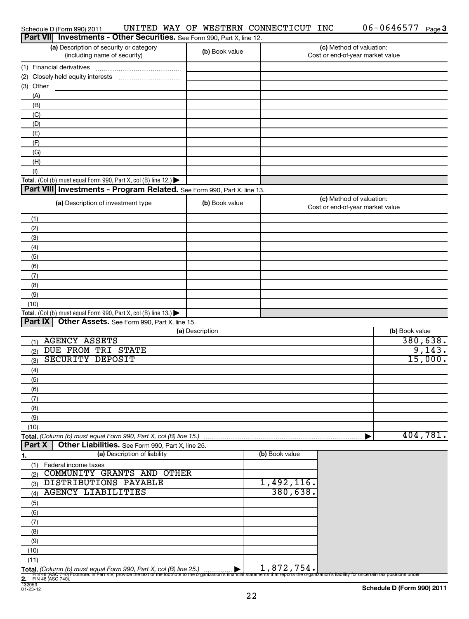| Schedule D (Form 990) 2011                                                                                                                                                                                                     | UNITED WAY OF WESTERN CONNECTICUT INC |                | $06 - 0646577$ Page 3                                        |          |
|--------------------------------------------------------------------------------------------------------------------------------------------------------------------------------------------------------------------------------|---------------------------------------|----------------|--------------------------------------------------------------|----------|
| Part VII Investments - Other Securities. See Form 990, Part X, line 12.                                                                                                                                                        |                                       |                |                                                              |          |
| (a) Description of security or category<br>(including name of security)                                                                                                                                                        | (b) Book value                        |                | (c) Method of valuation:<br>Cost or end-of-year market value |          |
| (1) Financial derivatives                                                                                                                                                                                                      |                                       |                |                                                              |          |
|                                                                                                                                                                                                                                |                                       |                |                                                              |          |
| (3) Other                                                                                                                                                                                                                      |                                       |                |                                                              |          |
| (A)                                                                                                                                                                                                                            |                                       |                |                                                              |          |
| (B)                                                                                                                                                                                                                            |                                       |                |                                                              |          |
| (C)                                                                                                                                                                                                                            |                                       |                |                                                              |          |
| (D)                                                                                                                                                                                                                            |                                       |                |                                                              |          |
| (E)                                                                                                                                                                                                                            |                                       |                |                                                              |          |
| (F)                                                                                                                                                                                                                            |                                       |                |                                                              |          |
| (G)                                                                                                                                                                                                                            |                                       |                |                                                              |          |
| (H)                                                                                                                                                                                                                            |                                       |                |                                                              |          |
| (1)                                                                                                                                                                                                                            |                                       |                |                                                              |          |
| Total. (Col (b) must equal Form 990, Part X, col (B) line 12.) $\blacktriangleright$                                                                                                                                           |                                       |                |                                                              |          |
| Part VIII Investments - Program Related. See Form 990, Part X, line 13.                                                                                                                                                        |                                       |                |                                                              |          |
| (a) Description of investment type                                                                                                                                                                                             | (b) Book value                        |                | (c) Method of valuation:<br>Cost or end-of-year market value |          |
| (1)                                                                                                                                                                                                                            |                                       |                |                                                              |          |
| (2)                                                                                                                                                                                                                            |                                       |                |                                                              |          |
| (3)                                                                                                                                                                                                                            |                                       |                |                                                              |          |
| (4)                                                                                                                                                                                                                            |                                       |                |                                                              |          |
| (5)                                                                                                                                                                                                                            |                                       |                |                                                              |          |
| (6)                                                                                                                                                                                                                            |                                       |                |                                                              |          |
| (7)                                                                                                                                                                                                                            |                                       |                |                                                              |          |
| (8)                                                                                                                                                                                                                            |                                       |                |                                                              |          |
| (9)                                                                                                                                                                                                                            |                                       |                |                                                              |          |
| (10)                                                                                                                                                                                                                           |                                       |                |                                                              |          |
| Total. (Col (b) must equal Form 990, Part X, col (B) line $13.$ )                                                                                                                                                              |                                       |                |                                                              |          |
| Part IX<br>Other Assets. See Form 990, Part X, line 15.                                                                                                                                                                        |                                       |                |                                                              |          |
|                                                                                                                                                                                                                                | (a) Description                       |                | (b) Book value                                               |          |
| <b>AGENCY ASSETS</b><br>(1)                                                                                                                                                                                                    |                                       |                |                                                              | 380,638. |
| DUE FROM TRI STATE<br>(2)                                                                                                                                                                                                      |                                       |                |                                                              | 9,143.   |
| <b>SECURITY DEPOSIT</b><br>(3)                                                                                                                                                                                                 |                                       |                |                                                              | 15,000.  |
| (4)                                                                                                                                                                                                                            |                                       |                |                                                              |          |
| (5)                                                                                                                                                                                                                            |                                       |                |                                                              |          |
| (6)                                                                                                                                                                                                                            |                                       |                |                                                              |          |
| (7)                                                                                                                                                                                                                            |                                       |                |                                                              |          |
| (8)                                                                                                                                                                                                                            |                                       |                |                                                              |          |
| (9)                                                                                                                                                                                                                            |                                       |                |                                                              |          |
| (10)                                                                                                                                                                                                                           |                                       |                |                                                              | 404,781. |
| Total. (Column (b) must equal Form 990, Part X, col (B) line 15.)<br>Part X                                                                                                                                                    |                                       |                |                                                              |          |
| Other Liabilities. See Form 990, Part X, line 25.<br>(a) Description of liability                                                                                                                                              |                                       | (b) Book value |                                                              |          |
| <u>1.</u>                                                                                                                                                                                                                      |                                       |                |                                                              |          |
| (1) Federal income taxes<br>COMMUNITY GRANTS AND OTHER                                                                                                                                                                         |                                       |                |                                                              |          |
| (2)<br>DISTRIBUTIONS PAYABLE                                                                                                                                                                                                   |                                       | 1,492,116.     |                                                              |          |
| (3)<br><b>AGENCY LIABILITIES</b>                                                                                                                                                                                               |                                       | 380,638.       |                                                              |          |
| (4)                                                                                                                                                                                                                            |                                       |                |                                                              |          |
| (5)                                                                                                                                                                                                                            |                                       |                |                                                              |          |
| (6)<br>(7)                                                                                                                                                                                                                     |                                       |                |                                                              |          |
|                                                                                                                                                                                                                                |                                       |                |                                                              |          |
| (8)<br>(9)                                                                                                                                                                                                                     |                                       |                |                                                              |          |
| (10)                                                                                                                                                                                                                           |                                       |                |                                                              |          |
| (11)                                                                                                                                                                                                                           |                                       |                |                                                              |          |
| Total. (Column (b) must equal Form 990, Part X, col (B) line 25.)                                                                                                                                                              |                                       | 1,872,754。     |                                                              |          |
| in a (ASC 74b) fource. In Part Xiv, provide the text of the footnote to the organization's financial statements that reports the organization's liability for uncertain tax positions under<br>2. FIN 48 (ASC 740). (2. FIN 48 |                                       |                |                                                              |          |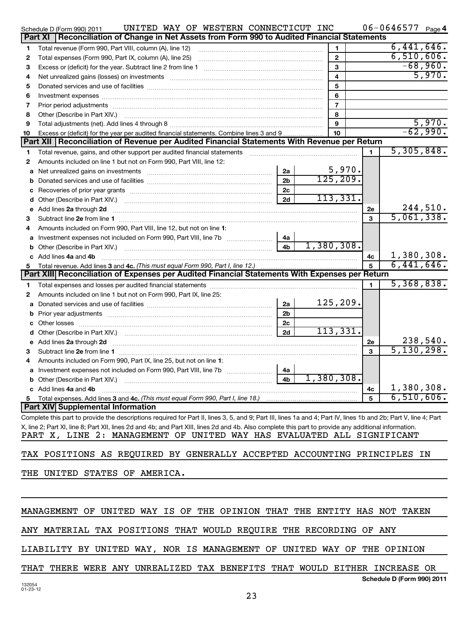|      | UNITED WAY OF WESTERN CONNECTICUT INC<br>Schedule D (Form 990) 2011<br>Part XI   Reconciliation of Change in Net Assets from Form 990 to Audited Financial Statements                                                          |                |                         |              | $06 - 0646577$ Page 4      |
|------|--------------------------------------------------------------------------------------------------------------------------------------------------------------------------------------------------------------------------------|----------------|-------------------------|--------------|----------------------------|
|      |                                                                                                                                                                                                                                |                |                         |              | 6,441,646.                 |
| 1    | Total revenue (Form 990, Part VIII, column (A), line 12)                                                                                                                                                                       |                | 1                       |              |                            |
| 2    |                                                                                                                                                                                                                                |                | $\overline{2}$          |              | 6,510,606.<br>$-68,960.$   |
| З    |                                                                                                                                                                                                                                |                | 3                       |              | 5,970.                     |
| 4    | Net unrealized gains (losses) on investments [11] matter contracts and the state of the state of the state of the state of the state of the state of the state of the state of the state of the state of the state of the stat |                | $\overline{4}$          |              |                            |
| 5    |                                                                                                                                                                                                                                |                | $\overline{\mathbf{5}}$ |              |                            |
| 6    |                                                                                                                                                                                                                                |                | 6                       |              |                            |
| 7    | Prior period adjustments [111] material contracts and provide a state of the contract of the contract of the contract of the contract of the contract of the contract of the contract of the contract of the contract of the c |                | $\overline{7}$          |              |                            |
| 8    | Other (Describe in Part XIV.)                                                                                                                                                                                                  |                | 8<br>9                  |              | 5,970.                     |
| 9    | Excess or (deficit) for the year per audited financial statements. Combine lines 3 and 9                                                                                                                                       |                | 10                      |              | $-62,990.$                 |
| 10   | Part XII   Reconciliation of Revenue per Audited Financial Statements With Revenue per Return                                                                                                                                  |                |                         |              |                            |
| 1    | Total revenue, gains, and other support per audited financial statements                                                                                                                                                       |                |                         | 1.           | 5,305,848.                 |
| 2    | Amounts included on line 1 but not on Form 990, Part VIII, line 12:                                                                                                                                                            |                |                         |              |                            |
| a    | Net unrealized gains on investments [11] Martin Martin Martin Martin Martin Martin Martin Martin Martin Martin                                                                                                                 | 2a             |                         |              |                            |
| b    |                                                                                                                                                                                                                                | 2 <sub>b</sub> | $\frac{5,970}{125,209}$ |              |                            |
| с    |                                                                                                                                                                                                                                | 2c             |                         |              |                            |
| d    |                                                                                                                                                                                                                                | 2d             | 113,331.                |              |                            |
| е    | Add lines 2a through 2d                                                                                                                                                                                                        |                |                         | 2e           | 244,510.                   |
| 3    |                                                                                                                                                                                                                                |                |                         | 3            | 5,061,338.                 |
| 4    | Amounts included on Form 990, Part VIII, line 12, but not on line 1:                                                                                                                                                           |                |                         |              |                            |
| a    | Investment expenses not included on Form 990, Part VIII, line 7b [100] [100] [100] [100] [100] [100] [100] [10                                                                                                                 | 4a             |                         |              |                            |
| b    |                                                                                                                                                                                                                                | 4 <sub>b</sub> | 1,380,308.              |              |                            |
| c    | Add lines 4a and 4b                                                                                                                                                                                                            |                |                         | 4c           | 1,380,308.                 |
| 5    | Total revenue. Add lines 3 and 4c. (This must equal Form 990, Part I, line 12.)                                                                                                                                                |                |                         | 5            | 6,441,646.                 |
|      | Part XIII Reconciliation of Expenses per Audited Financial Statements With Expenses per Return                                                                                                                                 |                |                         |              |                            |
| 1.   |                                                                                                                                                                                                                                |                |                         | $\mathbf{1}$ | 5,368,838.                 |
| 2    | Amounts included on line 1 but not on Form 990, Part IX, line 25:                                                                                                                                                              |                |                         |              |                            |
| a    |                                                                                                                                                                                                                                | 2a             | 125, 209.               |              |                            |
|      |                                                                                                                                                                                                                                | 2 <sub>b</sub> |                         |              |                            |
|      |                                                                                                                                                                                                                                | 2 <sub>c</sub> |                         |              |                            |
|      |                                                                                                                                                                                                                                | 2d             | 113,331.                |              |                            |
| е    | Add lines 2a through 2d                                                                                                                                                                                                        |                |                         | 2e           | 238,540.                   |
| 3    |                                                                                                                                                                                                                                |                |                         | 3            | 5,130,298.                 |
| 4    | Amounts included on Form 990, Part IX, line 25, but not on line 1:                                                                                                                                                             |                |                         |              |                            |
|      | Investment expenses not included on Form 990, Part VIII, line 7b                                                                                                                                                               | 4a             |                         |              |                            |
|      |                                                                                                                                                                                                                                | 4b             | 1,380,308.              |              |                            |
|      | c Add lines 4a and 4b                                                                                                                                                                                                          |                |                         | 4с           | 1,380,308.                 |
|      |                                                                                                                                                                                                                                |                |                         | 5            | 6,510,606.                 |
|      | Part XIV Supplemental Information                                                                                                                                                                                              |                |                         |              |                            |
|      | Complete this part to provide the descriptions required for Part II, lines 3, 5, and 9; Part III, lines 1a and 4; Part IV, lines 1b and 2b; Part V, line 4; Part                                                               |                |                         |              |                            |
|      | X, line 2; Part XI, line 8; Part XII, lines 2d and 4b; and Part XIII, lines 2d and 4b. Also complete this part to provide any additional information.                                                                          |                |                         |              |                            |
|      | PART X, LINE 2: MANAGEMENT OF UNITED WAY HAS EVALUATED ALL SIGNIFICANT                                                                                                                                                         |                |                         |              |                            |
|      | TAX POSITIONS AS REQUIRED BY GENERALLY ACCEPTED ACCOUNTING PRINCIPLES IN                                                                                                                                                       |                |                         |              |                            |
|      | THE UNITED STATES OF AMERICA.                                                                                                                                                                                                  |                |                         |              |                            |
|      |                                                                                                                                                                                                                                |                |                         |              |                            |
|      |                                                                                                                                                                                                                                |                |                         |              |                            |
|      |                                                                                                                                                                                                                                |                |                         |              |                            |
|      | MANAGEMENT OF UNITED WAY IS OF THE OPINION THAT THE ENTITY HAS NOT TAKEN                                                                                                                                                       |                |                         |              |                            |
|      | ANY MATERIAL TAX POSITIONS THAT WOULD REQUIRE THE RECORDING OF ANY                                                                                                                                                             |                |                         |              |                            |
|      | LIABILITY BY UNITED WAY, NOR IS MANAGEMENT OF UNITED WAY OF THE OPINION                                                                                                                                                        |                |                         |              |                            |
| THAT | THERE WERE ANY UNREALIZED TAX BENEFITS THAT WOULD EITHER INCREASE OR                                                                                                                                                           |                |                         |              |                            |
|      |                                                                                                                                                                                                                                |                |                         |              | Schedule D (Form 990) 2011 |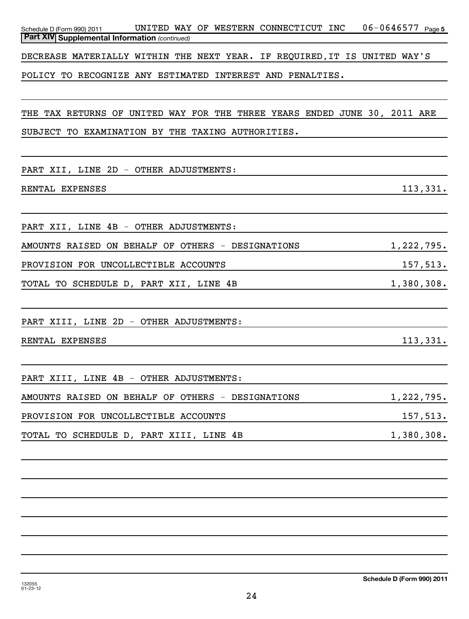| UNITED WAY OF WESTERN CONNECTICUT INC 06-0646577 Page 5<br>Schedule D (Form 990) 2011<br>Part XIV Supplemental Information (continued) |            |
|----------------------------------------------------------------------------------------------------------------------------------------|------------|
|                                                                                                                                        |            |
| DECREASE MATERIALLY WITHIN THE NEXT YEAR. IF REQUIRED, IT IS UNITED WAY'S                                                              |            |
| POLICY TO RECOGNIZE ANY ESTIMATED INTEREST AND PENALTIES.                                                                              |            |
|                                                                                                                                        |            |
| THE TAX RETURNS OF UNITED WAY FOR THE THREE YEARS ENDED JUNE 30, 2011 ARE                                                              |            |
| SUBJECT TO EXAMINATION BY THE TAXING AUTHORITIES.                                                                                      |            |
|                                                                                                                                        |            |
| PART XII, LINE 2D - OTHER ADJUSTMENTS:                                                                                                 |            |
| RENTAL EXPENSES                                                                                                                        | 113,331.   |
|                                                                                                                                        |            |
| PART XII, LINE 4B - OTHER ADJUSTMENTS:                                                                                                 |            |
| AMOUNTS RAISED ON BEHALF OF OTHERS - DESIGNATIONS                                                                                      | 1,222,795. |
| PROVISION FOR UNCOLLECTIBLE ACCOUNTS                                                                                                   | 157,513.   |
| TOTAL TO SCHEDULE D, PART XII, LINE 4B                                                                                                 | 1,380,308. |
|                                                                                                                                        |            |
| PART XIII, LINE 2D - OTHER ADJUSTMENTS:                                                                                                |            |
| RENTAL EXPENSES                                                                                                                        | 113,331.   |
|                                                                                                                                        |            |
| PART XIII, LINE 4B - OTHER ADJUSTMENTS:                                                                                                |            |
| AMOUNTS RAISED ON BEHALF OF OTHERS - DESIGNATIONS                                                                                      | 1,222,795. |
| PROVISION FOR UNCOLLECTIBLE ACCOUNTS                                                                                                   | 157,513.   |
| TOTAL TO SCHEDULE D, PART XIII, LINE 4B                                                                                                | 1,380,308. |
|                                                                                                                                        |            |
|                                                                                                                                        |            |
|                                                                                                                                        |            |
|                                                                                                                                        |            |
|                                                                                                                                        |            |
|                                                                                                                                        |            |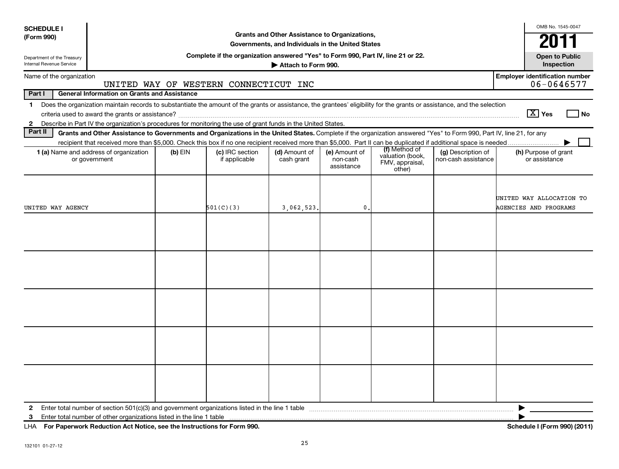| <b>SCHEDULE I</b>                                             |                                                                                                                                                                                                                                                                                        |         |                                                                                  |                                                                                                    |                                         |                                                                |                                           | OMB No. 1545-0047                                        |
|---------------------------------------------------------------|----------------------------------------------------------------------------------------------------------------------------------------------------------------------------------------------------------------------------------------------------------------------------------------|---------|----------------------------------------------------------------------------------|----------------------------------------------------------------------------------------------------|-----------------------------------------|----------------------------------------------------------------|-------------------------------------------|----------------------------------------------------------|
| (Form 990)                                                    |                                                                                                                                                                                                                                                                                        |         |                                                                                  | Grants and Other Assistance to Organizations,<br>Governments, and Individuals in the United States |                                         |                                                                |                                           | 2011                                                     |
| Department of the Treasury<br><b>Internal Revenue Service</b> |                                                                                                                                                                                                                                                                                        |         | Complete if the organization answered "Yes" to Form 990, Part IV, line 21 or 22. | Attach to Form 990.                                                                                |                                         |                                                                |                                           | <b>Open to Public</b><br>Inspection                      |
| Name of the organization                                      |                                                                                                                                                                                                                                                                                        |         |                                                                                  |                                                                                                    |                                         |                                                                |                                           | <b>Employer identification number</b>                    |
|                                                               |                                                                                                                                                                                                                                                                                        |         | UNITED WAY OF WESTERN CONNECTICUT INC                                            |                                                                                                    |                                         |                                                                |                                           | 06-0646577                                               |
| Part I                                                        | <b>General Information on Grants and Assistance</b>                                                                                                                                                                                                                                    |         |                                                                                  |                                                                                                    |                                         |                                                                |                                           |                                                          |
| $\mathbf{1}$                                                  | Does the organization maintain records to substantiate the amount of the grants or assistance, the grantees' eligibility for the grants or assistance, and the selection                                                                                                               |         |                                                                                  |                                                                                                    |                                         |                                                                |                                           | $ \overline{X} $ Yes                                     |
|                                                               |                                                                                                                                                                                                                                                                                        |         |                                                                                  |                                                                                                    |                                         |                                                                |                                           | l No                                                     |
| $\mathbf{2}$<br>Part II                                       | Describe in Part IV the organization's procedures for monitoring the use of grant funds in the United States.<br>Grants and Other Assistance to Governments and Organizations in the United States. Complete if the organization answered "Yes" to Form 990, Part IV, line 21, for any |         |                                                                                  |                                                                                                    |                                         |                                                                |                                           |                                                          |
|                                                               |                                                                                                                                                                                                                                                                                        |         |                                                                                  |                                                                                                    |                                         |                                                                |                                           |                                                          |
|                                                               | 1 (a) Name and address of organization<br>or government                                                                                                                                                                                                                                | (b) EIN | (c) IRC section<br>if applicable                                                 | (d) Amount of<br>cash grant                                                                        | (e) Amount of<br>non-cash<br>assistance | (f) Method of<br>valuation (book,<br>FMV, appraisal,<br>other) | (g) Description of<br>non-cash assistance | (h) Purpose of grant<br>or assistance                    |
| UNITED WAY AGENCY                                             |                                                                                                                                                                                                                                                                                        |         | 501(C)(3)                                                                        | 3,062,523                                                                                          | $\mathbf{0}$                            |                                                                |                                           | UNITED WAY ALLOCATION TO<br><b>AGENCIES AND PROGRAMS</b> |
|                                                               |                                                                                                                                                                                                                                                                                        |         |                                                                                  |                                                                                                    |                                         |                                                                |                                           |                                                          |
|                                                               |                                                                                                                                                                                                                                                                                        |         |                                                                                  |                                                                                                    |                                         |                                                                |                                           |                                                          |
|                                                               |                                                                                                                                                                                                                                                                                        |         |                                                                                  |                                                                                                    |                                         |                                                                |                                           |                                                          |
|                                                               |                                                                                                                                                                                                                                                                                        |         |                                                                                  |                                                                                                    |                                         |                                                                |                                           |                                                          |
|                                                               |                                                                                                                                                                                                                                                                                        |         |                                                                                  |                                                                                                    |                                         |                                                                |                                           |                                                          |
| 2                                                             | Enter total number of section 501(c)(3) and government organizations listed in the line 1 table                                                                                                                                                                                        |         |                                                                                  |                                                                                                    |                                         |                                                                |                                           |                                                          |
| 3                                                             | Enter total number of other organizations listed in the line 1 table                                                                                                                                                                                                                   |         |                                                                                  |                                                                                                    |                                         |                                                                |                                           |                                                          |
| LHA                                                           | For Paperwork Reduction Act Notice, see the Instructions for Form 990.                                                                                                                                                                                                                 |         |                                                                                  |                                                                                                    |                                         |                                                                |                                           | Schedule I (Form 990) (2011)                             |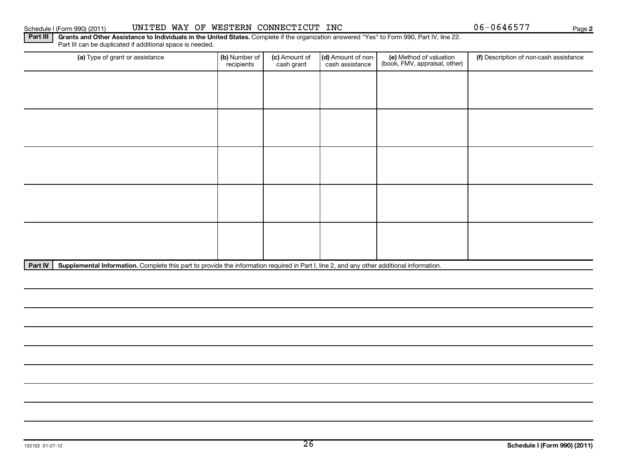## Schedule I (Form 990) (2011) UNITED WAY OF WESTERN CONNECTICUT INC Page

Part IV | Supplemental Information. Complete this part to provide the information required in Part I, line 2, and any other additional information.

Part III | Grants and Other Assistance to Individuals in the United States. Complete if the organization answered "Yes" to Form 990, Part IV, line 22. Part III can be duplicated if additional space is needed.

| (a) Type of grant or assistance | (b) Number of<br>recipients | (c) Amount of<br>cash grant | (d) Amount of non-<br>cash assistance | (e) Method of valuation<br>(book, FMV, appraisal, other) | (f) Description of non-cash assistance |
|---------------------------------|-----------------------------|-----------------------------|---------------------------------------|----------------------------------------------------------|----------------------------------------|
|                                 |                             |                             |                                       |                                                          |                                        |
|                                 |                             |                             |                                       |                                                          |                                        |
|                                 |                             |                             |                                       |                                                          |                                        |
|                                 |                             |                             |                                       |                                                          |                                        |
|                                 |                             |                             |                                       |                                                          |                                        |
|                                 |                             |                             |                                       |                                                          |                                        |
|                                 |                             |                             |                                       |                                                          |                                        |
|                                 |                             |                             |                                       |                                                          |                                        |
|                                 |                             |                             |                                       |                                                          |                                        |
|                                 |                             |                             |                                       |                                                          |                                        |

26

| ichedule I (Form 990) (2011 |  |  |
|-----------------------------|--|--|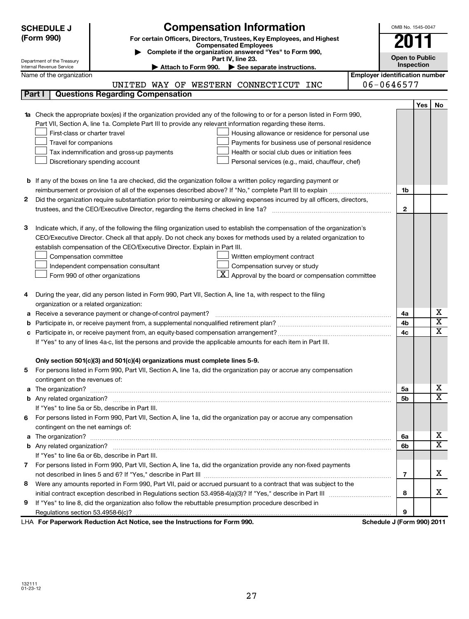|   | <b>Compensation Information</b><br><b>SCHEDULE J</b>                                                                                                                                                                                 |                                       |                | OMB No. 1545-0047     |                         |
|---|--------------------------------------------------------------------------------------------------------------------------------------------------------------------------------------------------------------------------------------|---------------------------------------|----------------|-----------------------|-------------------------|
|   | (Form 990)<br>For certain Officers, Directors, Trustees, Key Employees, and Highest                                                                                                                                                  |                                       |                |                       |                         |
|   | <b>Compensated Employees</b><br>Complete if the organization answered "Yes" to Form 990,                                                                                                                                             |                                       |                |                       |                         |
|   | Part IV, line 23.<br>Department of the Treasury                                                                                                                                                                                      |                                       |                | <b>Open to Public</b> |                         |
|   | Internal Revenue Service<br>Attach to Form 990. See separate instructions.                                                                                                                                                           |                                       | Inspection     |                       |                         |
|   | Name of the organization                                                                                                                                                                                                             | <b>Employer identification number</b> |                |                       |                         |
|   | UNITED WAY OF WESTERN CONNECTICUT INC                                                                                                                                                                                                | 06-0646577                            |                |                       |                         |
|   | <b>Questions Regarding Compensation</b><br>Part I                                                                                                                                                                                    |                                       |                |                       |                         |
|   |                                                                                                                                                                                                                                      |                                       |                | Yes                   | No                      |
|   | 1a Check the appropriate box(es) if the organization provided any of the following to or for a person listed in Form 990,                                                                                                            |                                       |                |                       |                         |
|   | Part VII, Section A, line 1a. Complete Part III to provide any relevant information regarding these items.<br>First-class or charter travel                                                                                          |                                       |                |                       |                         |
|   | Housing allowance or residence for personal use<br>Travel for companions<br>Payments for business use of personal residence                                                                                                          |                                       |                |                       |                         |
|   | Health or social club dues or initiation fees<br>Tax indemnification and gross-up payments                                                                                                                                           |                                       |                |                       |                         |
|   | Discretionary spending account<br>Personal services (e.g., maid, chauffeur, chef)                                                                                                                                                    |                                       |                |                       |                         |
|   |                                                                                                                                                                                                                                      |                                       |                |                       |                         |
|   | <b>b</b> If any of the boxes on line 1a are checked, did the organization follow a written policy regarding payment or                                                                                                               |                                       |                |                       |                         |
|   | reimbursement or provision of all of the expenses described above? If "No," complete Part III to explain                                                                                                                             |                                       | 1b             |                       |                         |
| 2 | Did the organization require substantiation prior to reimbursing or allowing expenses incurred by all officers, directors,                                                                                                           |                                       |                |                       |                         |
|   |                                                                                                                                                                                                                                      |                                       | $\overline{2}$ |                       |                         |
|   |                                                                                                                                                                                                                                      |                                       |                |                       |                         |
| 3 | Indicate which, if any, of the following the filing organization used to establish the compensation of the organization's                                                                                                            |                                       |                |                       |                         |
|   | CEO/Executive Director. Check all that apply. Do not check any boxes for methods used by a related organization to                                                                                                                   |                                       |                |                       |                         |
|   | establish compensation of the CEO/Executive Director. Explain in Part III.                                                                                                                                                           |                                       |                |                       |                         |
|   | Compensation committee<br>Written employment contract                                                                                                                                                                                |                                       |                |                       |                         |
|   | Compensation survey or study<br>Independent compensation consultant                                                                                                                                                                  |                                       |                |                       |                         |
|   | $\mathbf{X}$<br>Approval by the board or compensation committee<br>Form 990 of other organizations                                                                                                                                   |                                       |                |                       |                         |
|   |                                                                                                                                                                                                                                      |                                       |                |                       |                         |
| 4 | During the year, did any person listed in Form 990, Part VII, Section A, line 1a, with respect to the filing                                                                                                                         |                                       |                |                       |                         |
|   | organization or a related organization:                                                                                                                                                                                              |                                       |                |                       |                         |
| а | Receive a severance payment or change-of-control payment?                                                                                                                                                                            |                                       | 4a             |                       | х                       |
|   |                                                                                                                                                                                                                                      |                                       | 4b             |                       | $\overline{\text{x}}$   |
| с |                                                                                                                                                                                                                                      |                                       | 4 <sub>c</sub> |                       | $\overline{\text{x}}$   |
|   | If "Yes" to any of lines 4a-c, list the persons and provide the applicable amounts for each item in Part III.                                                                                                                        |                                       |                |                       |                         |
|   |                                                                                                                                                                                                                                      |                                       |                |                       |                         |
|   | Only section 501(c)(3) and 501(c)(4) organizations must complete lines 5-9.                                                                                                                                                          |                                       |                |                       |                         |
| b | For persons listed in Form 990, Part VII, Section A, line 1a, did the organization pay or accrue any compensation                                                                                                                    |                                       |                |                       |                         |
|   | contingent on the revenues of:                                                                                                                                                                                                       |                                       |                |                       | х                       |
| a | The organization? <b>With the contract of the contract of the contract of the contract of the contract of the contract of the contract of the contract of the contract of the contract of the contract of the contract of the co</b> |                                       | 5a             |                       | $\overline{\mathtt{x}}$ |
|   |                                                                                                                                                                                                                                      |                                       | 5b             |                       |                         |
|   | If "Yes" to line 5a or 5b, describe in Part III.                                                                                                                                                                                     |                                       |                |                       |                         |
| 6 | For persons listed in Form 990, Part VII, Section A, line 1a, did the organization pay or accrue any compensation                                                                                                                    |                                       |                |                       |                         |
|   | contingent on the net earnings of:                                                                                                                                                                                                   |                                       | 6a             |                       | х                       |
| а |                                                                                                                                                                                                                                      |                                       | 6b             |                       | $\overline{\mathtt{x}}$ |
|   | If "Yes" to line 6a or 6b, describe in Part III.                                                                                                                                                                                     |                                       |                |                       |                         |
|   | 7 For persons listed in Form 990, Part VII, Section A, line 1a, did the organization provide any non-fixed payments                                                                                                                  |                                       |                |                       |                         |
|   |                                                                                                                                                                                                                                      |                                       | $\overline{7}$ |                       | x                       |
| 8 | Were any amounts reported in Form 990, Part VII, paid or accrued pursuant to a contract that was subject to the                                                                                                                      |                                       |                |                       |                         |
|   |                                                                                                                                                                                                                                      |                                       | 8              |                       | x                       |
| 9 | If "Yes" to line 8, did the organization also follow the rebuttable presumption procedure described in                                                                                                                               |                                       |                |                       |                         |
|   | Regulations section 53.4958-6(c)?                                                                                                                                                                                                    |                                       | 9              |                       |                         |
|   | LHA For Paperwork Reduction Act Notice, see the Instructions for Form 990.                                                                                                                                                           | Schedule J (Form 990) 2011            |                |                       |                         |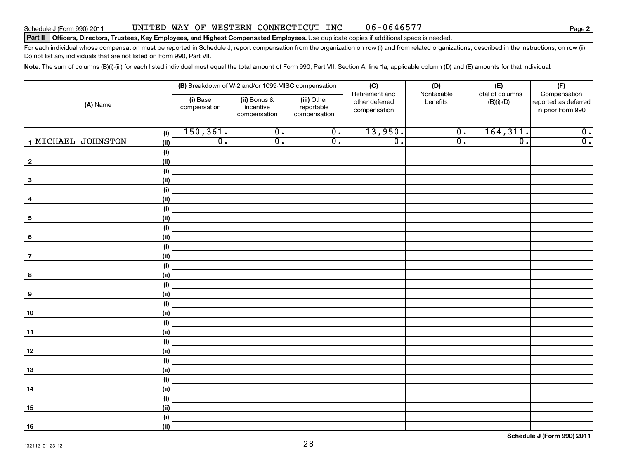## Schedule J (Form 990) 2011 UNITED WAY OF WESTERN CONNECTICUT INC 06-0646577 Page

### Part II | Officers, Directors, Trustees, Key Employees, and Highest Compensated Employees. Use duplicate copies if additional space is needed.

For each individual whose compensation must be reported in Schedule J, report compensation from the organization on row (i) and from related organizations, described in the instructions, on row (ii). Do not list any individuals that are not listed on Form 990, Part VII.

Note. The sum of columns (B)(i)-(iii) for each listed individual must equal the total amount of Form 990, Part VII, Section A, line 1a, applicable column (D) and (E) amounts for that individual.

|                                 |                          | (B) Breakdown of W-2 and/or 1099-MISC compensation |                           | (C)<br>Retirement and          | (D)<br>Nontaxable           | (E)<br>Total of columns     | (F)<br>Compensation                       |
|---------------------------------|--------------------------|----------------------------------------------------|---------------------------|--------------------------------|-----------------------------|-----------------------------|-------------------------------------------|
| (A) Name                        | (i) Base<br>compensation | (ii) Bonus &<br>incentive                          | (iii) Other<br>reportable | other deferred<br>compensation | benefits                    | $(B)(i)$ - $(D)$            | reported as deferred<br>in prior Form 990 |
|                                 |                          | compensation                                       | compensation              |                                |                             |                             |                                           |
| (i)                             | 150, 361.                | $\overline{\mathfrak{o}}$ .                        | $\overline{0}$ .          | 13,950.                        | $\overline{0}$ .            | 164, 311.                   | $\overline{0}$ .                          |
| 1 MICHAEL JOHNSTON<br>(ii)      | $\overline{0}$ .         | $\overline{\mathfrak{o}}$ .                        | $\overline{0}$ .          | $\overline{0}$ .               | $\overline{\mathfrak{o}}$ . | $\overline{\mathfrak{o}}$ . | $\overline{0}$ .                          |
| $(\mathsf{i})$                  |                          |                                                    |                           |                                |                             |                             |                                           |
| (ii)<br>$\overline{\mathbf{2}}$ |                          |                                                    |                           |                                |                             |                             |                                           |
| $(\mathsf{i})$<br>(ii)          |                          |                                                    |                           |                                |                             |                             |                                           |
| $\mathbf{3}$<br>(i)             |                          |                                                    |                           |                                |                             |                             |                                           |
| (ii)<br>4                       |                          |                                                    |                           |                                |                             |                             |                                           |
| (i)                             |                          |                                                    |                           |                                |                             |                             |                                           |
| (ii)<br>$\sqrt{5}$              |                          |                                                    |                           |                                |                             |                             |                                           |
| (i)                             |                          |                                                    |                           |                                |                             |                             |                                           |
| (ii)<br>$6\phantom{a}$          |                          |                                                    |                           |                                |                             |                             |                                           |
| (i)                             |                          |                                                    |                           |                                |                             |                             |                                           |
| (ii)<br>$\overline{7}$          |                          |                                                    |                           |                                |                             |                             |                                           |
| (i)                             |                          |                                                    |                           |                                |                             |                             |                                           |
| (ii)<br>8                       |                          |                                                    |                           |                                |                             |                             |                                           |
| (i)                             |                          |                                                    |                           |                                |                             |                             |                                           |
| (ii)<br>$\boldsymbol{9}$        |                          |                                                    |                           |                                |                             |                             |                                           |
| (i)                             |                          |                                                    |                           |                                |                             |                             |                                           |
| (ii)<br>10                      |                          |                                                    |                           |                                |                             |                             |                                           |
| $\overline{(\mathsf{i})}$       |                          |                                                    |                           |                                |                             |                             |                                           |
| (ii)<br>11                      |                          |                                                    |                           |                                |                             |                             |                                           |
| (i)                             |                          |                                                    |                           |                                |                             |                             |                                           |
| (ii)<br>12                      |                          |                                                    |                           |                                |                             |                             |                                           |
| (i)<br>(ii)                     |                          |                                                    |                           |                                |                             |                             |                                           |
| <u>13</u><br>(i)                |                          |                                                    |                           |                                |                             |                             |                                           |
| (ii)<br>14                      |                          |                                                    |                           |                                |                             |                             |                                           |
| (i)                             |                          |                                                    |                           |                                |                             |                             |                                           |
| (ii)<br>15                      |                          |                                                    |                           |                                |                             |                             |                                           |
| $(\mathsf{i})$                  |                          |                                                    |                           |                                |                             |                             |                                           |
| (ii)<br>16                      |                          |                                                    |                           |                                |                             |                             |                                           |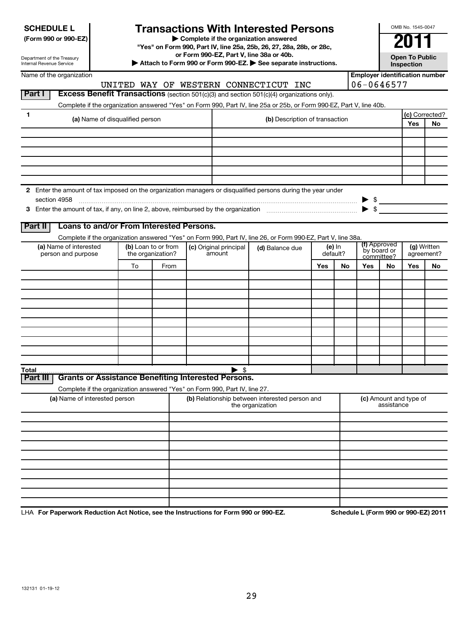|  | <b>SCHEDULE L</b> |  |
|--|-------------------|--|
|  |                   |  |

# **Transactions With Interested Persons**

**(Form 990 or 990-EZ) | Complete if the organization answered**

**"Yes" on Form 990, Part IV, line 25a, 25b, 26, 27, 28a, 28b, or 28c,**

**or Form 990-EZ, Part V, line 38a or 40b.**

**|** Open To Public **| Section 1990-EZ, Part V**, line 38a or 40b.<br>■ Attach to Form 990 or Form 990-EZ. ● See separate instructions.

**Inspection**

OMB No. 1545-0047

Department of the Treasury Internal Revenue Service

| Name of the organization                                                                                     |                     |      |                        |                                                                                                                      |          |    | <b>Employer identification number</b>               |              |                           |    |
|--------------------------------------------------------------------------------------------------------------|---------------------|------|------------------------|----------------------------------------------------------------------------------------------------------------------|----------|----|-----------------------------------------------------|--------------|---------------------------|----|
|                                                                                                              |                     |      |                        | UNITED WAY OF WESTERN CONNECTICUT INC                                                                                |          |    | 06-0646577                                          |              |                           |    |
| Part I                                                                                                       |                     |      |                        | Excess Benefit Transactions (section 501(c)(3) and section 501(c)(4) organizations only).                            |          |    |                                                     |              |                           |    |
|                                                                                                              |                     |      |                        | Complete if the organization answered "Yes" on Form 990, Part IV, line 25a or 25b, or Form 990-EZ, Part V, line 40b. |          |    |                                                     |              |                           |    |
| 1                                                                                                            |                     |      |                        |                                                                                                                      |          |    |                                                     |              | (c) Corrected?            |    |
| (a) Name of disqualified person                                                                              |                     |      |                        | (b) Description of transaction                                                                                       |          |    |                                                     |              | Yes                       | No |
|                                                                                                              |                     |      |                        |                                                                                                                      |          |    |                                                     |              |                           |    |
|                                                                                                              |                     |      |                        |                                                                                                                      |          |    |                                                     |              |                           |    |
|                                                                                                              |                     |      |                        |                                                                                                                      |          |    |                                                     |              |                           |    |
|                                                                                                              |                     |      |                        |                                                                                                                      |          |    |                                                     |              |                           |    |
|                                                                                                              |                     |      |                        |                                                                                                                      |          |    |                                                     |              |                           |    |
|                                                                                                              |                     |      |                        |                                                                                                                      |          |    |                                                     |              |                           |    |
| 2 Enter the amount of tax imposed on the organization managers or disqualified persons during the year under |                     |      |                        |                                                                                                                      |          |    |                                                     |              |                           |    |
| section 4958                                                                                                 |                     |      |                        |                                                                                                                      |          |    | $\blacktriangleright$ s<br>$\blacktriangleright$ \$ |              |                           |    |
|                                                                                                              |                     |      |                        |                                                                                                                      |          |    |                                                     |              |                           |    |
| Loans to and/or From Interested Persons.<br>Part II                                                          |                     |      |                        |                                                                                                                      |          |    |                                                     |              |                           |    |
|                                                                                                              |                     |      |                        | Complete if the organization answered "Yes" on Form 990, Part IV, line 26, or Form 990-EZ, Part V, line 38a.         |          |    |                                                     |              |                           |    |
| (a) Name of interested                                                                                       | (b) Loan to or from |      | (c) Original principal | (d) Balance due                                                                                                      | (e) In   |    |                                                     | (f) Approved |                           |    |
| person and purpose                                                                                           | the organization?   |      | amount                 |                                                                                                                      | default? |    | by board or<br>committee?                           |              | (g) Written<br>agreement? |    |
|                                                                                                              | To                  | From |                        |                                                                                                                      | Yes      | No | Yes                                                 | No           | Yes                       | No |
|                                                                                                              |                     |      |                        |                                                                                                                      |          |    |                                                     |              |                           |    |
|                                                                                                              |                     |      |                        |                                                                                                                      |          |    |                                                     |              |                           |    |
|                                                                                                              |                     |      |                        |                                                                                                                      |          |    |                                                     |              |                           |    |
|                                                                                                              |                     |      |                        |                                                                                                                      |          |    |                                                     |              |                           |    |
|                                                                                                              |                     |      |                        |                                                                                                                      |          |    |                                                     |              |                           |    |
|                                                                                                              |                     |      |                        |                                                                                                                      |          |    |                                                     |              |                           |    |
|                                                                                                              |                     |      |                        |                                                                                                                      |          |    |                                                     |              |                           |    |
|                                                                                                              |                     |      |                        |                                                                                                                      |          |    |                                                     |              |                           |    |
|                                                                                                              |                     |      |                        |                                                                                                                      |          |    |                                                     |              |                           |    |
|                                                                                                              |                     |      |                        |                                                                                                                      |          |    |                                                     |              |                           |    |
| Total<br><b>Grants or Assistance Benefiting Interested Persons.</b>                                          |                     |      | ► \$                   |                                                                                                                      |          |    |                                                     |              |                           |    |
| Part III                                                                                                     |                     |      |                        |                                                                                                                      |          |    |                                                     |              |                           |    |
| Complete if the organization answered "Yes" on Form 990, Part IV, line 27.                                   |                     |      |                        |                                                                                                                      |          |    |                                                     |              |                           |    |
| (a) Name of interested person                                                                                |                     |      |                        | (b) Relationship between interested person and<br>the organization                                                   |          |    | (c) Amount and type of<br>assistance                |              |                           |    |
|                                                                                                              |                     |      |                        |                                                                                                                      |          |    |                                                     |              |                           |    |
|                                                                                                              |                     |      |                        |                                                                                                                      |          |    |                                                     |              |                           |    |
|                                                                                                              |                     |      |                        |                                                                                                                      |          |    |                                                     |              |                           |    |
|                                                                                                              |                     |      |                        |                                                                                                                      |          |    |                                                     |              |                           |    |
|                                                                                                              |                     |      |                        |                                                                                                                      |          |    |                                                     |              |                           |    |
|                                                                                                              |                     |      |                        |                                                                                                                      |          |    |                                                     |              |                           |    |
|                                                                                                              |                     |      |                        |                                                                                                                      |          |    |                                                     |              |                           |    |
|                                                                                                              |                     |      |                        |                                                                                                                      |          |    |                                                     |              |                           |    |
|                                                                                                              |                     |      |                        |                                                                                                                      |          |    |                                                     |              |                           |    |
|                                                                                                              |                     |      |                        |                                                                                                                      |          |    |                                                     |              |                           |    |

LHA For Paperwork Reduction Act Notice, see the Instructions for Form 990 or 990-EZ. Schedule L (Form 990 or 990-EZ) 2011 -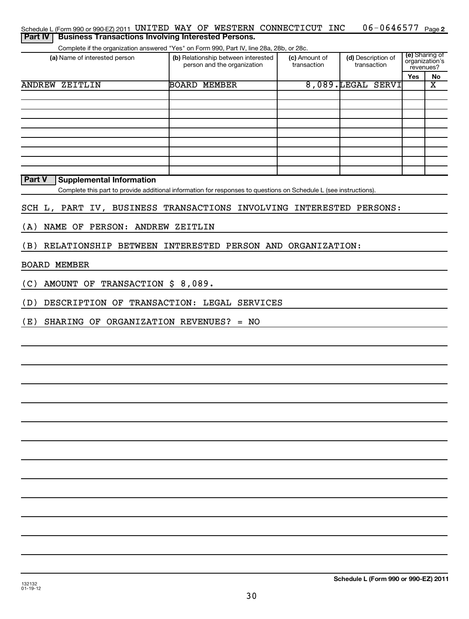| <b>Part IV</b> | Schedule L (Form 990 or 990-EZ) 2011 UNITED WAY OF WESTERN CONNECTICUT INC                                                                             |                                                                    |                              | 06-0646577 Page 2                 |                                                      |                         |
|----------------|--------------------------------------------------------------------------------------------------------------------------------------------------------|--------------------------------------------------------------------|------------------------------|-----------------------------------|------------------------------------------------------|-------------------------|
|                | <b>Business Transactions Involving Interested Persons.</b><br>Complete if the organization answered "Yes" on Form 990, Part IV, line 28a, 28b, or 28c. |                                                                    |                              |                                   |                                                      |                         |
|                | (a) Name of interested person                                                                                                                          | (b) Relationship between interested<br>person and the organization | (c) Amount of<br>transaction | (d) Description of<br>transaction | (e) Sharing of<br>organization's<br>revenues?<br>Yes | No                      |
|                | <b>ANDREW ZEITLIN</b>                                                                                                                                  | <b>BOARD MEMBER</b>                                                |                              | 8,089.LEGAL SERVI                 |                                                      | $\overline{\textbf{x}}$ |
|                |                                                                                                                                                        |                                                                    |                              |                                   |                                                      |                         |
|                |                                                                                                                                                        |                                                                    |                              |                                   |                                                      |                         |
|                |                                                                                                                                                        |                                                                    |                              |                                   |                                                      |                         |
|                |                                                                                                                                                        |                                                                    |                              |                                   |                                                      |                         |
|                |                                                                                                                                                        |                                                                    |                              |                                   |                                                      |                         |
|                |                                                                                                                                                        |                                                                    |                              |                                   |                                                      |                         |
| Part V         | <b>Supplemental Information</b>                                                                                                                        |                                                                    |                              |                                   |                                                      |                         |
|                | Complete this part to provide additional information for responses to questions on Schedule L (see instructions).                                      |                                                                    |                              |                                   |                                                      |                         |
|                | SCH L, PART IV, BUSINESS TRANSACTIONS INVOLVING INTERESTED PERSONS:                                                                                    |                                                                    |                              |                                   |                                                      |                         |
| (A)            | NAME OF PERSON: ANDREW ZEITLIN                                                                                                                         |                                                                    |                              |                                   |                                                      |                         |
| (B)            | RELATIONSHIP BETWEEN INTERESTED PERSON AND ORGANIZATION:                                                                                               |                                                                    |                              |                                   |                                                      |                         |
|                | <b>BOARD MEMBER</b>                                                                                                                                    |                                                                    |                              |                                   |                                                      |                         |
| (C)            | AMOUNT OF TRANSACTION \$ 8,089.                                                                                                                        |                                                                    |                              |                                   |                                                      |                         |
| (D)            | DESCRIPTION OF TRANSACTION: LEGAL SERVICES                                                                                                             |                                                                    |                              |                                   |                                                      |                         |
| (E)            | SHARING OF ORGANIZATION REVENUES? = NO                                                                                                                 |                                                                    |                              |                                   |                                                      |                         |
|                |                                                                                                                                                        |                                                                    |                              |                                   |                                                      |                         |
|                |                                                                                                                                                        |                                                                    |                              |                                   |                                                      |                         |
|                |                                                                                                                                                        |                                                                    |                              |                                   |                                                      |                         |
|                |                                                                                                                                                        |                                                                    |                              |                                   |                                                      |                         |
|                |                                                                                                                                                        |                                                                    |                              |                                   |                                                      |                         |
|                |                                                                                                                                                        |                                                                    |                              |                                   |                                                      |                         |
|                |                                                                                                                                                        |                                                                    |                              |                                   |                                                      |                         |
|                |                                                                                                                                                        |                                                                    |                              |                                   |                                                      |                         |
|                |                                                                                                                                                        |                                                                    |                              |                                   |                                                      |                         |
|                |                                                                                                                                                        |                                                                    |                              |                                   |                                                      |                         |
|                |                                                                                                                                                        |                                                                    |                              |                                   |                                                      |                         |
|                |                                                                                                                                                        |                                                                    |                              |                                   |                                                      |                         |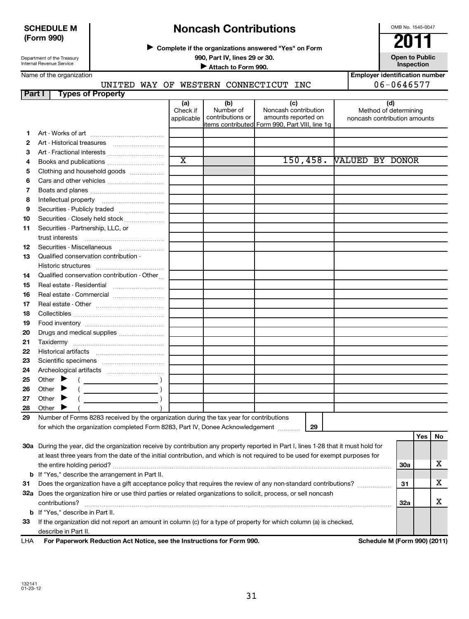Department of the Treasury Internal Revenue Service

## **Noncash Contributions**

**Complete if the organizations answered "Yes" on Form** <sup>J</sup>**2011**

**990, Part IV, lines 29 or 30. Open to Public**

**Inspection Inspection Inspection Inspection Inspection Inspection Inspection Inspection** 

**Employer identification number**

OMB No. 1545-0047

Name of the organization

## UNITED WAY OF WESTERN CONNECTICUT INC  $\vert$  06-0646577

| Part I                   | <b>Types of Property</b>                                                                                                                                                                                                                                                                                                                                     |                        |                               |                                                |                                                       |     |     |    |
|--------------------------|--------------------------------------------------------------------------------------------------------------------------------------------------------------------------------------------------------------------------------------------------------------------------------------------------------------------------------------------------------------|------------------------|-------------------------------|------------------------------------------------|-------------------------------------------------------|-----|-----|----|
|                          |                                                                                                                                                                                                                                                                                                                                                              | (a)                    | (b)                           | (c)                                            | (d)                                                   |     |     |    |
|                          |                                                                                                                                                                                                                                                                                                                                                              | Check if<br>applicable | Number of<br>contributions or | Noncash contribution<br>amounts reported on    | Method of determining<br>noncash contribution amounts |     |     |    |
|                          |                                                                                                                                                                                                                                                                                                                                                              |                        |                               | items contributed Form 990, Part VIII, line 1q |                                                       |     |     |    |
| 1                        |                                                                                                                                                                                                                                                                                                                                                              |                        |                               |                                                |                                                       |     |     |    |
| 2                        |                                                                                                                                                                                                                                                                                                                                                              |                        |                               |                                                |                                                       |     |     |    |
| 3                        | Art - Fractional interests                                                                                                                                                                                                                                                                                                                                   |                        |                               |                                                |                                                       |     |     |    |
| 4                        | Books and publications                                                                                                                                                                                                                                                                                                                                       | $\overline{\text{x}}$  |                               | 150, 458.                                      | <b>VALUED BY DONOR</b>                                |     |     |    |
| 5                        | Clothing and household goods                                                                                                                                                                                                                                                                                                                                 |                        |                               |                                                |                                                       |     |     |    |
| 6                        |                                                                                                                                                                                                                                                                                                                                                              |                        |                               |                                                |                                                       |     |     |    |
| $\overline{\phantom{a}}$ |                                                                                                                                                                                                                                                                                                                                                              |                        |                               |                                                |                                                       |     |     |    |
| 8                        | Intellectual property                                                                                                                                                                                                                                                                                                                                        |                        |                               |                                                |                                                       |     |     |    |
| 9                        | Securities - Publicly traded                                                                                                                                                                                                                                                                                                                                 |                        |                               |                                                |                                                       |     |     |    |
| 10                       | Securities - Closely held stock                                                                                                                                                                                                                                                                                                                              |                        |                               |                                                |                                                       |     |     |    |
| 11                       | Securities - Partnership, LLC, or                                                                                                                                                                                                                                                                                                                            |                        |                               |                                                |                                                       |     |     |    |
|                          | trust interests                                                                                                                                                                                                                                                                                                                                              |                        |                               |                                                |                                                       |     |     |    |
| 12                       |                                                                                                                                                                                                                                                                                                                                                              |                        |                               |                                                |                                                       |     |     |    |
| 13                       | Qualified conservation contribution -                                                                                                                                                                                                                                                                                                                        |                        |                               |                                                |                                                       |     |     |    |
|                          |                                                                                                                                                                                                                                                                                                                                                              |                        |                               |                                                |                                                       |     |     |    |
| 14                       | Qualified conservation contribution - Other                                                                                                                                                                                                                                                                                                                  |                        |                               |                                                |                                                       |     |     |    |
| 15                       | Real estate - Residential                                                                                                                                                                                                                                                                                                                                    |                        |                               |                                                |                                                       |     |     |    |
| 16                       | Real estate - Commercial                                                                                                                                                                                                                                                                                                                                     |                        |                               |                                                |                                                       |     |     |    |
| 17                       |                                                                                                                                                                                                                                                                                                                                                              |                        |                               |                                                |                                                       |     |     |    |
| 18                       |                                                                                                                                                                                                                                                                                                                                                              |                        |                               |                                                |                                                       |     |     |    |
| 19                       |                                                                                                                                                                                                                                                                                                                                                              |                        |                               |                                                |                                                       |     |     |    |
| 20                       | Drugs and medical supplies                                                                                                                                                                                                                                                                                                                                   |                        |                               |                                                |                                                       |     |     |    |
| 21                       |                                                                                                                                                                                                                                                                                                                                                              |                        |                               |                                                |                                                       |     |     |    |
| 22                       |                                                                                                                                                                                                                                                                                                                                                              |                        |                               |                                                |                                                       |     |     |    |
| 23                       |                                                                                                                                                                                                                                                                                                                                                              |                        |                               |                                                |                                                       |     |     |    |
| 24                       |                                                                                                                                                                                                                                                                                                                                                              |                        |                               |                                                |                                                       |     |     |    |
| 25                       | Other $\blacktriangleright$                                                                                                                                                                                                                                                                                                                                  |                        |                               |                                                |                                                       |     |     |    |
| 26                       | Other<br>$\begin{picture}(20,10) \put(0,0){\line(1,0){10}} \put(15,0){\line(1,0){10}} \put(15,0){\line(1,0){10}} \put(15,0){\line(1,0){10}} \put(15,0){\line(1,0){10}} \put(15,0){\line(1,0){10}} \put(15,0){\line(1,0){10}} \put(15,0){\line(1,0){10}} \put(15,0){\line(1,0){10}} \put(15,0){\line(1,0){10}} \put(15,0){\line(1,0){10}} \put(15,0){\line(1$ |                        |                               |                                                |                                                       |     |     |    |
| 27                       | Other $\blacktriangleright$                                                                                                                                                                                                                                                                                                                                  |                        |                               |                                                |                                                       |     |     |    |
| 28                       | Other $\blacktriangleright$                                                                                                                                                                                                                                                                                                                                  |                        |                               |                                                |                                                       |     |     |    |
| 29                       | Number of Forms 8283 received by the organization during the tax year for contributions                                                                                                                                                                                                                                                                      |                        |                               |                                                |                                                       |     |     |    |
|                          | for which the organization completed Form 8283, Part IV, Donee Acknowledgement                                                                                                                                                                                                                                                                               |                        |                               | 29                                             |                                                       |     |     |    |
|                          |                                                                                                                                                                                                                                                                                                                                                              |                        |                               |                                                |                                                       |     | Yes | No |
|                          | 30a During the year, did the organization receive by contribution any property reported in Part I, lines 1-28 that it must hold for                                                                                                                                                                                                                          |                        |                               |                                                |                                                       |     |     |    |
|                          | at least three years from the date of the initial contribution, and which is not required to be used for exempt purposes for                                                                                                                                                                                                                                 |                        |                               |                                                |                                                       |     |     |    |
|                          |                                                                                                                                                                                                                                                                                                                                                              |                        |                               |                                                |                                                       | 30a |     | х  |
| b                        | If "Yes," describe the arrangement in Part II.                                                                                                                                                                                                                                                                                                               |                        |                               |                                                |                                                       |     |     |    |
| 31                       |                                                                                                                                                                                                                                                                                                                                                              |                        |                               |                                                |                                                       | 31  |     | X  |

**33 b** If "Yes," describe in Part II. If the organization did not report an amount in column (c) for a type of property for which column (a) is checked,

contributions? ~~~~~~~~~~~~~~~~~~~~~~~~~~~~~~~~~~~~~~~~~~~~~~~~~~~~~~

**32 a** Does the organization hire or use third parties or related organizations to solicit, process, or sell noncash

describe in Part II.

**For Paperwork Reduction Act Notice, see the Instructions for Form 990. Schedule M (Form 990) (2011)** LHA

**32a**

X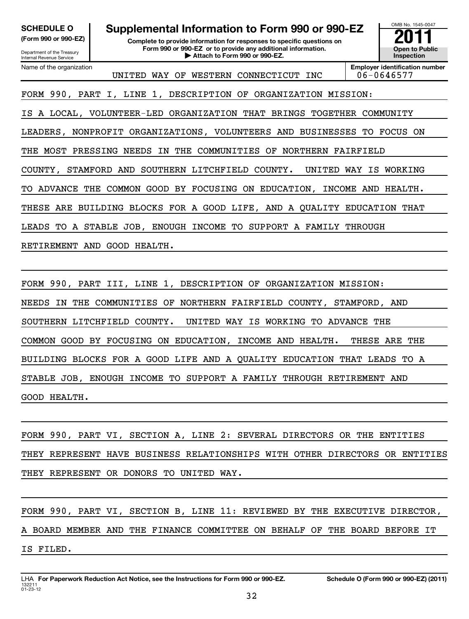| <b>SCHEDULE O</b><br>(Form 990 or 990-EZ)<br>Department of the Treasury<br><b>Internal Revenue Service</b> | Supplemental Information to Form 990 or 990-EZ                       | OMB No. 1545-0047<br><b>Open to Public</b><br>Inspection |                                                     |  |  |  |
|------------------------------------------------------------------------------------------------------------|----------------------------------------------------------------------|----------------------------------------------------------|-----------------------------------------------------|--|--|--|
| Name of the organization                                                                                   | WESTERN CONNECTICUT INC<br>UNITED WAY OF                             |                                                          | <b>Employer identification number</b><br>06-0646577 |  |  |  |
|                                                                                                            | FORM 990, PART I, LINE 1, DESCRIPTION OF ORGANIZATION MISSION:       |                                                          |                                                     |  |  |  |
| IS.                                                                                                        | A LOCAL, VOLUNTEER-LED ORGANIZATION THAT BRINGS TOGETHER             |                                                          | COMMUNITY                                           |  |  |  |
|                                                                                                            | LEADERS, NONPROFIT ORGANIZATIONS, VOLUNTEERS AND BUSINESSES          | TO.                                                      | FOCUS ON                                            |  |  |  |
| MOST PRESSING<br>THE                                                                                       | NEEDS<br>IN THE COMMUNITIES OF<br>NORTHERN FAIRFIELD                 |                                                          |                                                     |  |  |  |
| COUNTY, STAMFORD AND                                                                                       | SOUTHERN LITCHFIELD<br>COUNTY.<br>UNITED WAY                         | IS                                                       | WORKING                                             |  |  |  |
|                                                                                                            | ADVANCE THE COMMON GOOD BY FOCUSING ON EDUCATION, INCOME AND HEALTH. |                                                          |                                                     |  |  |  |
| ARE BUILDING BLOCKS FOR A GOOD LIFE, AND A QUALITY EDUCATION THAT<br>THESE                                 |                                                                      |                                                          |                                                     |  |  |  |
| A STABLE JOB, ENOUGH INCOME TO<br>SUPPORT A FAMILY THROUGH<br>LEADS TO                                     |                                                                      |                                                          |                                                     |  |  |  |
| RETIREMENT AND GOOD HEALTH.                                                                                |                                                                      |                                                          |                                                     |  |  |  |
|                                                                                                            |                                                                      |                                                          |                                                     |  |  |  |

FORM 990, PART III, LINE 1, DESCRIPTION OF ORGANIZATION MISSION: NEEDS IN THE COMMUNITIES OF NORTHERN FAIRFIELD COUNTY, STAMFORD, AND SOUTHERN LITCHFIELD COUNTY. UNITED WAY IS WORKING TO ADVANCE THE COMMON GOOD BY FOCUSING ON EDUCATION, INCOME AND HEALTH. THESE ARE THE BUILDING BLOCKS FOR A GOOD LIFE AND A QUALITY EDUCATION THAT LEADS TO A STABLE JOB, ENOUGH INCOME TO SUPPORT A FAMILY THROUGH RETIREMENT AND GOOD HEALTH.

FORM 990, PART VI, SECTION A, LINE 2: SEVERAL DIRECTORS OR THE ENTITIES THEY REPRESENT HAVE BUSINESS RELATIONSHIPS WITH OTHER DIRECTORS OR ENTITIES THEY REPRESENT OR DONORS TO UNITED WAY.

FORM 990, PART VI, SECTION B, LINE 11: REVIEWED BY THE EXECUTIVE DIRECTOR, A BOARD MEMBER AND THE FINANCE COMMITTEE ON BEHALF OF THE BOARD BEFORE IT IS FILED.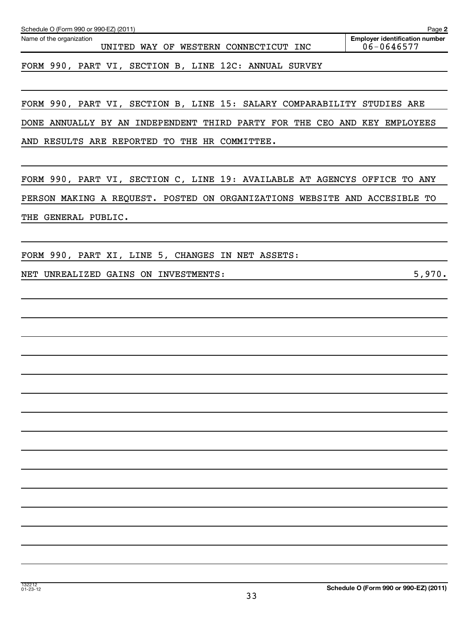| Schedule O (Form 990 or 990-EZ) (2011)                                    | Page 2                                              |
|---------------------------------------------------------------------------|-----------------------------------------------------|
| Name of the organization<br>UNITED WAY OF WESTERN CONNECTICUT INC         | <b>Employer identification number</b><br>06-0646577 |
| FORM 990, PART VI, SECTION B, LINE 12C: ANNUAL SURVEY                     |                                                     |
| FORM 990, PART VI, SECTION B, LINE 15: SALARY COMPARABILITY STUDIES ARE   |                                                     |
| DONE ANNUALLY BY AN INDEPENDENT THIRD PARTY FOR THE CEO AND KEY EMPLOYEES |                                                     |
| AND RESULTS ARE REPORTED TO THE HR COMMITTEE.                             |                                                     |
| FORM 990, PART VI, SECTION C, LINE 19: AVAILABLE AT AGENCYS OFFICE TO ANY |                                                     |
| PERSON MAKING A REQUEST. POSTED ON ORGANIZATIONS WEBSITE AND ACCESIBLE TO |                                                     |
| THE GENERAL PUBLIC.                                                       |                                                     |
| FORM 990, PART XI, LINE 5, CHANGES IN NET ASSETS:                         |                                                     |
| NET UNREALIZED GAINS ON INVESTMENTS:                                      | 5,970.                                              |
|                                                                           |                                                     |
|                                                                           |                                                     |
|                                                                           |                                                     |
|                                                                           |                                                     |
|                                                                           |                                                     |
|                                                                           |                                                     |
|                                                                           |                                                     |
|                                                                           |                                                     |
|                                                                           |                                                     |
|                                                                           |                                                     |
|                                                                           |                                                     |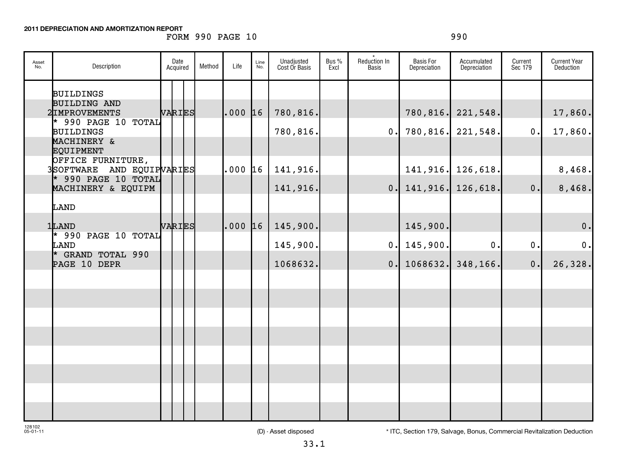## **2011 DEPRECIATION AND AMORTIZATION REPORT**

## FORM 990 PAGE 10 990

| Asset<br>No. | Description                                    | Date<br>Acquired | Method | Life        | Line<br>No. | Unadjusted<br>Cost Or Basis | Bus %<br>Excl | Reduction In<br><b>Basis</b> | <b>Basis For</b><br>Depreciation | Accumulated<br>Depreciation  | Current<br>Sec 179 | <b>Current Year</b><br>Deduction |
|--------------|------------------------------------------------|------------------|--------|-------------|-------------|-----------------------------|---------------|------------------------------|----------------------------------|------------------------------|--------------------|----------------------------------|
|              | <b>BUILDINGS</b>                               |                  |        |             |             |                             |               |                              |                                  |                              |                    |                                  |
|              | <b>BUILDING AND</b><br>2IMPROVEMENTS           | VARIES           |        | $.000$ $16$ |             | 780,816.                    |               |                              | 780, 816.                        | 221,548.                     |                    | 17,860.                          |
|              | $*$ 990 PAGE 10 TOTAL<br>BUILDINGS             |                  |        |             |             | 780,816.                    |               | $\mathbf{0}$ .               |                                  | 780,816. 221,548.            | 0.                 | 17,860.                          |
|              | MACHINERY &<br><b>EQUIPMENT</b>                |                  |        |             |             |                             |               |                              |                                  |                              |                    |                                  |
|              | OFFICE FURNITURE,<br>3SOFTWARE AND EQUIPVARIES |                  |        | .000 16     |             | 141,916.                    |               |                              |                                  | 141, 916. 126, 618.          |                    | 8,468.                           |
|              | $*$ 990 PAGE 10 TOTAL<br>MACHINERY & EQUIPM    |                  |        |             |             | 141,916.                    |               |                              |                                  | $0.$   141, 916.   126, 618. | 0.                 | 8,468.                           |
|              | LAND                                           |                  |        |             |             |                             |               |                              |                                  |                              |                    |                                  |
|              | 1LAND                                          | VARIES           |        | $.000$ $16$ |             | 145,900.                    |               |                              | 145,900.                         |                              |                    | $\mathbf 0$ .                    |
|              | * 990 PAGE 10 TOTAL<br>LAND                    |                  |        |             |             | 145,900.                    |               |                              | 0.145,900.                       | 0.                           | 0.                 | 0.                               |
|              | * GRAND TOTAL 990<br>PAGE 10 DEPR              |                  |        |             |             | 1068632.                    |               |                              | 0.1068632.                       | 348,166.                     | $0$ .              | 26,328.                          |
|              |                                                |                  |        |             |             |                             |               |                              |                                  |                              |                    |                                  |
|              |                                                |                  |        |             |             |                             |               |                              |                                  |                              |                    |                                  |
|              |                                                |                  |        |             |             |                             |               |                              |                                  |                              |                    |                                  |
|              |                                                |                  |        |             |             |                             |               |                              |                                  |                              |                    |                                  |
|              |                                                |                  |        |             |             |                             |               |                              |                                  |                              |                    |                                  |
|              |                                                |                  |        |             |             |                             |               |                              |                                  |                              |                    |                                  |
|              |                                                |                  |        |             |             |                             |               |                              |                                  |                              |                    |                                  |
|              |                                                |                  |        |             |             |                             |               |                              |                                  |                              |                    |                                  |

128102 05-01-11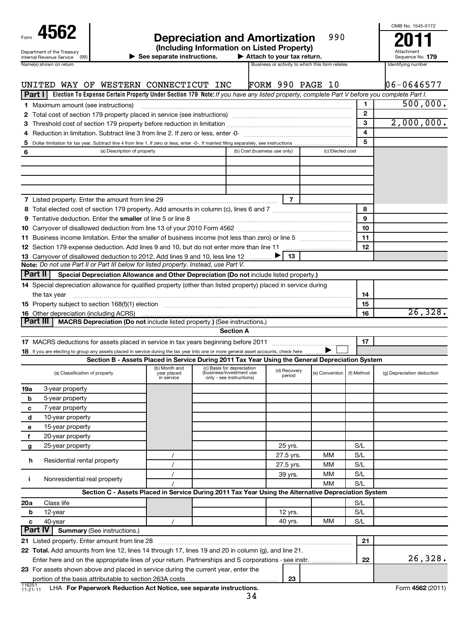| Form                                                   |  |
|--------------------------------------------------------|--|
| Department of the Treasury<br>Internal Revenue Service |  |

## **4562 Depreciation and Amortization 990 2011** 990

| unoluunig milomiaalon e                          |   |
|--------------------------------------------------|---|
| $\blacktriangleright$ See separate instructions. | ▶ |
|                                                  |   |

**See separate instructions. Attach to your tax return. 179**

| Attachment       |  |
|------------------|--|
| Sequence No. 179 |  |

OMB No. 1545-0172

| Name(s) shown on return                                                                                                                                                                                                        |                                                                                                 |                                                                                    | Business or activity to which this form relates |                  |            | Identifying number         |
|--------------------------------------------------------------------------------------------------------------------------------------------------------------------------------------------------------------------------------|-------------------------------------------------------------------------------------------------|------------------------------------------------------------------------------------|-------------------------------------------------|------------------|------------|----------------------------|
|                                                                                                                                                                                                                                |                                                                                                 |                                                                                    |                                                 |                  |            |                            |
| UNITED WAY OF WESTERN CONNECTICUT INC                                                                                                                                                                                          |                                                                                                 |                                                                                    | FORM 990 PAGE 10                                |                  |            | 06-0646577                 |
| Election To Expense Certain Property Under Section 179 Note: If you have any listed property, complete Part V before you complete Part I.<br>Part II                                                                           |                                                                                                 |                                                                                    |                                                 |                  |            |                            |
| 1 Maximum amount (see instructions)                                                                                                                                                                                            |                                                                                                 |                                                                                    |                                                 |                  | 1          | 500,000.                   |
|                                                                                                                                                                                                                                |                                                                                                 |                                                                                    |                                                 |                  | 2          |                            |
|                                                                                                                                                                                                                                |                                                                                                 |                                                                                    |                                                 |                  | 3          | 2,000,000.                 |
|                                                                                                                                                                                                                                |                                                                                                 |                                                                                    |                                                 |                  | 4          |                            |
| 5                                                                                                                                                                                                                              |                                                                                                 | (b) Cost (business use only)                                                       |                                                 | (c) Elected cost | 5          |                            |
| (a) Description of property<br>6                                                                                                                                                                                               |                                                                                                 |                                                                                    |                                                 |                  |            |                            |
|                                                                                                                                                                                                                                |                                                                                                 |                                                                                    |                                                 |                  |            |                            |
|                                                                                                                                                                                                                                |                                                                                                 |                                                                                    |                                                 |                  |            |                            |
|                                                                                                                                                                                                                                |                                                                                                 |                                                                                    |                                                 |                  |            |                            |
| 7 Listed property. Enter the amount from line 29                                                                                                                                                                               |                                                                                                 |                                                                                    | $\overline{7}$                                  |                  |            |                            |
|                                                                                                                                                                                                                                |                                                                                                 |                                                                                    |                                                 |                  | 8          |                            |
|                                                                                                                                                                                                                                |                                                                                                 |                                                                                    |                                                 |                  | 9          |                            |
|                                                                                                                                                                                                                                |                                                                                                 |                                                                                    |                                                 |                  | 10         |                            |
|                                                                                                                                                                                                                                |                                                                                                 |                                                                                    |                                                 |                  | 11         |                            |
|                                                                                                                                                                                                                                |                                                                                                 |                                                                                    |                                                 |                  | 12         |                            |
| 13 Carryover of disallowed deduction to 2012. Add lines 9 and 10, less line 12                                                                                                                                                 |                                                                                                 |                                                                                    | 13                                              |                  |            |                            |
| Note: Do not use Part II or Part III below for listed property. Instead, use Part V.                                                                                                                                           |                                                                                                 |                                                                                    |                                                 |                  |            |                            |
| Part II<br>Special Depreciation Allowance and Other Depreciation (Do not include listed property.)                                                                                                                             |                                                                                                 |                                                                                    |                                                 |                  |            |                            |
| 14 Special depreciation allowance for qualified property (other than listed property) placed in service during                                                                                                                 |                                                                                                 |                                                                                    |                                                 |                  |            |                            |
| the tax year                                                                                                                                                                                                                   |                                                                                                 |                                                                                    |                                                 |                  | 14         |                            |
| 15 Property subject to section 168(f)(1) election manufactured content to the content of the content of the content of the content of the content of the content of the content of the content of the content of the content o |                                                                                                 |                                                                                    |                                                 |                  | 15         |                            |
| <b>16</b> Other depreciation (including ACRS)                                                                                                                                                                                  |                                                                                                 |                                                                                    |                                                 |                  | 16         | 26, 328.                   |
| Part III<br>MACRS Depreciation (Do not include listed property.) (See instructions.)                                                                                                                                           |                                                                                                 |                                                                                    |                                                 |                  |            |                            |
|                                                                                                                                                                                                                                |                                                                                                 | <b>Section A</b>                                                                   |                                                 |                  |            |                            |
|                                                                                                                                                                                                                                |                                                                                                 |                                                                                    |                                                 |                  | 17         |                            |
| 18 If you are electing to group any assets placed in service during the tax year into one or more general asset accounts, check here                                                                                           |                                                                                                 |                                                                                    |                                                 |                  |            |                            |
|                                                                                                                                                                                                                                | Section B - Assets Placed in Service During 2011 Tax Year Using the General Depreciation System |                                                                                    |                                                 |                  |            |                            |
| (a) Classification of property                                                                                                                                                                                                 | (b) Month and<br>year placed<br>in service                                                      | (c) Basis for depreciation<br>(business/investment use<br>only - see instructions) | (d) Recovery<br>period                          | (e) Convention   | (f) Method | (g) Depreciation deduction |
| 3-year property<br>19a                                                                                                                                                                                                         |                                                                                                 |                                                                                    |                                                 |                  |            |                            |
| b<br>5-year property                                                                                                                                                                                                           |                                                                                                 |                                                                                    |                                                 |                  |            |                            |
| 7-year property<br>с                                                                                                                                                                                                           |                                                                                                 |                                                                                    |                                                 |                  |            |                            |
| 10-year property<br>d                                                                                                                                                                                                          |                                                                                                 |                                                                                    |                                                 |                  |            |                            |
| 15-year property<br>е                                                                                                                                                                                                          |                                                                                                 |                                                                                    |                                                 |                  |            |                            |
| 20-year property<br>f                                                                                                                                                                                                          |                                                                                                 |                                                                                    |                                                 |                  |            |                            |
| 25-year property<br>g                                                                                                                                                                                                          |                                                                                                 |                                                                                    | 25 yrs.                                         |                  | S/L        |                            |
|                                                                                                                                                                                                                                | $\prime$                                                                                        |                                                                                    | 27.5 yrs.                                       | мм               | S/L        |                            |
| Residential rental property<br>h                                                                                                                                                                                               | $\prime$                                                                                        |                                                                                    | 27.5 yrs.                                       | мм               | S/L        |                            |
|                                                                                                                                                                                                                                | $\prime$                                                                                        |                                                                                    | 39 yrs.                                         | MМ               | S/L        |                            |
| Nonresidential real property<br>j.                                                                                                                                                                                             |                                                                                                 |                                                                                    |                                                 | <b>MM</b>        | S/L        |                            |
| Section C - Assets Placed in Service During 2011 Tax Year Using the Alternative Depreciation System                                                                                                                            |                                                                                                 |                                                                                    |                                                 |                  |            |                            |
| Class life<br>20a                                                                                                                                                                                                              |                                                                                                 |                                                                                    |                                                 |                  | S/L        |                            |
| 12-year<br>b                                                                                                                                                                                                                   |                                                                                                 |                                                                                    | 12 yrs.                                         |                  | S/L        |                            |
| 40-year<br>c                                                                                                                                                                                                                   | $\prime$                                                                                        |                                                                                    | 40 yrs.                                         | MМ               | S/L        |                            |
| <b>Part IV</b><br><b>Summary (See instructions.)</b>                                                                                                                                                                           |                                                                                                 |                                                                                    |                                                 |                  |            |                            |
| 21 Listed property. Enter amount from line 28                                                                                                                                                                                  |                                                                                                 |                                                                                    |                                                 |                  | 21         |                            |
| 22 Total. Add amounts from line 12, lines 14 through 17, lines 19 and 20 in column (g), and line 21.                                                                                                                           |                                                                                                 |                                                                                    |                                                 |                  |            |                            |
| Enter here and on the appropriate lines of your return. Partnerships and S corporations - see instr.                                                                                                                           |                                                                                                 |                                                                                    |                                                 |                  | 22         | 26,328.                    |
| 23 For assets shown above and placed in service during the current year, enter the                                                                                                                                             |                                                                                                 |                                                                                    |                                                 |                  |            |                            |
|                                                                                                                                                                                                                                |                                                                                                 |                                                                                    | 23                                              |                  |            |                            |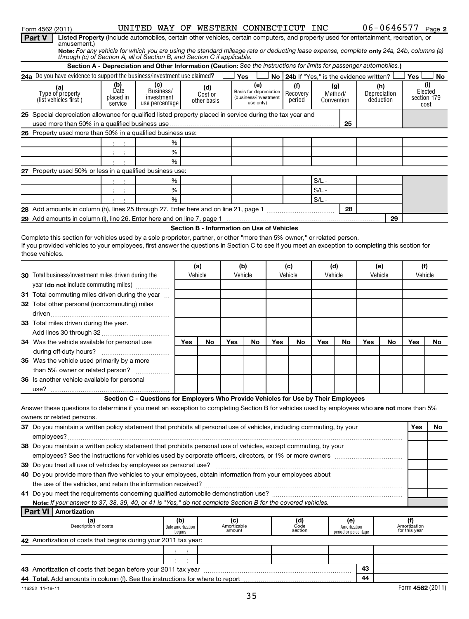| Form 4562 (2011)                                                                                                                                                                                                                                                               |                                    | UNITED WAY OF WESTERN CONNECTICUT INC                                                                                |                   |             |                              |                                                |     |                                           |            |                      |     | $06 - 0646577$ Page 2 |                               |                        |
|--------------------------------------------------------------------------------------------------------------------------------------------------------------------------------------------------------------------------------------------------------------------------------|------------------------------------|----------------------------------------------------------------------------------------------------------------------|-------------------|-------------|------------------------------|------------------------------------------------|-----|-------------------------------------------|------------|----------------------|-----|-----------------------|-------------------------------|------------------------|
| Listed Property (Include automobiles, certain other vehicles, certain computers, and property used for entertainment, recreation, or<br><b>Part V</b>                                                                                                                          |                                    |                                                                                                                      |                   |             |                              |                                                |     |                                           |            |                      |     |                       |                               |                        |
| amusement.)<br>Note: For any vehicle for which you are using the standard mileage rate or deducting lease expense, complete only 24a, 24b, columns (a)                                                                                                                         |                                    |                                                                                                                      |                   |             |                              |                                                |     |                                           |            |                      |     |                       |                               |                        |
| through (c) of Section A, all of Section B, and Section C if applicable.                                                                                                                                                                                                       |                                    |                                                                                                                      |                   |             |                              |                                                |     |                                           |            |                      |     |                       |                               |                        |
|                                                                                                                                                                                                                                                                                |                                    | Section A - Depreciation and Other Information (Caution: See the instructions for limits for passenger automobiles.) |                   |             |                              |                                                |     |                                           |            |                      |     |                       |                               |                        |
| 24a Do you have evidence to support the business/investment use claimed?                                                                                                                                                                                                       |                                    |                                                                                                                      |                   |             |                              | Yes                                            |     | No 24b If "Yes." is the evidence written? |            |                      |     |                       | Yes                           | No.                    |
| (a)                                                                                                                                                                                                                                                                            | (b)                                | (c)                                                                                                                  |                   | (d)         |                              | (e)                                            |     | (f)                                       | (g)        |                      |     | (h)                   |                               | (i)                    |
| Type of property                                                                                                                                                                                                                                                               | Date<br>placed in                  | Business/<br>investment                                                                                              |                   | Cost or     |                              | Basis for depreciation<br>(business/investment |     | Recovery                                  | Method/    |                      |     | Depreciation          |                               | Elected<br>section 179 |
| (list vehicles first)                                                                                                                                                                                                                                                          | service                            | use percentage                                                                                                       |                   | other basis |                              | use only)                                      |     | period                                    | Convention |                      |     | deduction             |                               | cost                   |
| 25 Special depreciation allowance for qualified listed property placed in service during the tax year and                                                                                                                                                                      |                                    |                                                                                                                      |                   |             |                              |                                                |     |                                           |            |                      |     |                       |                               |                        |
|                                                                                                                                                                                                                                                                                |                                    |                                                                                                                      |                   |             |                              |                                                |     |                                           |            | 25                   |     |                       |                               |                        |
| 26 Property used more than 50% in a qualified business use:                                                                                                                                                                                                                    |                                    |                                                                                                                      |                   |             |                              |                                                |     |                                           |            |                      |     |                       |                               |                        |
|                                                                                                                                                                                                                                                                                |                                    | %                                                                                                                    |                   |             |                              |                                                |     |                                           |            |                      |     |                       |                               |                        |
|                                                                                                                                                                                                                                                                                | 中间生                                | %                                                                                                                    |                   |             |                              |                                                |     |                                           |            |                      |     |                       |                               |                        |
|                                                                                                                                                                                                                                                                                |                                    | %                                                                                                                    |                   |             |                              |                                                |     |                                           |            |                      |     |                       |                               |                        |
| 27 Property used 50% or less in a qualified business use:                                                                                                                                                                                                                      |                                    |                                                                                                                      |                   |             |                              |                                                |     |                                           |            |                      |     |                       |                               |                        |
|                                                                                                                                                                                                                                                                                |                                    | %                                                                                                                    |                   |             |                              |                                                |     |                                           | $S/L -$    |                      |     |                       |                               |                        |
|                                                                                                                                                                                                                                                                                | $\mathbb{C}^n \times \mathbb{C}^n$ | %                                                                                                                    |                   |             |                              |                                                |     |                                           | $S/L -$    |                      |     |                       |                               |                        |
|                                                                                                                                                                                                                                                                                |                                    | %                                                                                                                    |                   |             |                              |                                                |     |                                           | $S/L -$    |                      |     |                       |                               |                        |
|                                                                                                                                                                                                                                                                                |                                    |                                                                                                                      |                   |             |                              |                                                |     |                                           |            | 28                   |     |                       |                               |                        |
|                                                                                                                                                                                                                                                                                |                                    |                                                                                                                      |                   |             |                              |                                                |     |                                           |            |                      |     |                       |                               |                        |
|                                                                                                                                                                                                                                                                                |                                    |                                                                                                                      |                   |             |                              |                                                |     |                                           |            |                      |     | 29                    |                               |                        |
|                                                                                                                                                                                                                                                                                |                                    |                                                                                                                      |                   |             |                              | Section B - Information on Use of Vehicles     |     |                                           |            |                      |     |                       |                               |                        |
| Complete this section for vehicles used by a sole proprietor, partner, or other "more than 5% owner," or related person.<br>If you provided vehicles to your employees, first answer the questions in Section C to see if you meet an exception to completing this section for |                                    |                                                                                                                      |                   |             |                              |                                                |     |                                           |            |                      |     |                       |                               |                        |
| those vehicles.                                                                                                                                                                                                                                                                |                                    |                                                                                                                      |                   |             |                              |                                                |     |                                           |            |                      |     |                       |                               |                        |
|                                                                                                                                                                                                                                                                                |                                    |                                                                                                                      |                   |             |                              |                                                |     |                                           |            |                      |     |                       |                               |                        |
|                                                                                                                                                                                                                                                                                |                                    |                                                                                                                      |                   | (a)         |                              | (b)                                            |     | (c)                                       | (d)        |                      |     | (e)                   | (f)                           |                        |
| 30 Total business/investment miles driven during the                                                                                                                                                                                                                           |                                    |                                                                                                                      |                   | Vehicle     |                              | Vehicle                                        |     | Vehicle                                   | Vehicle    |                      |     | Vehicle               | Vehicle                       |                        |
| year (do not include commuting miles)                                                                                                                                                                                                                                          |                                    |                                                                                                                      |                   |             |                              |                                                |     |                                           |            |                      |     |                       |                               |                        |
| 31 Total commuting miles driven during the year                                                                                                                                                                                                                                |                                    |                                                                                                                      |                   |             |                              |                                                |     |                                           |            |                      |     |                       |                               |                        |
| 32 Total other personal (noncommuting) miles                                                                                                                                                                                                                                   |                                    |                                                                                                                      |                   |             |                              |                                                |     |                                           |            |                      |     |                       |                               |                        |
|                                                                                                                                                                                                                                                                                |                                    |                                                                                                                      |                   |             |                              |                                                |     |                                           |            |                      |     |                       |                               |                        |
| 33 Total miles driven during the year.                                                                                                                                                                                                                                         |                                    |                                                                                                                      |                   |             |                              |                                                |     |                                           |            |                      |     |                       |                               |                        |
|                                                                                                                                                                                                                                                                                |                                    |                                                                                                                      |                   |             |                              |                                                |     |                                           |            |                      |     |                       |                               |                        |
| 34 Was the vehicle available for personal use                                                                                                                                                                                                                                  |                                    |                                                                                                                      | Yes               | No          | Yes                          | No                                             | Yes | No                                        | Yes        | No                   | Yes | No                    | Yes                           | No.                    |
|                                                                                                                                                                                                                                                                                |                                    |                                                                                                                      |                   |             |                              |                                                |     |                                           |            |                      |     |                       |                               |                        |
| 35 Was the vehicle used primarily by a more                                                                                                                                                                                                                                    |                                    |                                                                                                                      |                   |             |                              |                                                |     |                                           |            |                      |     |                       |                               |                        |
| than 5% owner or related person?                                                                                                                                                                                                                                               |                                    |                                                                                                                      |                   |             |                              |                                                |     |                                           |            |                      |     |                       |                               |                        |
| 36 Is another vehicle available for personal                                                                                                                                                                                                                                   |                                    |                                                                                                                      |                   |             |                              |                                                |     |                                           |            |                      |     |                       |                               |                        |
|                                                                                                                                                                                                                                                                                |                                    |                                                                                                                      |                   |             |                              |                                                |     |                                           |            |                      |     |                       |                               |                        |
|                                                                                                                                                                                                                                                                                |                                    | Section C - Questions for Employers Who Provide Vehicles for Use by Their Employees                                  |                   |             |                              |                                                |     |                                           |            |                      |     |                       |                               |                        |
| Answer these questions to determine if you meet an exception to completing Section B for vehicles used by employees who are not more than 5%                                                                                                                                   |                                    |                                                                                                                      |                   |             |                              |                                                |     |                                           |            |                      |     |                       |                               |                        |
| owners or related persons.                                                                                                                                                                                                                                                     |                                    |                                                                                                                      |                   |             |                              |                                                |     |                                           |            |                      |     |                       |                               |                        |
| 37 Do you maintain a written policy statement that prohibits all personal use of vehicles, including commuting, by your                                                                                                                                                        |                                    |                                                                                                                      |                   |             |                              |                                                |     |                                           |            |                      |     |                       | Yes                           | No                     |
|                                                                                                                                                                                                                                                                                |                                    |                                                                                                                      |                   |             |                              |                                                |     |                                           |            |                      |     |                       |                               |                        |
| 38 Do you maintain a written policy statement that prohibits personal use of vehicles, except commuting, by your                                                                                                                                                               |                                    |                                                                                                                      |                   |             |                              |                                                |     |                                           |            |                      |     |                       |                               |                        |
|                                                                                                                                                                                                                                                                                |                                    |                                                                                                                      |                   |             |                              |                                                |     |                                           |            |                      |     |                       |                               |                        |
|                                                                                                                                                                                                                                                                                |                                    |                                                                                                                      |                   |             |                              |                                                |     |                                           |            |                      |     |                       |                               |                        |
| 40 Do you provide more than five vehicles to your employees, obtain information from your employees about                                                                                                                                                                      |                                    |                                                                                                                      |                   |             |                              |                                                |     |                                           |            |                      |     |                       |                               |                        |
|                                                                                                                                                                                                                                                                                |                                    |                                                                                                                      |                   |             |                              |                                                |     |                                           |            |                      |     |                       |                               |                        |
|                                                                                                                                                                                                                                                                                |                                    |                                                                                                                      |                   |             |                              |                                                |     |                                           |            |                      |     |                       |                               |                        |
| Note: If your answer to 37, 38, 39, 40, or 41 is "Yes," do not complete Section B for the covered vehicles.                                                                                                                                                                    |                                    |                                                                                                                      |                   |             |                              |                                                |     |                                           |            |                      |     |                       |                               |                        |
| <b>Part VI   Amortization</b>                                                                                                                                                                                                                                                  |                                    |                                                                                                                      |                   |             |                              |                                                |     |                                           |            |                      |     |                       |                               |                        |
| (a)                                                                                                                                                                                                                                                                            |                                    |                                                                                                                      | (b)               |             |                              |                                                |     | (d)                                       |            | (e)                  |     |                       | (f)                           |                        |
| Description of costs                                                                                                                                                                                                                                                           |                                    |                                                                                                                      | Date amortization |             | (c)<br>Amortizable<br>amount |                                                |     | Code<br>section                           |            | Amortization         |     |                       | Amortization<br>for this year |                        |
|                                                                                                                                                                                                                                                                                |                                    |                                                                                                                      | begins            |             |                              |                                                |     |                                           |            | period or percentage |     |                       |                               |                        |
| 42 Amortization of costs that begins during your 2011 tax year:                                                                                                                                                                                                                |                                    |                                                                                                                      |                   |             |                              |                                                |     |                                           |            |                      |     |                       |                               |                        |
|                                                                                                                                                                                                                                                                                |                                    |                                                                                                                      | 主义主义              |             |                              |                                                |     |                                           |            |                      |     |                       |                               |                        |
|                                                                                                                                                                                                                                                                                |                                    |                                                                                                                      |                   |             |                              |                                                |     |                                           |            |                      |     |                       |                               |                        |
|                                                                                                                                                                                                                                                                                |                                    |                                                                                                                      |                   |             |                              |                                                |     |                                           |            |                      | 43  |                       |                               |                        |
|                                                                                                                                                                                                                                                                                |                                    |                                                                                                                      |                   |             |                              |                                                |     |                                           |            |                      | 44  |                       |                               |                        |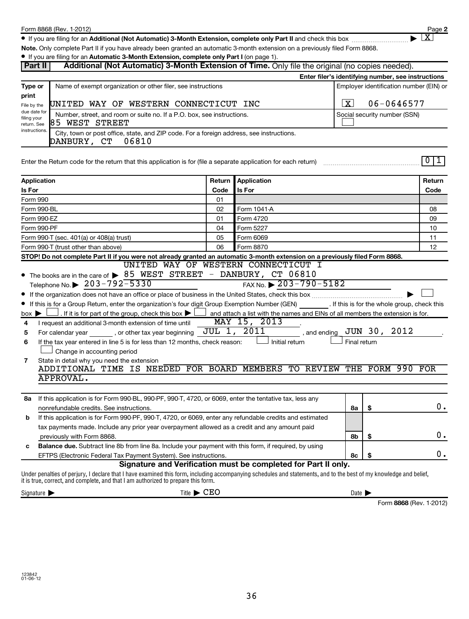**2**  $\lfloor x \rfloor$ 

● If you are filing for an Additional (Not Automatic) 3-Month Extension, complete only Part II and check this box <sub>……………………</sub>………

**Note.**  Only complete Part II if you have already been granted an automatic 3-month extension on a previously filed Form 8868.

| <b>Part II</b>                             | Additional (Not Automatic) 3-Month Extension of Time. Only file the original (no copies needed).                                                                                                                                                                                                                                                                    |        |                                                                                                                                                                |              |                                                    |                |
|--------------------------------------------|---------------------------------------------------------------------------------------------------------------------------------------------------------------------------------------------------------------------------------------------------------------------------------------------------------------------------------------------------------------------|--------|----------------------------------------------------------------------------------------------------------------------------------------------------------------|--------------|----------------------------------------------------|----------------|
|                                            |                                                                                                                                                                                                                                                                                                                                                                     |        |                                                                                                                                                                |              | Enter filer's identifying number, see instructions |                |
| Type or                                    | Name of exempt organization or other filer, see instructions                                                                                                                                                                                                                                                                                                        |        |                                                                                                                                                                |              | Employer identification number (EIN) or            |                |
| print                                      |                                                                                                                                                                                                                                                                                                                                                                     |        |                                                                                                                                                                |              |                                                    |                |
| File by the                                | UNITED WAY OF WESTERN CONNECTICUT INC                                                                                                                                                                                                                                                                                                                               |        |                                                                                                                                                                | X            | 06-0646577                                         |                |
| due date for<br>filing your<br>return. See | Number, street, and room or suite no. If a P.O. box, see instructions.<br>85 WEST STREET                                                                                                                                                                                                                                                                            |        |                                                                                                                                                                |              | Social security number (SSN)                       |                |
| instructions.                              | City, town or post office, state, and ZIP code. For a foreign address, see instructions.<br>DANBURY, CT<br>06810                                                                                                                                                                                                                                                    |        |                                                                                                                                                                |              |                                                    |                |
|                                            | Enter the Return code for the return that this application is for (file a separate application for each return)                                                                                                                                                                                                                                                     |        |                                                                                                                                                                |              |                                                    | 0 1            |
| Application                                |                                                                                                                                                                                                                                                                                                                                                                     | Return | Application                                                                                                                                                    |              |                                                    | Return         |
| Is For                                     |                                                                                                                                                                                                                                                                                                                                                                     | Code   | Is For                                                                                                                                                         |              |                                                    | Code           |
| Form 990                                   |                                                                                                                                                                                                                                                                                                                                                                     | 01     |                                                                                                                                                                |              |                                                    |                |
| Form 990-BL                                |                                                                                                                                                                                                                                                                                                                                                                     | 02     | Form 1041-A                                                                                                                                                    |              |                                                    | 08             |
| Form 990-EZ                                |                                                                                                                                                                                                                                                                                                                                                                     | 01     | Form 4720                                                                                                                                                      |              |                                                    | 09             |
| Form 990-PF                                |                                                                                                                                                                                                                                                                                                                                                                     | 04     | Form 5227                                                                                                                                                      |              |                                                    | 10             |
|                                            | Form 990-T (sec. 401(a) or 408(a) trust)                                                                                                                                                                                                                                                                                                                            | 05     | Form 6069                                                                                                                                                      |              |                                                    | 11             |
|                                            | Form 990-T (trust other than above)                                                                                                                                                                                                                                                                                                                                 | 06     | Form 8870                                                                                                                                                      |              |                                                    | 12             |
|                                            | STOP! Do not complete Part II if you were not already granted an automatic 3-month extension on a previously filed Form 8868.                                                                                                                                                                                                                                       |        |                                                                                                                                                                |              |                                                    |                |
| $box \triangleright$                       | The books are in the care of $\triangleright$ 85 WEST STREET - DANBURY, CT 06810<br>Telephone No. $\triangleright$ 203-792-5330<br>If this is for a Group Return, enter the organization's four digit Group Exemption Number (GEN) [15] If this is for the whole group, check this<br>. If it is for part of the group, check this box $\blacktriangleright$ $\mid$ |        | UNITED WAY OF WESTERN CONNECTICUT I<br>FAX No. $\triangleright$ 203-790-5182<br>and attach a list with the names and EINs of all members the extension is for. |              |                                                    |                |
| 4                                          | I request an additional 3-month extension of time until                                                                                                                                                                                                                                                                                                             |        | MAY 15, 2013                                                                                                                                                   |              |                                                    |                |
| 5                                          | For calendar year _________, or other tax year beginning                                                                                                                                                                                                                                                                                                            |        | JUL 1, 2011<br>, and ending                                                                                                                                    |              | JUN 30, 2012                                       |                |
| 6                                          | If the tax year entered in line 5 is for less than 12 months, check reason:                                                                                                                                                                                                                                                                                         |        | Initial return                                                                                                                                                 | Final return |                                                    |                |
|                                            | Change in accounting period                                                                                                                                                                                                                                                                                                                                         |        |                                                                                                                                                                |              |                                                    |                |
| 7                                          | State in detail why you need the extension<br>ADDITIONAL TIME IS NEEDED FOR BOARD MEMBERS TO REVIEW THE FORM 990 FOR                                                                                                                                                                                                                                                |        |                                                                                                                                                                |              |                                                    |                |
|                                            | APPROVAL.                                                                                                                                                                                                                                                                                                                                                           |        |                                                                                                                                                                |              |                                                    |                |
|                                            |                                                                                                                                                                                                                                                                                                                                                                     |        |                                                                                                                                                                |              |                                                    |                |
|                                            | 8a If this application is for Form 990-BL, 990-PF, 990-T, 4720, or 6069, enter the tentative tax, less any                                                                                                                                                                                                                                                          |        |                                                                                                                                                                |              |                                                    |                |
|                                            | nonrefundable credits. See instructions.                                                                                                                                                                                                                                                                                                                            |        |                                                                                                                                                                | 8а           | \$                                                 | $\mathbf{0}$ . |
| b                                          | If this application is for Form 990-PF, 990-T, 4720, or 6069, enter any refundable credits and estimated                                                                                                                                                                                                                                                            |        |                                                                                                                                                                |              |                                                    |                |
|                                            | tax payments made. Include any prior year overpayment allowed as a credit and any amount paid                                                                                                                                                                                                                                                                       |        |                                                                                                                                                                |              |                                                    |                |
|                                            | previously with Form 8868.                                                                                                                                                                                                                                                                                                                                          |        |                                                                                                                                                                | 8b           | \$                                                 | 0.             |
| с                                          | Balance due. Subtract line 8b from line 8a. Include your payment with this form, if required, by using                                                                                                                                                                                                                                                              |        |                                                                                                                                                                |              |                                                    |                |
|                                            | EFTPS (Electronic Federal Tax Payment System). See instructions.                                                                                                                                                                                                                                                                                                    |        |                                                                                                                                                                | 8с           | \$                                                 | 0.             |
|                                            | Under penalties of perjury, I declare that I have examined this form, including accompanying schedules and statements, and to the best of my knowledge and belief,<br>it is true, correct, and complete, and that I am authorized to prepare this form.                                                                                                             |        | Signature and Verification must be completed for Part II only.                                                                                                 |              |                                                    |                |

 $\text{Signature}$   $\blacktriangleright$  Date  $\blacktriangleright$  Date  $\blacktriangleright$   $\text{CEO}$ 

Form 8868 (Rev. 1-2012)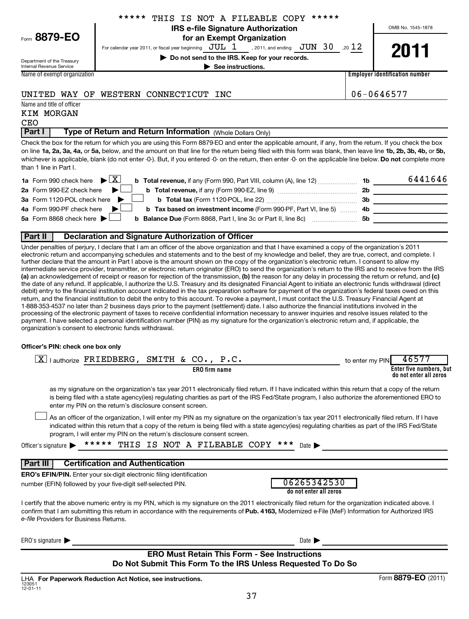| Form 8879- |  |  |  |
|------------|--|--|--|
|------------|--|--|--|

## **IRS e-file Signature Authorization** \*\*\*\*\* THIS IS NOT A FILEABLE COPY \*\*\*\*\*

OMB No. 1545-1878

**| Do not send to the IRS. Keep for your records. | See instructions.** 

For calendar year 2011, or fiscal year beginning  $JUL$  1 . 2011, and ending  $JUN$  30 . 20  $12$ , 2011, and ending  $JUN$  30

Department of the Treasury Internal Revenue Service

Name of exempt organization

**8879-EO**

**Employer identification number**

## UNITED WAY OF WESTERN CONNECTICUT INC  $\vert$  06-0646577

## Name and title of officer KIM MORGAN **CEO**

## **Part I** | Type of Return and Return Information (Whole Dollars Only)

on line 1a, 2a, 3a, 4a, or 5a, below, and the amount on that line for the return being filed with this form was blank, then leave line 1b, 2b, 3b, 4b, or 5b, whichever is applicable, blank (do not enter -0-). But, if you entered -0- on the return, then enter -0- on the applicable line below. **Do not** complete more Check the box for the return for which you are using this Form 8879-EO and enter the applicable amount, if any, from the return. If you check the box than 1 line in Part I.

| <b>1a</b> Form 990 check here $\blacktriangleright \boxed{X}$                                                                                 | - 1b | 6441646 |
|-----------------------------------------------------------------------------------------------------------------------------------------------|------|---------|
| <b>2a</b> Form 990-EZ check here $\blacktriangleright$ <b>b</b> Total revenue, if any (Form 990-EZ, line 9) <i>mmmmmmmmm</i>                  | 2b   |         |
| 3a Form 1120-POL check here $\blacktriangleright$ $\Box$ b Total tax (Form 1120-POL, line 22) $\ldots$ $\ldots$                               | -3b  |         |
| 4a Form 990-PF check here $\blacktriangleright$<br>b Tax based on investment income (Form 990-PF, Part VI, line 5)  4b                        |      |         |
| 5a Form 8868 check here $\blacktriangleright$ $\Box$<br><b>b Balance Due</b> (Form 8868, Part I, line 3c or Part II, line 8c) <i>mummumum</i> | -5b  |         |
|                                                                                                                                               |      |         |

## **Part II Declaration and Signature Authorization of Officer**

**(a)** an acknowledgement of receipt or reason for rejection of the transmission, **(b)** the reason for any delay in processing the return or refund, and **(c)** Under penalties of perjury, I declare that I am an officer of the above organization and that I have examined a copy of the organization's 2011 electronic return and accompanying schedules and statements and to the best of my knowledge and belief, they are true, correct, and complete. I further declare that the amount in Part I above is the amount shown on the copy of the organization's electronic return. I consent to allow my intermediate service provider, transmitter, or electronic return originator (ERO) to send the organization's return to the IRS and to receive from the IRS the date of any refund. If applicable, I authorize the U.S. Treasury and its designated Financial Agent to initiate an electronic funds withdrawal (direct debit) entry to the financial institution account indicated in the tax preparation software for payment of the organization's federal taxes owed on this return, and the financial institution to debit the entry to this account. To revoke a payment, I must contact the U.S. Treasury Financial Agent at 1-888-353-4537 no later than 2 business days prior to the payment (settlement) date. I also authorize the financial institutions involved in the processing of the electronic payment of taxes to receive confidential information necessary to answer inquiries and resolve issues related to the payment. I have selected a personal identification number (PIN) as my signature for the organization's electronic return and, if applicable, the organization's consent to electronic funds withdrawal.

## **Officer's PIN: check one box only**

| lauthorize FRIEDBERG, SMITH & CO., P.C.<br>$\mathbf{X}$                                                                                                                                                                                                                                                                                                                          | 46577<br>to enter my PIN                          |
|----------------------------------------------------------------------------------------------------------------------------------------------------------------------------------------------------------------------------------------------------------------------------------------------------------------------------------------------------------------------------------|---------------------------------------------------|
| <b>ERO</b> firm name                                                                                                                                                                                                                                                                                                                                                             | Enter five numbers, but<br>do not enter all zeros |
| as my signature on the organization's tax year 2011 electronically filed return. If I have indicated within this return that a copy of the return<br>is being filed with a state agency(ies) regulating charities as part of the IRS Fed/State program, I also authorize the aforementioned ERO to<br>enter my PIN on the return's disclosure consent screen.                    |                                                   |
| As an officer of the organization, I will enter my PIN as my signature on the organization's tax year 2011 electronically filed return. If I have<br>indicated within this return that a copy of the return is being filed with a state agency(ies) regulating charities as part of the IRS Fed/State<br>program, I will enter my PIN on the return's disclosure consent screen. |                                                   |
| THIS IS NOT A FILEABLE COPY ***<br>*****<br>Officer's signature<br>Date $\blacktriangleright$                                                                                                                                                                                                                                                                                    |                                                   |
| <b>Certification and Authentication</b><br>Part III                                                                                                                                                                                                                                                                                                                              |                                                   |
| <b>ERO's EFIN/PIN.</b> Enter your six-digit electronic filing identification                                                                                                                                                                                                                                                                                                     |                                                   |
| 06265342530<br>number (EFIN) followed by your five-digit self-selected PIN.<br>do not enter all zeros                                                                                                                                                                                                                                                                            |                                                   |
| I certify that the above numeric entry is my PIN, which is my signature on the 2011 electronically filed return for the organization indicated above. I<br>confirm that I am submitting this return in accordance with the requirements of Pub. 4163, Modernized e-File (MeF) Information for Authorized IRS<br>e-file Providers for Business Returns.                           |                                                   |
| ERO's signature $\blacktriangleright$<br>Date $\blacktriangleright$                                                                                                                                                                                                                                                                                                              |                                                   |
| <b>ERO Must Retain This Form - See Instructions</b><br>Do Not Submit This Form To the IRS Unless Requested To Do So                                                                                                                                                                                                                                                              |                                                   |